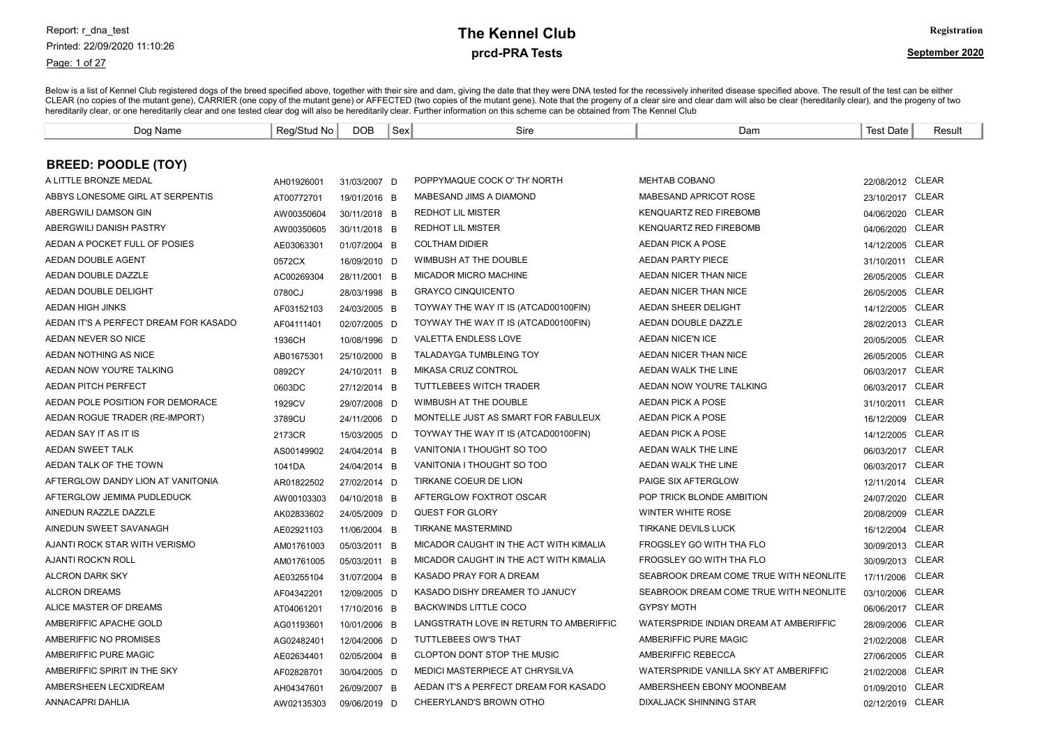#### Page: 1 of 27

# prcd-PRA Tests **The Kennel Club** Registration

| Dog Name                              | Reg/Stud No | <b>DOB</b>   | Sex | Sire                                    | Dam                                    | <b>Test Date</b> | Result       |
|---------------------------------------|-------------|--------------|-----|-----------------------------------------|----------------------------------------|------------------|--------------|
|                                       |             |              |     |                                         |                                        |                  |              |
| <b>BREED: POODLE (TOY)</b>            |             |              |     |                                         |                                        |                  |              |
| A LITTLE BRONZE MEDAL                 | AH01926001  | 31/03/2007 D |     | POPPYMAQUE COCK O' TH' NORTH            | <b>MEHTAB COBANO</b>                   | 22/08/2012 CLEAR |              |
| ABBYS LONESOME GIRL AT SERPENTIS      | AT00772701  | 19/01/2016 B |     | MABESAND JIMS A DIAMOND                 | MABESAND APRICOT ROSE                  | 23/10/2017 CLEAR |              |
| ABERGWILI DAMSON GIN                  | AW00350604  | 30/11/2018 B |     | <b>REDHOT LIL MISTER</b>                | <b>KENQUARTZ RED FIREBOMB</b>          | 04/06/2020 CLEAR |              |
| ABERGWILI DANISH PASTRY               | AW00350605  | 30/11/2018 B |     | <b>REDHOT LIL MISTER</b>                | <b>KENQUARTZ RED FIREBOMB</b>          | 04/06/2020 CLEAR |              |
| AEDAN A POCKET FULL OF POSIES         | AE03063301  | 01/07/2004 B |     | <b>COLTHAM DIDIER</b>                   | AEDAN PICK A POSE                      | 14/12/2005 CLEAR |              |
| AEDAN DOUBLE AGENT                    | 0572CX      | 16/09/2010 D |     | WIMBUSH AT THE DOUBLE                   | <b>AEDAN PARTY PIECE</b>               | 31/10/2011 CLEAR |              |
| AEDAN DOUBLE DAZZLE                   | AC00269304  | 28/11/2001 B |     | <b>MICADOR MICRO MACHINE</b>            | AEDAN NICER THAN NICE                  | 26/05/2005 CLEAR |              |
| <b>AEDAN DOUBLE DELIGHT</b>           | 0780CJ      | 28/03/1998 B |     | <b>GRAYCO CINQUICENTO</b>               | AEDAN NICER THAN NICE                  | 26/05/2005 CLEAR |              |
| <b>AEDAN HIGH JINKS</b>               | AF03152103  | 24/03/2005 B |     | TOYWAY THE WAY IT IS (ATCAD00100FIN)    | AEDAN SHEER DELIGHT                    | 14/12/2005       | CLEAR        |
| AEDAN IT'S A PERFECT DREAM FOR KASADO | AF04111401  | 02/07/2005 D |     | TOYWAY THE WAY IT IS (ATCAD00100FIN)    | AEDAN DOUBLE DAZZLE                    | 28/02/2013 CLEAR |              |
| AEDAN NEVER SO NICE                   | 1936CH      | 10/08/1996 D |     | <b>VALETTA ENDLESS LOVE</b>             | <b>AEDAN NICE'N ICE</b>                | 20/05/2005       | <b>CLEAR</b> |
| AEDAN NOTHING AS NICE                 | AB01675301  | 25/10/2000 B |     | TALADAYGA TUMBLEING TOY                 | AEDAN NICER THAN NICE                  | 26/05/2005       | CLEAR        |
| AEDAN NOW YOU'RE TALKING              | 0892CY      | 24/10/2011 B |     | <b>MIKASA CRUZ CONTROL</b>              | AEDAN WALK THE LINE                    | 06/03/2017 CLEAR |              |
| <b>AEDAN PITCH PERFECT</b>            | 0603DC      | 27/12/2014 B |     | TUTTLEBEES WITCH TRADER                 | AEDAN NOW YOU'RE TALKING               | 06/03/2017 CLEAR |              |
| AEDAN POLE POSITION FOR DEMORACE      | 1929CV      | 29/07/2008 D |     | WIMBUSH AT THE DOUBLE                   | <b>AEDAN PICK A POSE</b>               | 31/10/2011       | <b>CLEAR</b> |
| AEDAN ROGUE TRADER (RE-IMPORT)        | 3789CU      | 24/11/2006 D |     | MONTELLE JUST AS SMART FOR FABULEUX     | AEDAN PICK A POSE                      | 16/12/2009       | <b>CLEAR</b> |
| AEDAN SAY IT AS IT IS                 | 2173CR      | 15/03/2005 D |     | TOYWAY THE WAY IT IS (ATCAD00100FIN)    | <b>AEDAN PICK A POSE</b>               | 14/12/2005       | <b>CLEAR</b> |
| <b>AEDAN SWEET TALK</b>               | AS00149902  | 24/04/2014 B |     | VANITONIA I THOUGHT SO TOO              | AEDAN WALK THE LINE                    | 06/03/2017 CLEAR |              |
| AEDAN TALK OF THE TOWN                | 1041DA      | 24/04/2014 B |     | VANITONIA I THOUGHT SO TOO              | AEDAN WALK THE LINE                    | 06/03/2017 CLEAR |              |
| AFTERGLOW DANDY LION AT VANITONIA     | AR01822502  | 27/02/2014 D |     | TIRKANE COEUR DE LION                   | PAIGE SIX AFTERGLOW                    | 12/11/2014       | CLEAR        |
| AFTERGLOW JEMIMA PUDLEDUCK            | AW00103303  | 04/10/2018 B |     | AFTERGLOW FOXTROT OSCAR                 | POP TRICK BLONDE AMBITION              | 24/07/2020       | <b>CLEAR</b> |
| AINEDUN RAZZLE DAZZLE                 | AK02833602  | 24/05/2009 D |     | <b>QUEST FOR GLORY</b>                  | <b>WINTER WHITE ROSE</b>               | 20/08/2009       | <b>CLEAR</b> |
| AINEDUN SWEET SAVANAGH                | AE02921103  | 11/06/2004 B |     | <b>TIRKANE MASTERMIND</b>               | <b>TIRKANE DEVILS LUCK</b>             | 16/12/2004       | <b>CLEAR</b> |
| AJANTI ROCK STAR WITH VERISMO         | AM01761003  | 05/03/2011 B |     | MICADOR CAUGHT IN THE ACT WITH KIMALIA  | FROGSLEY GO WITH THA FLO               | 30/09/2013       | <b>CLEAR</b> |
| AJANTI ROCK'N ROLL                    | AM01761005  | 05/03/2011 B |     | MICADOR CAUGHT IN THE ACT WITH KIMALIA  | FROGSLEY GO WITH THA FLO               | 30/09/2013       | <b>CLEAR</b> |
| <b>ALCRON DARK SKY</b>                | AE03255104  | 31/07/2004 B |     | KASADO PRAY FOR A DREAM                 | SEABROOK DREAM COME TRUE WITH NEONLITE | 17/11/2006       | <b>CLEAR</b> |
| <b>ALCRON DREAMS</b>                  | AF04342201  | 12/09/2005 D |     | KASADO DISHY DREAMER TO JANUCY          | SEABROOK DREAM COME TRUE WITH NEONLITE | 03/10/2006       | <b>CLEAR</b> |
| ALICE MASTER OF DREAMS                | AT04061201  | 17/10/2016 B |     | <b>BACKWINDS LITTLE COCO</b>            | <b>GYPSY MOTH</b>                      | 06/06/2017       | CLEAR        |
| AMBERIFFIC APACHE GOLD                | AG01193601  | 10/01/2006 B |     | LANGSTRATH LOVE IN RETURN TO AMBERIFFIC | WATERSPRIDE INDIAN DREAM AT AMBERIFFIC | 28/09/2006       | <b>CLEAR</b> |
| AMBERIFFIC NO PROMISES                | AG02482401  | 12/04/2006 D |     | TUTTLEBEES OW'S THAT                    | AMBERIFFIC PURE MAGIC                  | 21/02/2008       | <b>CLEAR</b> |
| AMBERIFFIC PURE MAGIC                 | AE02634401  | 02/05/2004 B |     | CLOPTON DONT STOP THE MUSIC             | AMBERIFFIC REBECCA                     | 27/06/2005 CLEAR |              |
| AMBERIFFIC SPIRIT IN THE SKY          | AF02828701  | 30/04/2005 D |     | MEDICI MASTERPIECE AT CHRYSILVA         | WATERSPRIDE VANILLA SKY AT AMBERIFFIC  | 21/02/2008 CLEAR |              |
| AMBERSHEEN LECXIDREAM                 | AH04347601  | 26/09/2007 B |     | AEDAN IT'S A PERFECT DREAM FOR KASADO   | AMBERSHEEN EBONY MOONBEAM              | 01/09/2010 CLEAR |              |
| <b>ANNACAPRI DAHLIA</b>               | AW02135303  | 09/06/2019 D |     | CHEERYLAND'S BROWN OTHO                 | <b>DIXALJACK SHINNING STAR</b>         | 02/12/2019 CLEAR |              |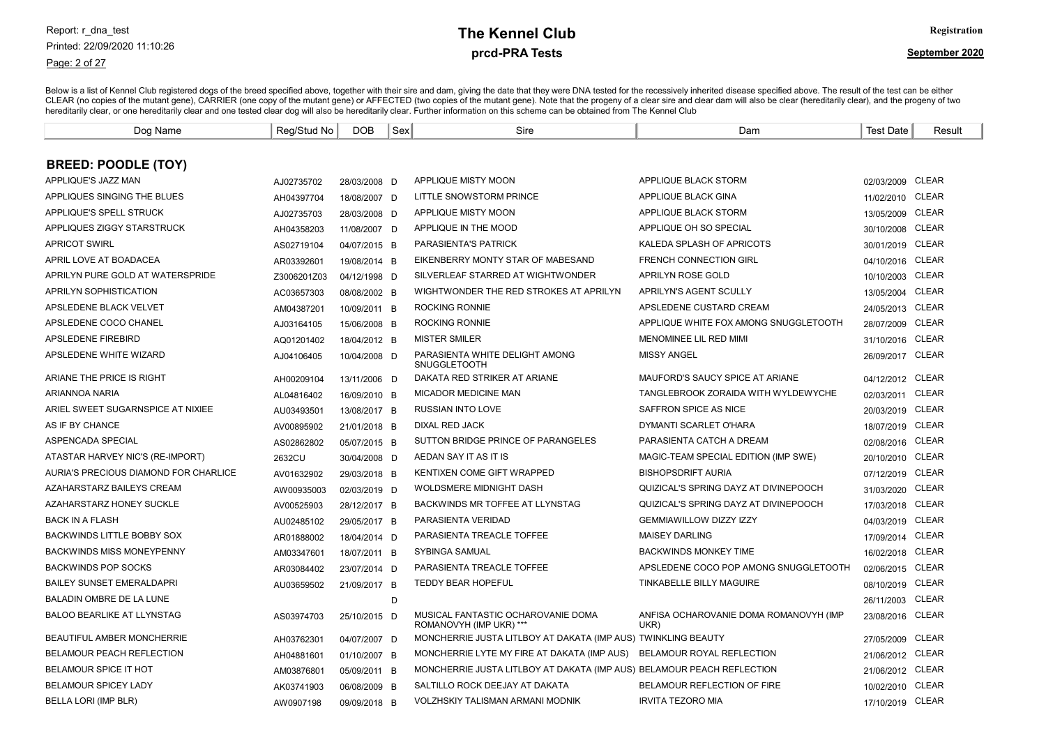### Page: 2 of 27

# prcd-PRA Tests **The Kennel Club** Registration

| Dog Name                              | Reg/Stud No | <b>DOB</b>   | Sex | Sire                                                                   | Dam                                            | <b>Test Date</b> | Result       |
|---------------------------------------|-------------|--------------|-----|------------------------------------------------------------------------|------------------------------------------------|------------------|--------------|
|                                       |             |              |     |                                                                        |                                                |                  |              |
| <b>BREED: POODLE (TOY)</b>            |             |              |     |                                                                        |                                                |                  |              |
| APPLIQUE'S JAZZ MAN                   | AJ02735702  | 28/03/2008 D |     | APPLIQUE MISTY MOON                                                    | APPLIQUE BLACK STORM                           | 02/03/2009 CLEAR |              |
| APPLIQUES SINGING THE BLUES           | AH04397704  | 18/08/2007 D |     | LITTLE SNOWSTORM PRINCE                                                | APPLIQUE BLACK GINA                            | 11/02/2010       | CLEAR        |
| APPLIQUE'S SPELL STRUCK               | AJ02735703  | 28/03/2008 D |     | APPLIQUE MISTY MOON                                                    | APPLIQUE BLACK STORM                           | 13/05/2009       | <b>CLEAR</b> |
| APPLIQUES ZIGGY STARSTRUCK            | AH04358203  | 11/08/2007 D |     | APPLIQUE IN THE MOOD                                                   | APPLIQUE OH SO SPECIAL                         | 30/10/2008       | <b>CLEAR</b> |
| <b>APRICOT SWIRL</b>                  | AS02719104  | 04/07/2015 B |     | <b>PARASIENTA'S PATRICK</b>                                            | KALEDA SPLASH OF APRICOTS                      | 30/01/2019 CLEAR |              |
| APRIL LOVE AT BOADACEA                | AR03392601  | 19/08/2014 B |     | EIKENBERRY MONTY STAR OF MABESAND                                      | <b>FRENCH CONNECTION GIRL</b>                  | 04/10/2016 CLEAR |              |
| APRILYN PURE GOLD AT WATERSPRIDE      | Z3006201Z03 | 04/12/1998 D |     | SILVERLEAF STARRED AT WIGHTWONDER                                      | APRILYN ROSE GOLD                              | 10/10/2003 CLEAR |              |
| APRILYN SOPHISTICATION                | AC03657303  | 08/08/2002 B |     | WIGHTWONDER THE RED STROKES AT APRILYN                                 | APRILYN'S AGENT SCULLY                         | 13/05/2004       | <b>CLEAR</b> |
| APSLEDENE BLACK VELVET                | AM04387201  | 10/09/2011 B |     | <b>ROCKING RONNIE</b>                                                  | APSLEDENE CUSTARD CREAM                        | 24/05/2013 CLEAR |              |
| APSLEDENE COCO CHANEL                 | AJ03164105  | 15/06/2008 B |     | <b>ROCKING RONNIE</b>                                                  | APPLIQUE WHITE FOX AMONG SNUGGLETOOTH          | 28/07/2009       | <b>CLEAR</b> |
| APSLEDENE FIREBIRD                    | AQ01201402  | 18/04/2012 B |     | <b>MISTER SMILER</b>                                                   | MENOMINEE LIL RED MIMI                         | 31/10/2016       | CLEAR        |
| APSLEDENE WHITE WIZARD                | AJ04106405  | 10/04/2008 D |     | PARASIENTA WHITE DELIGHT AMONG<br><b>SNUGGLETOOTH</b>                  | <b>MISSY ANGEL</b>                             | 26/09/2017 CLEAR |              |
| ARIANE THE PRICE IS RIGHT             | AH00209104  | 13/11/2006 D |     | DAKATA RED STRIKER AT ARIANE                                           | MAUFORD'S SAUCY SPICE AT ARIANE                | 04/12/2012 CLEAR |              |
| <b>ARIANNOA NARIA</b>                 | AL04816402  | 16/09/2010 B |     | <b>MICADOR MEDICINE MAN</b>                                            | TANGLEBROOK ZORAIDA WITH WYLDEWYCHE            | 02/03/2011 CLEAR |              |
| ARIEL SWEET SUGARNSPICE AT NIXIEE     | AU03493501  | 13/08/2017 B |     | <b>RUSSIAN INTO LOVE</b>                                               | SAFFRON SPICE AS NICE                          | 20/03/2019       | CLEAR        |
| AS IF BY CHANCE                       | AV00895902  | 21/01/2018 B |     | DIXAL RED JACK                                                         | DYMANTI SCARLET O'HARA                         | 18/07/2019       | CLEAR        |
| ASPENCADA SPECIAL                     | AS02862802  | 05/07/2015 B |     | SUTTON BRIDGE PRINCE OF PARANGELES                                     | PARASIENTA CATCH A DREAM                       | 02/08/2016       | <b>CLEAR</b> |
| ATASTAR HARVEY NIC'S (RE-IMPORT)      | 2632CU      | 30/04/2008 D |     | AEDAN SAY IT AS IT IS                                                  | MAGIC-TEAM SPECIAL EDITION (IMP SWE)           | 20/10/2010       | CLEAR        |
| AURIA'S PRECIOUS DIAMOND FOR CHARLICE | AV01632902  | 29/03/2018 B |     | KENTIXEN COME GIFT WRAPPED                                             | <b>BISHOPSDRIFT AURIA</b>                      | 07/12/2019       | <b>CLEAR</b> |
| AZAHARSTARZ BAILEYS CREAM             | AW00935003  | 02/03/2019 D |     | WOLDSMERE MIDNIGHT DASH                                                | QUIZICAL'S SPRING DAYZ AT DIVINEPOOCH          | 31/03/2020       | CLEAR        |
| <b>AZAHARSTARZ HONEY SUCKLE</b>       | AV00525903  | 28/12/2017 B |     | BACKWINDS MR TOFFEE AT LLYNSTAG                                        | QUIZICAL'S SPRING DAYZ AT DIVINEPOOCH          | 17/03/2018       | <b>CLEAR</b> |
| <b>BACK IN A FLASH</b>                | AU02485102  | 29/05/2017 B |     | PARASIENTA VERIDAD                                                     | <b>GEMMIAWILLOW DIZZY IZZY</b>                 | 04/03/2019       | <b>CLEAR</b> |
| <b>BACKWINDS LITTLE BOBBY SOX</b>     | AR01888002  | 18/04/2014 D |     | PARASIENTA TREACLE TOFFEE                                              | <b>MAISEY DARLING</b>                          | 17/09/2014       | CLEAR        |
| <b>BACKWINDS MISS MONEYPENNY</b>      | AM03347601  | 18/07/2011 B |     | SYBINGA SAMUAL                                                         | <b>BACKWINDS MONKEY TIME</b>                   | 16/02/2018       | <b>CLEAR</b> |
| <b>BACKWINDS POP SOCKS</b>            | AR03084402  | 23/07/2014 D |     | PARASIENTA TREACLE TOFFEE                                              | APSLEDENE COCO POP AMONG SNUGGLETOOTH          | 02/06/2015       | CLEAR        |
| <b>BAILEY SUNSET EMERALDAPRI</b>      | AU03659502  | 21/09/2017 B |     | TEDDY BEAR HOPEFUL                                                     | TINKABELLE BILLY MAGUIRE                       | 08/10/2019       | <b>CLEAR</b> |
| BALADIN OMBRE DE LA LUNE              |             |              | D   |                                                                        |                                                | 26/11/2003       | <b>CLEAR</b> |
| <b>BALOO BEARLIKE AT LLYNSTAG</b>     | AS03974703  | 25/10/2015 D |     | MUSICAL FANTASTIC OCHAROVANIE DOMA<br>ROMANOVYH (IMP UKR) ***          | ANFISA OCHAROVANIE DOMA ROMANOVYH (IMP<br>UKR) | 23/08/2016       | CLEAR        |
| <b>BEAUTIFUL AMBER MONCHERRIE</b>     | AH03762301  | 04/07/2007 D |     | MONCHERRIE JUSTA LITLBOY AT DAKATA (IMP AUS) TWINKLING BEAUTY          |                                                | 27/05/2009       | <b>CLEAR</b> |
| BELAMOUR PEACH REFLECTION             | AH04881601  | 01/10/2007 B |     | MONCHERRIE LYTE MY FIRE AT DAKATA (IMP AUS)                            | BELAMOUR ROYAL REFLECTION                      | 21/06/2012       | CLEAR        |
| BELAMOUR SPICE IT HOT                 | AM03876801  | 05/09/2011 B |     | MONCHERRIE JUSTA LITLBOY AT DAKATA (IMP AUS) BELAMOUR PEACH REFLECTION |                                                | 21/06/2012 CLEAR |              |
| <b>BELAMOUR SPICEY LADY</b>           | AK03741903  | 06/08/2009 B |     | SALTILLO ROCK DEEJAY AT DAKATA                                         | <b>BELAMOUR REFLECTION OF FIRE</b>             | 10/02/2010       | CLEAR        |
| BELLA LORI (IMP BLR)                  | AW0907198   | 09/09/2018 B |     | <b>VOLZHSKIY TALISMAN ARMANI MODNIK</b>                                | <b>IRVITA TEZORO MIA</b>                       | 17/10/2019 CLEAR |              |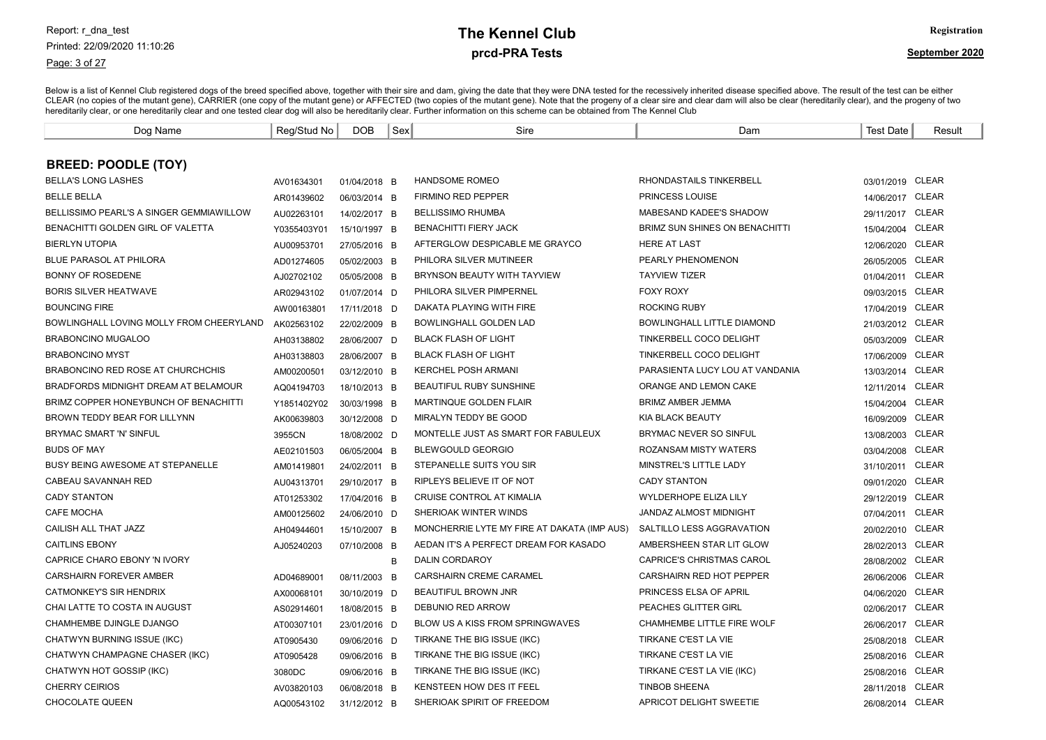Page: 3 of 27

# prcd-PRA Tests **The Kennel Club** Registration

| Dog Name                                 | Reg/Stud No | <b>DOB</b>   | Sex | Sire                                        | Dam                               | <b>Test Date</b> | Result       |
|------------------------------------------|-------------|--------------|-----|---------------------------------------------|-----------------------------------|------------------|--------------|
|                                          |             |              |     |                                             |                                   |                  |              |
| <b>BREED: POODLE (TOY)</b>               |             |              |     |                                             |                                   |                  |              |
| <b>BELLA'S LONG LASHES</b>               | AV01634301  | 01/04/2018 B |     | HANDSOME ROMEO                              | RHONDASTAILS TINKERBELL           | 03/01/2019 CLEAR |              |
| <b>BELLE BELLA</b>                       | AR01439602  | 06/03/2014 B |     | <b>FIRMINO RED PEPPER</b>                   | <b>PRINCESS LOUISE</b>            | 14/06/2017 CLEAR |              |
| BELLISSIMO PEARL'S A SINGER GEMMIAWILLOW | AU02263101  | 14/02/2017 B |     | <b>BELLISSIMO RHUMBA</b>                    | MABESAND KADEE'S SHADOW           | 29/11/2017 CLEAR |              |
| BENACHITTI GOLDEN GIRL OF VALETTA        | Y0355403Y01 | 15/10/1997 B |     | <b>BENACHITTI FIERY JACK</b>                | BRIMZ SUN SHINES ON BENACHITTI    | 15/04/2004       | <b>CLEAR</b> |
| <b>BIERLYN UTOPIA</b>                    | AU00953701  | 27/05/2016 B |     | AFTERGLOW DESPICABLE ME GRAYCO              | <b>HERE AT LAST</b>               | 12/06/2020       | <b>CLEAR</b> |
| <b>BLUE PARASOL AT PHILORA</b>           | AD01274605  | 05/02/2003 B |     | PHILORA SILVER MUTINEER                     | PEARLY PHENOMENON                 | 26/05/2005       | <b>CLEAR</b> |
| <b>BONNY OF ROSEDENE</b>                 | AJ02702102  | 05/05/2008 B |     | BRYNSON BEAUTY WITH TAYVIEW                 | <b>TAYVIEW TIZER</b>              | 01/04/2011       | CLEAR        |
| <b>BORIS SILVER HEATWAVE</b>             | AR02943102  | 01/07/2014 D |     | PHILORA SILVER PIMPERNEL                    | <b>FOXY ROXY</b>                  | 09/03/2015 CLEAR |              |
| <b>BOUNCING FIRE</b>                     | AW00163801  | 17/11/2018 D |     | DAKATA PLAYING WITH FIRE                    | <b>ROCKING RUBY</b>               | 17/04/2019       | <b>CLEAR</b> |
| BOWLINGHALL LOVING MOLLY FROM CHEERYLAND | AK02563102  | 22/02/2009 B |     | BOWLINGHALL GOLDEN LAD                      | BOWLINGHALL LITTLE DIAMOND        | 21/03/2012       | <b>CLEAR</b> |
| <b>BRABONCINO MUGALOO</b>                | AH03138802  | 28/06/2007 D |     | <b>BLACK FLASH OF LIGHT</b>                 | TINKERBELL COCO DELIGHT           | 05/03/2009       | <b>CLEAR</b> |
| <b>BRABONCINO MYST</b>                   | AH03138803  | 28/06/2007 B |     | <b>BLACK FLASH OF LIGHT</b>                 | TINKERBELL COCO DELIGHT           | 17/06/2009       | <b>CLEAR</b> |
| <b>BRABONCINO RED ROSE AT CHURCHCHIS</b> | AM00200501  | 03/12/2010 B |     | <b>KERCHEL POSH ARMANI</b>                  | PARASIENTA LUCY LOU AT VANDANIA   | 13/03/2014       | <b>CLEAR</b> |
| BRADFORDS MIDNIGHT DREAM AT BELAMOUR     | AQ04194703  | 18/10/2013 B |     | <b>BEAUTIFUL RUBY SUNSHINE</b>              | ORANGE AND LEMON CAKE             | 12/11/2014       | <b>CLEAR</b> |
| BRIMZ COPPER HONEYBUNCH OF BENACHITTI    | Y1851402Y02 | 30/03/1998 B |     | <b>MARTINQUE GOLDEN FLAIR</b>               | <b>BRIMZ AMBER JEMMA</b>          | 15/04/2004       | <b>CLEAR</b> |
| BROWN TEDDY BEAR FOR LILLYNN             | AK00639803  | 30/12/2008 D |     | MIRALYN TEDDY BE GOOD                       | KIA BLACK BEAUTY                  | 16/09/2009       | <b>CLEAR</b> |
| <b>BRYMAC SMART 'N' SINFUL</b>           | 3955CN      | 18/08/2002 D |     | MONTELLE JUST AS SMART FOR FABULEUX         | <b>BRYMAC NEVER SO SINFUL</b>     | 13/08/2003       | <b>CLEAR</b> |
| <b>BUDS OF MAY</b>                       | AE02101503  | 06/05/2004 B |     | <b>BLEWGOULD GEORGIO</b>                    | ROZANSAM MISTY WATERS             | 03/04/2008       | <b>CLEAR</b> |
| <b>BUSY BEING AWESOME AT STEPANELLE</b>  | AM01419801  | 24/02/2011 B |     | STEPANELLE SUITS YOU SIR                    | MINSTREL'S LITTLE LADY            | 31/10/2011       | <b>CLEAR</b> |
| CABEAU SAVANNAH RED                      | AU04313701  | 29/10/2017 B |     | RIPLEYS BELIEVE IT OF NOT                   | <b>CADY STANTON</b>               | 09/01/2020       | <b>CLEAR</b> |
| <b>CADY STANTON</b>                      | AT01253302  | 17/04/2016 B |     | CRUISE CONTROL AT KIMALIA                   | WYLDERHOPE ELIZA LILY             | 29/12/2019       | <b>CLEAR</b> |
| <b>CAFE MOCHA</b>                        | AM00125602  | 24/06/2010 D |     | SHERIOAK WINTER WINDS                       | <b>JANDAZ ALMOST MIDNIGHT</b>     | 07/04/2011       | <b>CLEAR</b> |
| CAILISH ALL THAT JAZZ                    | AH04944601  | 15/10/2007 B |     | MONCHERRIE LYTE MY FIRE AT DAKATA (IMP AUS) | SALTILLO LESS AGGRAVATION         | 20/02/2010       | <b>CLEAR</b> |
| <b>CAITLINS EBONY</b>                    | AJ05240203  | 07/10/2008 B |     | AEDAN IT'S A PERFECT DREAM FOR KASADO       | AMBERSHEEN STAR LIT GLOW          | 28/02/2013       | <b>CLEAR</b> |
| CAPRICE CHARO EBONY 'N IVORY             |             |              | B   | DALIN CORDAROY                              | CAPRICE'S CHRISTMAS CAROL         | 28/08/2002       | <b>CLEAR</b> |
| <b>CARSHAIRN FOREVER AMBER</b>           | AD04689001  | 08/11/2003 B |     | <b>CARSHAIRN CREME CARAMEL</b>              | CARSHAIRN RED HOT PEPPER          | 26/06/2006       | <b>CLEAR</b> |
| <b>CATMONKEY'S SIR HENDRIX</b>           | AX00068101  | 30/10/2019 D |     | <b>BEAUTIFUL BROWN JNR</b>                  | PRINCESS ELSA OF APRIL            | 04/06/2020       | <b>CLEAR</b> |
| CHAI LATTE TO COSTA IN AUGUST            | AS02914601  | 18/08/2015 B |     | DEBUNIO RED ARROW                           | PEACHES GLITTER GIRL              | 02/06/2017       | <b>CLEAR</b> |
| CHAMHEMBE DJINGLE DJANGO                 | AT00307101  | 23/01/2016 D |     | BLOW US A KISS FROM SPRINGWAVES             | <b>CHAMHEMBE LITTLE FIRE WOLF</b> | 26/06/2017       | CLEAR        |
| CHATWYN BURNING ISSUE (IKC)              | AT0905430   | 09/06/2016 D |     | TIRKANE THE BIG ISSUE (IKC)                 | TIRKANE C'EST LA VIE              | 25/08/2018       | <b>CLEAR</b> |
| CHATWYN CHAMPAGNE CHASER (IKC)           | AT0905428   | 09/06/2016 B |     | TIRKANE THE BIG ISSUE (IKC)                 | TIRKANE C'EST LA VIE              | 25/08/2016       | CLEAR        |
| CHATWYN HOT GOSSIP (IKC)                 | 3080DC      | 09/06/2016 B |     | TIRKANE THE BIG ISSUE (IKC)                 | TIRKANE C'EST LA VIE (IKC)        | 25/08/2016       | <b>CLEAR</b> |
| <b>CHERRY CEIRIOS</b>                    | AV03820103  | 06/08/2018 B |     | KENSTEEN HOW DES IT FEEL                    | <b>TINBOB SHEENA</b>              | 28/11/2018       | <b>CLEAR</b> |
| <b>CHOCOLATE QUEEN</b>                   | AQ00543102  | 31/12/2012 B |     | SHERIOAK SPIRIT OF FREEDOM                  | APRICOT DELIGHT SWEETIE           | 26/08/2014 CLEAR |              |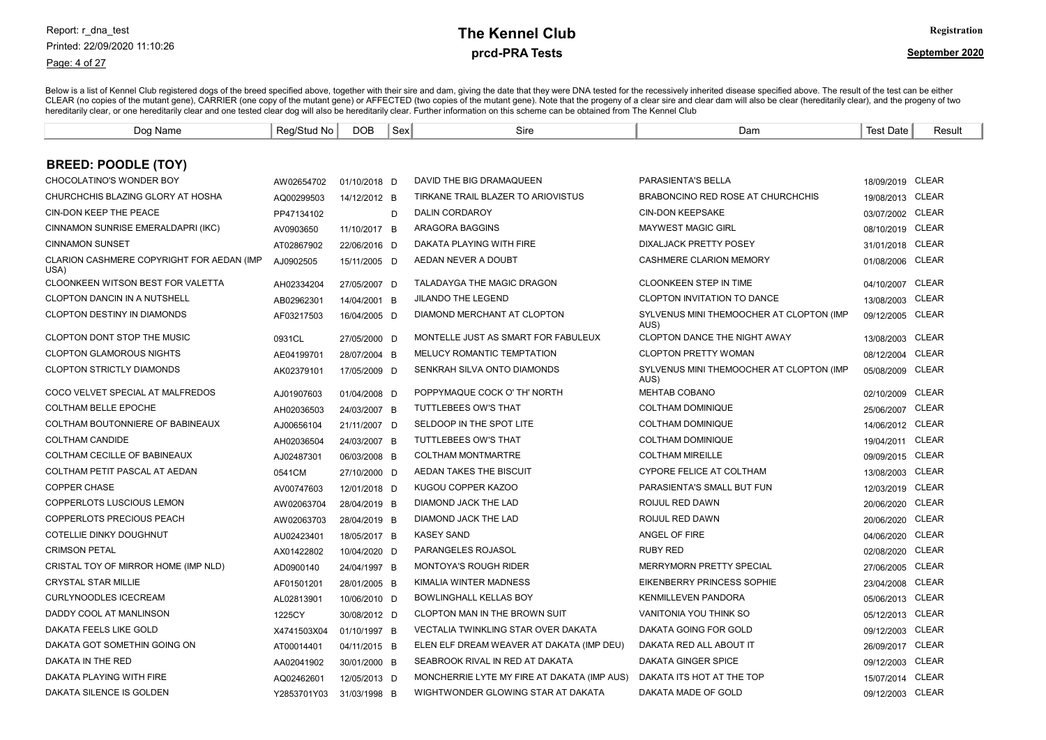Page: 4 of 27

# prcd-PRA Tests **The Kennel Club** Registration

| Dog Name                                          | Reg/Stud No | <b>DOB</b>   | Sex | Sire                                        | Dam                                              | <b>Test Date</b> | Result       |
|---------------------------------------------------|-------------|--------------|-----|---------------------------------------------|--------------------------------------------------|------------------|--------------|
|                                                   |             |              |     |                                             |                                                  |                  |              |
| <b>BREED: POODLE (TOY)</b>                        |             |              |     |                                             |                                                  |                  |              |
| CHOCOLATINO'S WONDER BOY                          | AW02654702  | 01/10/2018 D |     | DAVID THE BIG DRAMAQUEEN                    | PARASIENTA'S BELLA                               | 18/09/2019 CLEAR |              |
| CHURCHCHIS BLAZING GLORY AT HOSHA                 | AQ00299503  | 14/12/2012 B |     | TIRKANE TRAIL BLAZER TO ARIOVISTUS          | <b>BRABONCINO RED ROSE AT CHURCHCHIS</b>         | 19/08/2013 CLEAR |              |
| CIN-DON KEEP THE PEACE                            | PP47134102  |              | D   | DALIN CORDAROY                              | <b>CIN-DON KEEPSAKE</b>                          | 03/07/2002 CLEAR |              |
| CINNAMON SUNRISE EMERALDAPRI (IKC)                | AV0903650   | 11/10/2017 B |     | <b>ARAGORA BAGGINS</b>                      | <b>MAYWEST MAGIC GIRL</b>                        | 08/10/2019 CLEAR |              |
| <b>CINNAMON SUNSET</b>                            | AT02867902  | 22/06/2016 D |     | DAKATA PLAYING WITH FIRE                    | <b>DIXALJACK PRETTY POSEY</b>                    | 31/01/2018       | CLEAR        |
| CLARION CASHMERE COPYRIGHT FOR AEDAN (IMP<br>USA) | AJ0902505   | 15/11/2005 D |     | AEDAN NEVER A DOUBT                         | CASHMERE CLARION MEMORY                          | 01/08/2006       | <b>CLEAR</b> |
| CLOONKEEN WITSON BEST FOR VALETTA                 | AH02334204  | 27/05/2007 D |     | <b>TALADAYGA THE MAGIC DRAGON</b>           | <b>CLOONKEEN STEP IN TIME</b>                    | 04/10/2007       | CLEAR        |
| <b>CLOPTON DANCIN IN A NUTSHELL</b>               | AB02962301  | 14/04/2001 B |     | <b>JILANDO THE LEGEND</b>                   | <b>CLOPTON INVITATION TO DANCE</b>               | 13/08/2003       | <b>CLEAR</b> |
| <b>CLOPTON DESTINY IN DIAMONDS</b>                | AF03217503  | 16/04/2005 D |     | DIAMOND MERCHANT AT CLOPTON                 | SYLVENUS MINI THEMOOCHER AT CLOPTON (IMP<br>AUS) | 09/12/2005       | <b>CLEAR</b> |
| <b>CLOPTON DONT STOP THE MUSIC</b>                | 0931CL      | 27/05/2000 D |     | MONTELLE JUST AS SMART FOR FABULEUX         | <b>CLOPTON DANCE THE NIGHT AWAY</b>              | 13/08/2003       | <b>CLEAR</b> |
| <b>CLOPTON GLAMOROUS NIGHTS</b>                   | AE04199701  | 28/07/2004 B |     | MELUCY ROMANTIC TEMPTATION                  | <b>CLOPTON PRETTY WOMAN</b>                      | 08/12/2004       | <b>CLEAR</b> |
| <b>CLOPTON STRICTLY DIAMONDS</b>                  | AK02379101  | 17/05/2009 D |     | SENKRAH SILVA ONTO DIAMONDS                 | SYLVENUS MINI THEMOOCHER AT CLOPTON (IMP<br>AUS) | 05/08/2009       | CLEAR        |
| COCO VELVET SPECIAL AT MALFREDOS                  | AJ01907603  | 01/04/2008 D |     | POPPYMAQUE COCK O' TH' NORTH                | MEHTAB COBANO                                    | 02/10/2009       | <b>CLEAR</b> |
| <b>COLTHAM BELLE EPOCHE</b>                       | AH02036503  | 24/03/2007 B |     | <b>TUTTLEBEES OW'S THAT</b>                 | <b>COLTHAM DOMINIQUE</b>                         | 25/06/2007       | <b>CLEAR</b> |
| COLTHAM BOUTONNIERE OF BABINEAUX                  | AJ00656104  | 21/11/2007 D |     | SELDOOP IN THE SPOT LITE                    | <b>COLTHAM DOMINIQUE</b>                         | 14/06/2012 CLEAR |              |
| <b>COLTHAM CANDIDE</b>                            | AH02036504  | 24/03/2007 B |     | <b>TUTTLEBEES OW'S THAT</b>                 | <b>COLTHAM DOMINIQUE</b>                         | 19/04/2011       | <b>CLEAR</b> |
| COLTHAM CECILLE OF BABINEAUX                      | AJ02487301  | 06/03/2008 B |     | <b>COLTHAM MONTMARTRE</b>                   | <b>COLTHAM MIREILLE</b>                          | 09/09/2015 CLEAR |              |
| COLTHAM PETIT PASCAL AT AEDAN                     | 0541CM      | 27/10/2000 D |     | AEDAN TAKES THE BISCUIT                     | CYPORE FELICE AT COLTHAM                         | 13/08/2003       | <b>CLEAR</b> |
| <b>COPPER CHASE</b>                               | AV00747603  | 12/01/2018 D |     | KUGOU COPPER KAZOO                          | PARASIENTA'S SMALL BUT FUN                       | 12/03/2019 CLEAR |              |
| COPPERLOTS LUSCIOUS LEMON                         | AW02063704  | 28/04/2019 B |     | DIAMOND JACK THE LAD                        | ROIJUL RED DAWN                                  | 20/06/2020       | <b>CLEAR</b> |
| <b>COPPERLOTS PRECIOUS PEACH</b>                  | AW02063703  | 28/04/2019 B |     | <b>DIAMOND JACK THE LAD</b>                 | ROIJUL RED DAWN                                  | 20/06/2020       | CLEAR        |
| <b>COTELLIE DINKY DOUGHNUT</b>                    | AU02423401  | 18/05/2017 B |     | <b>KASEY SAND</b>                           | ANGEL OF FIRE                                    | 04/06/2020       | <b>CLEAR</b> |
| <b>CRIMSON PETAL</b>                              | AX01422802  | 10/04/2020 D |     | PARANGELES ROJASOL                          | <b>RUBY RED</b>                                  | 02/08/2020       | CLEAR        |
| CRISTAL TOY OF MIRROR HOME (IMP NLD)              | AD0900140   | 24/04/1997 B |     | <b>MONTOYA'S ROUGH RIDER</b>                | MERRYMORN PRETTY SPECIAL                         | 27/06/2005       | <b>CLEAR</b> |
| <b>CRYSTAL STAR MILLIE</b>                        | AF01501201  | 28/01/2005 B |     | KIMALIA WINTER MADNESS                      | <b>EIKENBERRY PRINCESS SOPHIE</b>                | 23/04/2008       | <b>CLEAR</b> |
| <b>CURLYNOODLES ICECREAM</b>                      | AL02813901  | 10/06/2010 D |     | <b>BOWLINGHALL KELLAS BOY</b>               | <b>KENMILLEVEN PANDORA</b>                       | 05/06/2013       | CLEAR        |
| DADDY COOL AT MANLINSON                           | 1225CY      | 30/08/2012 D |     | CLOPTON MAN IN THE BROWN SUIT               | VANITONIA YOU THINK SO                           | 05/12/2013 CLEAR |              |
| DAKATA FEELS LIKE GOLD                            | X4741503X04 | 01/10/1997 B |     | VECTALIA TWINKLING STAR OVER DAKATA         | DAKATA GOING FOR GOLD                            | 09/12/2003       | CLEAR        |
| DAKATA GOT SOMETHIN GOING ON                      | AT00014401  | 04/11/2015 B |     | ELEN ELF DREAM WEAVER AT DAKATA (IMP DEU)   | DAKATA RED ALL ABOUT IT                          | 26/09/2017       | CLEAR        |
| DAKATA IN THE RED                                 | AA02041902  | 30/01/2000 B |     | SEABROOK RIVAL IN RED AT DAKATA             | DAKATA GINGER SPICE                              | 09/12/2003 CLEAR |              |
| DAKATA PLAYING WITH FIRE                          | AQ02462601  | 12/05/2013 D |     | MONCHERRIE LYTE MY FIRE AT DAKATA (IMP AUS) | DAKATA ITS HOT AT THE TOP                        | 15/07/2014       | <b>CLEAR</b> |
| DAKATA SILENCE IS GOLDEN                          | Y2853701Y03 | 31/03/1998 B |     | WIGHTWONDER GLOWING STAR AT DAKATA          | DAKATA MADE OF GOLD                              | 09/12/2003 CLEAR |              |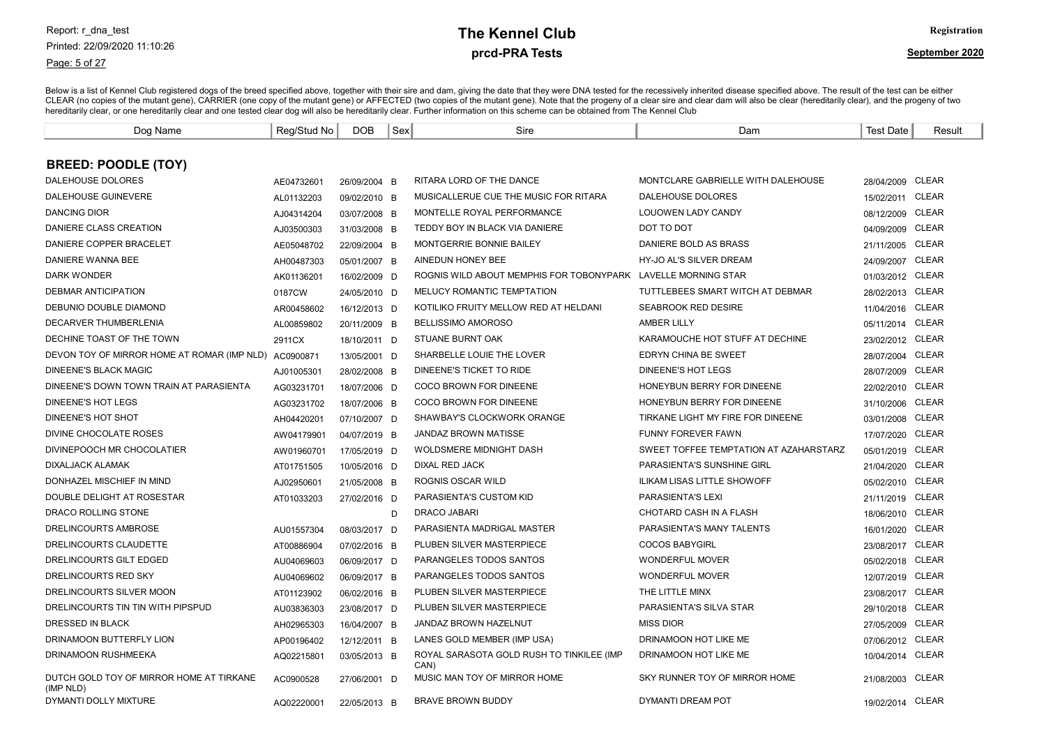Page: 5 of 27

# prcd-PRA Tests **The Kennel Club** Registration

| Dog Name                                              | Reg/Stud No | <b>DOB</b>   | Sex | Sire                                              | Dam                                    | <b>Test Date</b> | Result       |
|-------------------------------------------------------|-------------|--------------|-----|---------------------------------------------------|----------------------------------------|------------------|--------------|
|                                                       |             |              |     |                                                   |                                        |                  |              |
| <b>BREED: POODLE (TOY)</b>                            |             |              |     |                                                   |                                        |                  |              |
| <b>DALEHOUSE DOLORES</b>                              | AE04732601  | 26/09/2004 B |     | RITARA LORD OF THE DANCE                          | MONTCLARE GABRIELLE WITH DALEHOUSE     | 28/04/2009 CLEAR |              |
| <b>DALEHOUSE GUINEVERE</b>                            | AL01132203  | 09/02/2010 B |     | MUSICALLERUE CUE THE MUSIC FOR RITARA             | <b>DALEHOUSE DOLORES</b>               | 15/02/2011       | <b>CLEAR</b> |
| <b>DANCING DIOR</b>                                   | AJ04314204  | 03/07/2008 B |     | MONTELLE ROYAL PERFORMANCE                        | <b>LOUOWEN LADY CANDY</b>              | 08/12/2009 CLEAR |              |
| DANIERE CLASS CREATION                                | AJ03500303  | 31/03/2008 B |     | TEDDY BOY IN BLACK VIA DANIERE                    | DOT TO DOT                             | 04/09/2009 CLEAR |              |
| DANIERE COPPER BRACELET                               | AE05048702  | 22/09/2004 B |     | MONTGERRIE BONNIE BAILEY                          | DANIERE BOLD AS BRASS                  | 21/11/2005 CLEAR |              |
| DANIERE WANNA BEE                                     | AH00487303  | 05/01/2007 B |     | AINEDUN HONEY BEE                                 | HY-JO AL'S SILVER DREAM                | 24/09/2007 CLEAR |              |
| <b>DARK WONDER</b>                                    | AK01136201  | 16/02/2009 D |     | ROGNIS WILD ABOUT MEMPHIS FOR TOBONYPARK          | <b>LAVELLE MORNING STAR</b>            | 01/03/2012 CLEAR |              |
| DEBMAR ANTICIPATION                                   | 0187CW      | 24/05/2010 D |     | MELUCY ROMANTIC TEMPTATION                        | TUTTLEBEES SMART WITCH AT DEBMAR       | 28/02/2013 CLEAR |              |
| DEBUNIO DOUBLE DIAMOND                                | AR00458602  | 16/12/2013 D |     | KOTILIKO FRUITY MELLOW RED AT HELDANI             | <b>SEABROOK RED DESIRE</b>             | 11/04/2016       | <b>CLEAR</b> |
| <b>DECARVER THUMBERLENIA</b>                          | AL00859802  | 20/11/2009 B |     | <b>BELLISSIMO AMOROSO</b>                         | <b>AMBER LILLY</b>                     | 05/11/2014       | <b>CLEAR</b> |
| DECHINE TOAST OF THE TOWN                             | 2911CX      | 18/10/2011 D |     | <b>STUANE BURNT OAK</b>                           | KARAMOUCHE HOT STUFF AT DECHINE        | 23/02/2012       | <b>CLEAR</b> |
| DEVON TOY OF MIRROR HOME AT ROMAR (IMP NLD)           | AC0900871   | 13/05/2001 D |     | SHARBELLE LOUIE THE LOVER                         | EDRYN CHINA BE SWEET                   | 28/07/2004       | <b>CLEAR</b> |
| <b>DINEENE'S BLACK MAGIC</b>                          | AJ01005301  | 28/02/2008 B |     | DINEENE'S TICKET TO RIDE                          | <b>DINEENE'S HOT LEGS</b>              | 28/07/2009       | <b>CLEAR</b> |
| DINEENE'S DOWN TOWN TRAIN AT PARASIENTA               | AG03231701  | 18/07/2006 D |     | COCO BROWN FOR DINEENE                            | HONEYBUN BERRY FOR DINEENE             | 22/02/2010       | <b>CLEAR</b> |
| <b>DINEENE'S HOT LEGS</b>                             | AG03231702  | 18/07/2006 B |     | COCO BROWN FOR DINEENE                            | HONEYBUN BERRY FOR DINEENE             | 31/10/2006       | <b>CLEAR</b> |
| DINEENE'S HOT SHOT                                    | AH04420201  | 07/10/2007 D |     | SHAWBAY'S CLOCKWORK ORANGE                        | TIRKANE LIGHT MY FIRE FOR DINEENE      | 03/01/2008       | <b>CLEAR</b> |
| DIVINE CHOCOLATE ROSES                                | AW04179901  | 04/07/2019 B |     | <b>JANDAZ BROWN MATISSE</b>                       | <b>FUNNY FOREVER FAWN</b>              | 17/07/2020       | <b>CLEAR</b> |
| DIVINEPOOCH MR CHOCOLATIER                            | AW01960701  | 17/05/2019 D |     | <b>WOLDSMERE MIDNIGHT DASH</b>                    | SWEET TOFFEE TEMPTATION AT AZAHARSTARZ | 05/01/2019       | <b>CLEAR</b> |
| <b>DIXALJACK ALAMAK</b>                               | AT01751505  | 10/05/2016 D |     | <b>DIXAL RED JACK</b>                             | PARASIENTA'S SUNSHINE GIRL             | 21/04/2020       | <b>CLEAR</b> |
| DONHAZEL MISCHIEF IN MIND                             | AJ02950601  | 21/05/2008 B |     | ROGNIS OSCAR WILD                                 | ILIKAM LISAS LITTLE SHOWOFF            | 05/02/2010       | <b>CLEAR</b> |
| DOUBLE DELIGHT AT ROSESTAR                            | AT01033203  | 27/02/2016 D |     | PARASIENTA'S CUSTOM KID                           | <b>PARASIENTA'S LEXI</b>               | 21/11/2019       | CLEAR        |
| DRACO ROLLING STONE                                   |             |              | D   | <b>DRACO JABARI</b>                               | CHOTARD CASH IN A FLASH                | 18/06/2010 CLEAR |              |
| DRELINCOURTS AMBROSE                                  | AU01557304  | 08/03/2017 D |     | PARASIENTA MADRIGAL MASTER                        | PARASIENTA'S MANY TALENTS              | 16/01/2020       | <b>CLEAR</b> |
| DRELINCOURTS CLAUDETTE                                | AT00886904  | 07/02/2016 B |     | PLUBEN SILVER MASTERPIECE                         | <b>COCOS BABYGIRL</b>                  | 23/08/2017 CLEAR |              |
| DRELINCOURTS GILT EDGED                               | AU04069603  | 06/09/2017 D |     | PARANGELES TODOS SANTOS                           | <b>WONDERFUL MOVER</b>                 | 05/02/2018       | <b>CLEAR</b> |
| DRELINCOURTS RED SKY                                  | AU04069602  | 06/09/2017 B |     | PARANGELES TODOS SANTOS                           | <b>WONDERFUL MOVER</b>                 | 12/07/2019 CLEAR |              |
| DRELINCOURTS SILVER MOON                              | AT01123902  | 06/02/2016 B |     | PLUBEN SILVER MASTERPIECE                         | THE LITTLE MINX                        | 23/08/2017 CLEAR |              |
| DRELINCOURTS TIN TIN WITH PIPSPUD                     | AU03836303  | 23/08/2017 D |     | PLUBEN SILVER MASTERPIECE                         | PARASIENTA'S SILVA STAR                | 29/10/2018       | <b>CLEAR</b> |
| DRESSED IN BLACK                                      | AH02965303  | 16/04/2007 B |     | JANDAZ BROWN HAZELNUT                             | <b>MISS DIOR</b>                       | 27/05/2009       | <b>CLEAR</b> |
| DRINAMOON BUTTERFLY LION                              | AP00196402  | 12/12/2011 B |     | LANES GOLD MEMBER (IMP USA)                       | DRINAMOON HOT LIKE ME                  | 07/06/2012 CLEAR |              |
| <b>DRINAMOON RUSHMEEKA</b>                            | AQ02215801  | 03/05/2013 B |     | ROYAL SARASOTA GOLD RUSH TO TINKILEE (IMP<br>CAN) | DRINAMOON HOT LIKE ME                  | 10/04/2014 CLEAR |              |
| DUTCH GOLD TOY OF MIRROR HOME AT TIRKANE<br>(IMP NLD) | AC0900528   | 27/06/2001 D |     | MUSIC MAN TOY OF MIRROR HOME                      | SKY RUNNER TOY OF MIRROR HOME          | 21/08/2003 CLEAR |              |
| DYMANTI DOLLY MIXTURE                                 | AQ02220001  | 22/05/2013 B |     | <b>BRAVE BROWN BUDDY</b>                          | DYMANTI DREAM POT                      | 19/02/2014 CLEAR |              |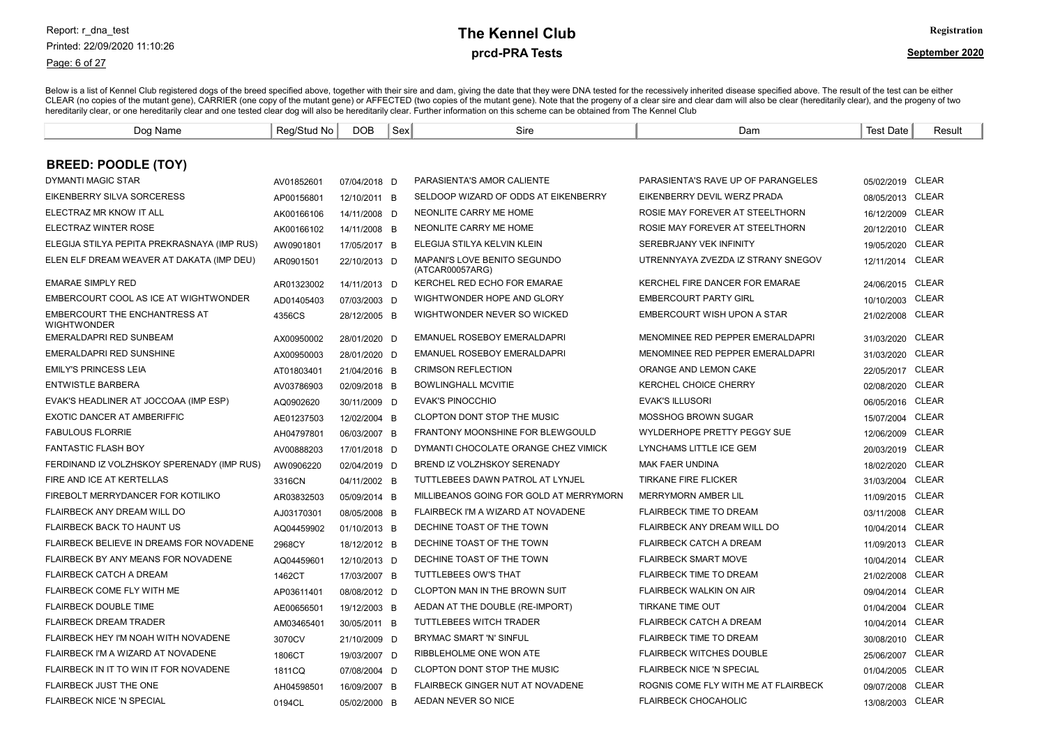### Page: 6 of 27

# prcd-PRA Tests **The Kennel Club** Registration

| Dog Name                                                   | Reg/Stud No | <b>DOB</b>   | Sex | Sire                                            | Dam                                  | Test Date        | Result       |
|------------------------------------------------------------|-------------|--------------|-----|-------------------------------------------------|--------------------------------------|------------------|--------------|
|                                                            |             |              |     |                                                 |                                      |                  |              |
| <b>BREED: POODLE (TOY)</b>                                 |             |              |     |                                                 |                                      |                  |              |
| DYMANTI MAGIC STAR                                         | AV01852601  | 07/04/2018 D |     | PARASIENTA'S AMOR CALIENTE                      | PARASIENTA'S RAVE UP OF PARANGELES   | 05/02/2019 CLEAR |              |
| EIKENBERRY SILVA SORCERESS                                 | AP00156801  | 12/10/2011 B |     | SELDOOP WIZARD OF ODDS AT EIKENBERRY            | EIKENBERRY DEVIL WERZ PRADA          | 08/05/2013 CLEAR |              |
| ELECTRAZ MR KNOW IT ALL                                    | AK00166106  | 14/11/2008 D |     | NEONLITE CARRY ME HOME                          | ROSIE MAY FOREVER AT STEELTHORN      | 16/12/2009 CLEAR |              |
| ELECTRAZ WINTER ROSE                                       | AK00166102  | 14/11/2008 B |     | NEONLITE CARRY ME HOME                          | ROSIE MAY FOREVER AT STEELTHORN      | 20/12/2010 CLEAR |              |
| ELEGIJA STILYA PEPITA PREKRASNAYA (IMP RUS)                | AW0901801   | 17/05/2017 B |     | ELEGIJA STILYA KELVIN KLEIN                     | SEREBRJANY VEK INFINITY              | 19/05/2020       | CLEAR        |
| ELEN ELF DREAM WEAVER AT DAKATA (IMP DEU)                  | AR0901501   | 22/10/2013 D |     | MAPANI'S LOVE BENITO SEGUNDO<br>(ATCAR00057ARG) | UTRENNYAYA ZVEZDA IZ STRANY SNEGOV   | 12/11/2014 CLEAR |              |
| <b>EMARAE SIMPLY RED</b>                                   | AR01323002  | 14/11/2013 D |     | KERCHEL RED ECHO FOR EMARAE                     | KERCHEL FIRE DANCER FOR EMARAE       | 24/06/2015 CLEAR |              |
| EMBERCOURT COOL AS ICE AT WIGHTWONDER                      | AD01405403  | 07/03/2003 D |     | WIGHTWONDER HOPE AND GLORY                      | <b>EMBERCOURT PARTY GIRL</b>         | 10/10/2003 CLEAR |              |
| <b>EMBERCOURT THE ENCHANTRESS AT</b><br><b>WIGHTWONDER</b> | 4356CS      | 28/12/2005 B |     | WIGHTWONDER NEVER SO WICKED                     | EMBERCOURT WISH UPON A STAR          | 21/02/2008       | CLEAR        |
| EMERALDAPRI RED SUNBEAM                                    | AX00950002  | 28/01/2020 D |     | <b>EMANUEL ROSEBOY EMERALDAPRI</b>              | MENOMINEE RED PEPPER EMERALDAPRI     | 31/03/2020       | <b>CLEAR</b> |
| EMERALDAPRI RED SUNSHINE                                   | AX00950003  | 28/01/2020 D |     | EMANUEL ROSEBOY EMERALDAPRI                     | MENOMINEE RED PEPPER EMERALDAPRI     | 31/03/2020       | CLEAR        |
| <b>EMILY'S PRINCESS LEIA</b>                               | AT01803401  | 21/04/2016 B |     | <b>CRIMSON REFLECTION</b>                       | ORANGE AND LEMON CAKE                | 22/05/2017 CLEAR |              |
| <b>ENTWISTLE BARBERA</b>                                   | AV03786903  | 02/09/2018 B |     | <b>BOWLINGHALL MCVITIE</b>                      | <b>KERCHEL CHOICE CHERRY</b>         | 02/08/2020       | <b>CLEAR</b> |
| EVAK'S HEADLINER AT JOCCOAA (IMP ESP)                      | AQ0902620   | 30/11/2009 D |     | <b>EVAK'S PINOCCHIO</b>                         | <b>EVAK'S ILLUSORI</b>               | 06/05/2016       | <b>CLEAR</b> |
| EXOTIC DANCER AT AMBERIFFIC                                | AE01237503  | 12/02/2004 B |     | <b>CLOPTON DONT STOP THE MUSIC</b>              | <b>MOSSHOG BROWN SUGAR</b>           | 15/07/2004       | <b>CLEAR</b> |
| <b>FABULOUS FLORRIE</b>                                    | AH04797801  | 06/03/2007 B |     | <b>FRANTONY MOONSHINE FOR BLEWGOULD</b>         | <b>WYLDERHOPE PRETTY PEGGY SUE</b>   | 12/06/2009       | <b>CLEAR</b> |
| <b>FANTASTIC FLASH BOY</b>                                 | AV00888203  | 17/01/2018 D |     | DYMANTI CHOCOLATE ORANGE CHEZ VIMICK            | LYNCHAMS LITTLE ICE GEM              | 20/03/2019 CLEAR |              |
| FERDINAND IZ VOLZHSKOY SPERENADY (IMP RUS)                 | AW0906220   | 02/04/2019 D |     | BREND IZ VOLZHSKOY SERENADY                     | <b>MAK FAER UNDINA</b>               | 18/02/2020       | <b>CLEAR</b> |
| FIRE AND ICE AT KERTELLAS                                  | 3316CN      | 04/11/2002 B |     | TUTTLEBEES DAWN PATROL AT LYNJEL                | <b>TIRKANE FIRE FLICKER</b>          | 31/03/2004       | <b>CLEAR</b> |
| FIREBOLT MERRYDANCER FOR KOTILIKO                          | AR03832503  | 05/09/2014 B |     | MILLIBEANOS GOING FOR GOLD AT MERRYMORN         | MERRYMORN AMBER LIL                  | 11/09/2015       | <b>CLEAR</b> |
| FLAIRBECK ANY DREAM WILL DO                                | AJ03170301  | 08/05/2008 B |     | FLAIRBECK I'M A WIZARD AT NOVADENE              | <b>FLAIRBECK TIME TO DREAM</b>       | 03/11/2008       | <b>CLEAR</b> |
| <b>FLAIRBECK BACK TO HAUNT US</b>                          | AQ04459902  | 01/10/2013 B |     | DECHINE TOAST OF THE TOWN                       | FLAIRBECK ANY DREAM WILL DO          | 10/04/2014       | <b>CLEAR</b> |
| FLAIRBECK BELIEVE IN DREAMS FOR NOVADENE                   | 2968CY      | 18/12/2012 B |     | DECHINE TOAST OF THE TOWN                       | <b>FLAIRBECK CATCH A DREAM</b>       | 11/09/2013       | <b>CLEAR</b> |
| FLAIRBECK BY ANY MEANS FOR NOVADENE                        | AQ04459601  | 12/10/2013 D |     | DECHINE TOAST OF THE TOWN                       | <b>FLAIRBECK SMART MOVE</b>          | 10/04/2014       | <b>CLEAR</b> |
| <b>FLAIRBECK CATCH A DREAM</b>                             | 1462CT      | 17/03/2007 B |     | TUTTLEBEES OW'S THAT                            | <b>FLAIRBECK TIME TO DREAM</b>       | 21/02/2008       | <b>CLEAR</b> |
| <b>FLAIRBECK COME FLY WITH ME</b>                          | AP03611401  | 08/08/2012 D |     | <b>CLOPTON MAN IN THE BROWN SUIT</b>            | <b>FLAIRBECK WALKIN ON AIR</b>       | 09/04/2014       | <b>CLEAR</b> |
| <b>FLAIRBECK DOUBLE TIME</b>                               | AE00656501  | 19/12/2003 B |     | AEDAN AT THE DOUBLE (RE-IMPORT)                 | TIRKANE TIME OUT                     | 01/04/2004       | <b>CLEAR</b> |
| <b>FLAIRBECK DREAM TRADER</b>                              | AM03465401  | 30/05/2011 B |     | <b>TUTTLEBEES WITCH TRADER</b>                  | <b>FLAIRBECK CATCH A DREAM</b>       | 10/04/2014       | <b>CLEAR</b> |
| FLAIRBECK HEY I'M NOAH WITH NOVADENE                       | 3070CV      | 21/10/2009 D |     | BRYMAC SMART 'N' SINFUL                         | <b>FLAIRBECK TIME TO DREAM</b>       | 30/08/2010       | <b>CLEAR</b> |
| FLAIRBECK I'M A WIZARD AT NOVADENE                         | 1806CT      | 19/03/2007 D |     | RIBBLEHOLME ONE WON ATE                         | <b>FLAIRBECK WITCHES DOUBLE</b>      | 25/06/2007       | <b>CLEAR</b> |
| FLAIRBECK IN IT TO WIN IT FOR NOVADENE                     | 1811CQ      | 07/08/2004 D |     | <b>CLOPTON DONT STOP THE MUSIC</b>              | <b>FLAIRBECK NICE 'N SPECIAL</b>     | 01/04/2005       | <b>CLEAR</b> |
| FLAIRBECK JUST THE ONE                                     | AH04598501  | 16/09/2007 B |     | FLAIRBECK GINGER NUT AT NOVADENE                | ROGNIS COME FLY WITH ME AT FLAIRBECK | 09/07/2008       | <b>CLEAR</b> |
| <b>FLAIRBECK NICE 'N SPECIAL</b>                           | 0194CL      | 05/02/2000 B |     | AEDAN NEVER SO NICE                             | <b>FLAIRBECK CHOCAHOLIC</b>          | 13/08/2003 CLEAR |              |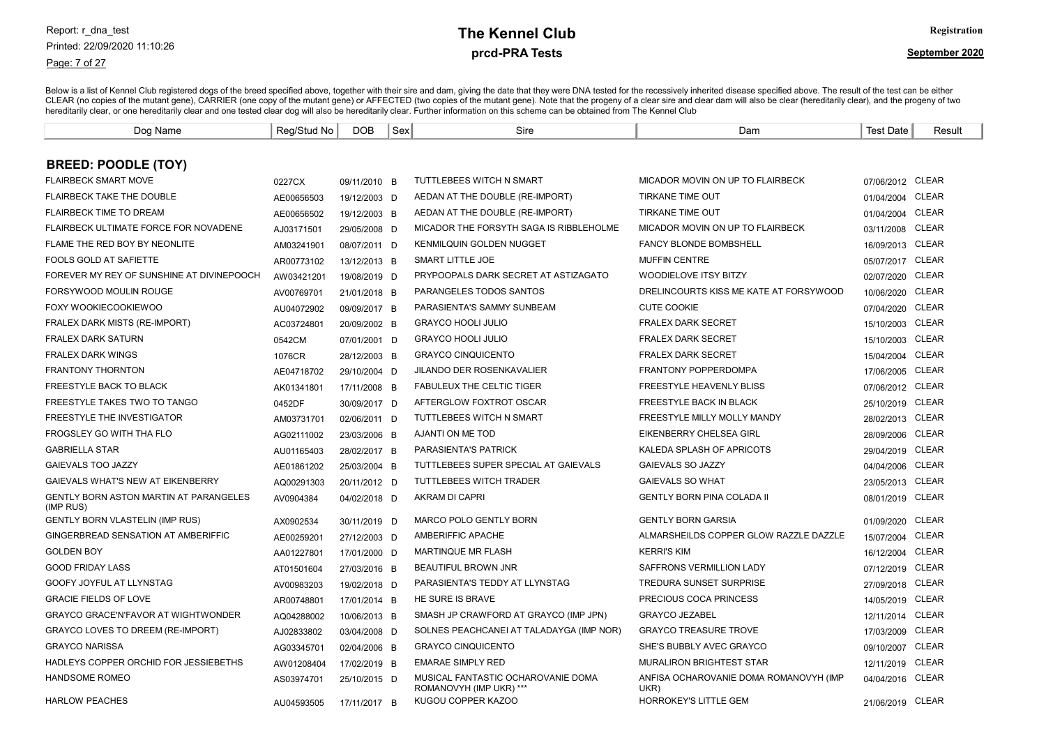#### Page: 7 of 27

### prcd-PRA Tests **The Kennel Club** Registration

| Dog Name                                                   | Reg/Stud No | <b>DOB</b>   | Sex | Sire                                                          | Dam                                            | <b>Test Date</b> | Result       |
|------------------------------------------------------------|-------------|--------------|-----|---------------------------------------------------------------|------------------------------------------------|------------------|--------------|
|                                                            |             |              |     |                                                               |                                                |                  |              |
| <b>BREED: POODLE (TOY)</b>                                 |             |              |     |                                                               |                                                |                  |              |
| <b>FLAIRBECK SMART MOVE</b>                                | 0227CX      | 09/11/2010 B |     | <b>TUTTLEBEES WITCH N SMART</b>                               | MICADOR MOVIN ON UP TO FLAIRBECK               | 07/06/2012 CLEAR |              |
| <b>FLAIRBECK TAKE THE DOUBLE</b>                           | AE00656503  | 19/12/2003 D |     | AEDAN AT THE DOUBLE (RE-IMPORT)                               | <b>TIRKANE TIME OUT</b>                        | 01/04/2004       | CLEAR        |
| <b>FLAIRBECK TIME TO DREAM</b>                             | AE00656502  | 19/12/2003 B |     | AEDAN AT THE DOUBLE (RE-IMPORT)                               | <b>TIRKANE TIME OUT</b>                        | 01/04/2004       | <b>CLEAR</b> |
| FLAIRBECK ULTIMATE FORCE FOR NOVADENE                      | AJ03171501  | 29/05/2008 D |     | MICADOR THE FORSYTH SAGA IS RIBBLEHOLME                       | MICADOR MOVIN ON UP TO FLAIRBECK               | 03/11/2008       | CLEAR        |
| FLAME THE RED BOY BY NEONLITE                              | AM03241901  | 08/07/2011 D |     | <b>KENMILQUIN GOLDEN NUGGET</b>                               | <b>FANCY BLONDE BOMBSHELL</b>                  | 16/09/2013       | <b>CLEAR</b> |
| <b>FOOLS GOLD AT SAFIETTE</b>                              | AR00773102  | 13/12/2013 B |     | SMART LITTLE JOE                                              | <b>MUFFIN CENTRE</b>                           | 05/07/2017       | CLEAR        |
| FOREVER MY REY OF SUNSHINE AT DIVINEPOOCH                  | AW03421201  | 19/08/2019 D |     | PRYPOOPALS DARK SECRET AT ASTIZAGATO                          | <b>WOODIELOVE ITSY BITZY</b>                   | 02/07/2020       | <b>CLEAR</b> |
| FORSYWOOD MOULIN ROUGE                                     | AV00769701  | 21/01/2018 B |     | PARANGELES TODOS SANTOS                                       | DRELINCOURTS KISS ME KATE AT FORSYWOOD         | 10/06/2020       | <b>CLEAR</b> |
| FOXY WOOKIECOOKIEWOO                                       | AU04072902  | 09/09/2017 B |     | PARASIENTA'S SAMMY SUNBEAM                                    | <b>CUTE COOKIE</b>                             | 07/04/2020       | <b>CLEAR</b> |
| <b>FRALEX DARK MISTS (RE-IMPORT)</b>                       | AC03724801  | 20/09/2002 B |     | <b>GRAYCO HOOLI JULIO</b>                                     | <b>FRALEX DARK SECRET</b>                      | 15/10/2003       | <b>CLEAR</b> |
| FRALEX DARK SATURN                                         | 0542CM      | 07/01/2001 D |     | <b>GRAYCO HOOLI JULIO</b>                                     | <b>FRALEX DARK SECRET</b>                      | 15/10/2003       | CLEAR        |
| <b>FRALEX DARK WINGS</b>                                   | 1076CR      | 28/12/2003 B |     | <b>GRAYCO CINQUICENTO</b>                                     | <b>FRALEX DARK SECRET</b>                      | 15/04/2004       | <b>CLEAR</b> |
| <b>FRANTONY THORNTON</b>                                   | AE04718702  | 29/10/2004 D |     | <b>JILANDO DER ROSENKAVALIER</b>                              | <b>FRANTONY POPPERDOMPA</b>                    | 17/06/2005       | CLEAR        |
| <b>FREESTYLE BACK TO BLACK</b>                             | AK01341801  | 17/11/2008 B |     | <b>FABULEUX THE CELTIC TIGER</b>                              | <b>FREESTYLE HEAVENLY BLISS</b>                | 07/06/2012 CLEAR |              |
| FREESTYLE TAKES TWO TO TANGO                               | 0452DF      | 30/09/2017 D |     | AFTERGLOW FOXTROT OSCAR                                       | FREESTYLE BACK IN BLACK                        | 25/10/2019       | CLEAR        |
| <b>FREESTYLE THE INVESTIGATOR</b>                          | AM03731701  | 02/06/2011 D |     | <b>TUTTLEBEES WITCH N SMART</b>                               | FREESTYLE MILLY MOLLY MANDY                    | 28/02/2013       | <b>CLEAR</b> |
| FROGSLEY GO WITH THA FLO                                   | AG02111002  | 23/03/2006 B |     | AJANTI ON ME TOD                                              | <b>EIKENBERRY CHELSEA GIRL</b>                 | 28/09/2006       | <b>CLEAR</b> |
| <b>GABRIELLA STAR</b>                                      | AU01165403  | 28/02/2017 B |     | <b>PARASIENTA'S PATRICK</b>                                   | KALEDA SPLASH OF APRICOTS                      | 29/04/2019       | CLEAR        |
| <b>GAIEVALS TOO JAZZY</b>                                  | AE01861202  | 25/03/2004 B |     | TUTTLEBEES SUPER SPECIAL AT GAIEVALS                          | GAIEVALS SO JAZZY                              | 04/04/2006       | <b>CLEAR</b> |
| GAIEVALS WHAT'S NEW AT EIKENBERRY                          | AQ00291303  | 20/11/2012 D |     | TUTTLEBEES WITCH TRADER                                       | <b>GAIEVALS SO WHAT</b>                        | 23/05/2013       | CLEAR        |
| <b>GENTLY BORN ASTON MARTIN AT PARANGELES</b><br>(IMP RUS) | AV0904384   | 04/02/2018 D |     | AKRAM DI CAPRI                                                | <b>GENTLY BORN PINA COLADA II</b>              | 08/01/2019       | <b>CLEAR</b> |
| <b>GENTLY BORN VLASTELIN (IMP RUS)</b>                     | AX0902534   | 30/11/2019 D |     | <b>MARCO POLO GENTLY BORN</b>                                 | <b>GENTLY BORN GARSIA</b>                      | 01/09/2020       | <b>CLEAR</b> |
| GINGERBREAD SENSATION AT AMBERIFFIC                        | AE00259201  | 27/12/2003 D |     | AMBERIFFIC APACHE                                             | ALMARSHEILDS COPPER GLOW RAZZLE DAZZLE         | 15/07/2004       | <b>CLEAR</b> |
| <b>GOLDEN BOY</b>                                          | AA01227801  | 17/01/2000 D |     | <b>MARTINQUE MR FLASH</b>                                     | <b>KERRI'S KIM</b>                             | 16/12/2004       | CLEAR        |
| <b>GOOD FRIDAY LASS</b>                                    | AT01501604  | 27/03/2016 B |     | <b>BEAUTIFUL BROWN JNR</b>                                    | <b>SAFFRONS VERMILLION LADY</b>                | 07/12/2019       | <b>CLEAR</b> |
| GOOFY JOYFUL AT LLYNSTAG                                   | AV00983203  | 19/02/2018 D |     | PARASIENTA'S TEDDY AT LLYNSTAG                                | <b>TREDURA SUNSET SURPRISE</b>                 | 27/09/2018       | CLEAR        |
| <b>GRACIE FIELDS OF LOVE</b>                               | AR00748801  | 17/01/2014 B |     | HE SURE IS BRAVE                                              | PRECIOUS COCA PRINCESS                         | 14/05/2019       | <b>CLEAR</b> |
| <b>GRAYCO GRACE'N'FAVOR AT WIGHTWONDER</b>                 | AQ04288002  | 10/06/2013 B |     | SMASH JP CRAWFORD AT GRAYCO (IMP JPN)                         | <b>GRAYCO JEZABEL</b>                          | 12/11/2014       | CLEAR        |
| <b>GRAYCO LOVES TO DREEM (RE-IMPORT)</b>                   | AJ02833802  | 03/04/2008 D |     | SOLNES PEACHCANEL AT TALADAYGA (IMP NOR)                      | <b>GRAYCO TREASURE TROVE</b>                   | 17/03/2009       | CLEAR        |
| <b>GRAYCO NARISSA</b>                                      | AG03345701  | 02/04/2006 B |     | <b>GRAYCO CINQUICENTO</b>                                     | SHE'S BUBBLY AVEC GRAYCO                       | 09/10/2007       | CLEAR        |
| HADLEYS COPPER ORCHID FOR JESSIEBETHS                      | AW01208404  | 17/02/2019 B |     | <b>EMARAE SIMPLY RED</b>                                      | <b>MURALIRON BRIGHTEST STAR</b>                | 12/11/2019       | <b>CLEAR</b> |
| <b>HANDSOME ROMEO</b>                                      | AS03974701  | 25/10/2015 D |     | MUSICAL FANTASTIC OCHAROVANIE DOMA<br>ROMANOVYH (IMP UKR) *** | ANFISA OCHAROVANIE DOMA ROMANOVYH (IMP<br>UKR) | 04/04/2016       | CLEAR        |
| <b>HARLOW PEACHES</b>                                      | AU04593505  | 17/11/2017 B |     | KUGOU COPPER KAZOO                                            | <b>HORROKEY'S LITTLE GEM</b>                   | 21/06/2019 CLEAR |              |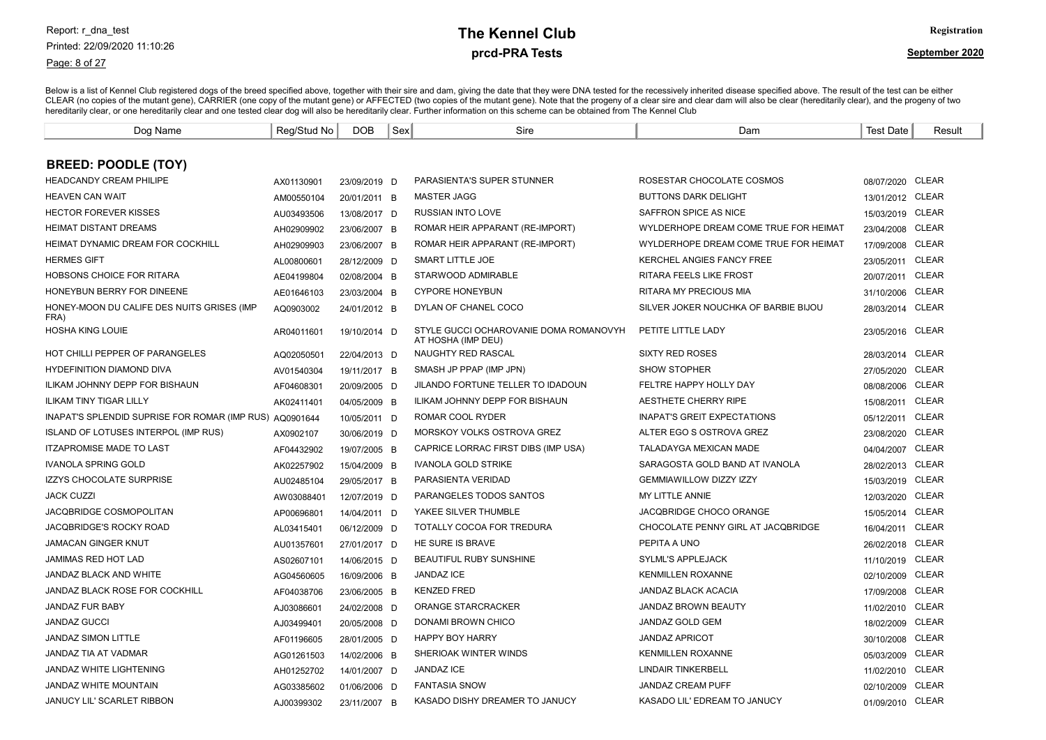Page: 8 of 27

# prcd-PRA Tests **The Kennel Club** Registration

| Dog Name                                                | Reg/Stud No | <b>DOB</b>   | Sex | Sire                                                         | Dam                                   | Test Date        | Result       |
|---------------------------------------------------------|-------------|--------------|-----|--------------------------------------------------------------|---------------------------------------|------------------|--------------|
|                                                         |             |              |     |                                                              |                                       |                  |              |
| <b>BREED: POODLE (TOY)</b>                              |             |              |     |                                                              |                                       |                  |              |
| <b>HEADCANDY CREAM PHILIPE</b>                          | AX01130901  | 23/09/2019 D |     | PARASIENTA'S SUPER STUNNER                                   | ROSESTAR CHOCOLATE COSMOS             | 08/07/2020 CLEAR |              |
| <b>HEAVEN CAN WAIT</b>                                  | AM00550104  | 20/01/2011 B |     | <b>MASTER JAGG</b>                                           | <b>BUTTONS DARK DELIGHT</b>           | 13/01/2012 CLEAR |              |
| <b>HECTOR FOREVER KISSES</b>                            | AU03493506  | 13/08/2017 D |     | <b>RUSSIAN INTO LOVE</b>                                     | SAFFRON SPICE AS NICE                 | 15/03/2019 CLEAR |              |
| <b>HEIMAT DISTANT DREAMS</b>                            | AH02909902  | 23/06/2007 B |     | ROMAR HEIR APPARANT (RE-IMPORT)                              | WYLDERHOPE DREAM COME TRUE FOR HEIMAT | 23/04/2008 CLEAR |              |
| HEIMAT DYNAMIC DREAM FOR COCKHILL                       | AH02909903  | 23/06/2007 B |     | ROMAR HEIR APPARANT (RE-IMPORT)                              | WYLDERHOPE DREAM COME TRUE FOR HEIMAT | 17/09/2008       | CLEAR        |
| <b>HERMES GIFT</b>                                      | AL00800601  | 28/12/2009 D |     | <b>SMART LITTLE JOE</b>                                      | KERCHEL ANGIES FANCY FREE             | 23/05/2011       | <b>CLEAR</b> |
| <b>HOBSONS CHOICE FOR RITARA</b>                        | AE04199804  | 02/08/2004 B |     | STARWOOD ADMIRABLE                                           | <b>RITARA FEELS LIKE FROST</b>        | 20/07/2011       | <b>CLEAR</b> |
| HONEYBUN BERRY FOR DINEENE                              | AE01646103  | 23/03/2004 B |     | <b>CYPORE HONEYBUN</b>                                       | RITARA MY PRECIOUS MIA                | 31/10/2006       | <b>CLEAR</b> |
| HONEY-MOON DU CALIFE DES NUITS GRISES (IMP<br>FRA)      | AQ0903002   | 24/01/2012 B |     | DYLAN OF CHANEL COCO                                         | SILVER JOKER NOUCHKA OF BARBIE BIJOU  | 28/03/2014       | <b>CLEAR</b> |
| <b>HOSHA KING LOUIE</b>                                 | AR04011601  | 19/10/2014 D |     | STYLE GUCCI OCHAROVANIE DOMA ROMANOVYH<br>AT HOSHA (IMP DEU) | PETITE LITTLE LADY                    | 23/05/2016       | CLEAR        |
| HOT CHILLI PEPPER OF PARANGELES                         | AQ02050501  | 22/04/2013 D |     | NAUGHTY RED RASCAL                                           | <b>SIXTY RED ROSES</b>                | 28/03/2014 CLEAR |              |
| <b>HYDEFINITION DIAMOND DIVA</b>                        | AV01540304  | 19/11/2017 B |     | SMASH JP PPAP (IMP JPN)                                      | <b>SHOW STOPHER</b>                   | 27/05/2020       | <b>CLEAR</b> |
| <b>ILIKAM JOHNNY DEPP FOR BISHAUN</b>                   | AF04608301  | 20/09/2005 D |     | JILANDO FORTUNE TELLER TO IDADOUN                            | FELTRE HAPPY HOLLY DAY                | 08/08/2006       | <b>CLEAR</b> |
| <b>ILIKAM TINY TIGAR LILLY</b>                          | AK02411401  | 04/05/2009 B |     | ILIKAM JOHNNY DEPP FOR BISHAUN                               | AESTHETE CHERRY RIPE                  | 15/08/2011       | <b>CLEAR</b> |
| INAPAT'S SPLENDID SUPRISE FOR ROMAR (IMP RUS) AQ0901644 |             | 10/05/2011 D |     | ROMAR COOL RYDER                                             | <b>INAPAT'S GREIT EXPECTATIONS</b>    | 05/12/2011       | <b>CLEAR</b> |
| ISLAND OF LOTUSES INTERPOL (IMP RUS)                    | AX0902107   | 30/06/2019 D |     | MORSKOY VOLKS OSTROVA GREZ                                   | ALTER EGO S OSTROVA GREZ              | 23/08/2020       | <b>CLEAR</b> |
| <b>ITZAPROMISE MADE TO LAST</b>                         | AF04432902  | 19/07/2005 B |     | CAPRICE LORRAC FIRST DIBS (IMP USA)                          | TALADAYGA MEXICAN MADE                | 04/04/2007       | <b>CLEAR</b> |
| <b>IVANOLA SPRING GOLD</b>                              | AK02257902  | 15/04/2009 B |     | <b>IVANOLA GOLD STRIKE</b>                                   | SARAGOSTA GOLD BAND AT IVANOLA        | 28/02/2013       | <b>CLEAR</b> |
| <b>IZZYS CHOCOLATE SURPRISE</b>                         | AU02485104  | 29/05/2017 B |     | PARASIENTA VERIDAD                                           | <b>GEMMIAWILLOW DIZZY IZZY</b>        | 15/03/2019       | <b>CLEAR</b> |
| <b>JACK CUZZI</b>                                       | AW03088401  | 12/07/2019 D |     | PARANGELES TODOS SANTOS                                      | MY LITTLE ANNIE                       | 12/03/2020       | <b>CLEAR</b> |
| JACQBRIDGE COSMOPOLITAN                                 | AP00696801  | 14/04/2011 D |     | YAKEE SILVER THUMBLE                                         | JACQBRIDGE CHOCO ORANGE               | 15/05/2014       | <b>CLEAR</b> |
| JACQBRIDGE'S ROCKY ROAD                                 | AL03415401  | 06/12/2009 D |     | TOTALLY COCOA FOR TREDURA                                    | CHOCOLATE PENNY GIRL AT JACQBRIDGE    | 16/04/2011       | <b>CLEAR</b> |
| <b>JAMACAN GINGER KNUT</b>                              | AU01357601  | 27/01/2017 D |     | HE SURE IS BRAVE                                             | PEPITA A UNO                          | 26/02/2018       | <b>CLEAR</b> |
| <b>JAMIMAS RED HOT LAD</b>                              | AS02607101  | 14/06/2015 D |     | BEAUTIFUL RUBY SUNSHINE                                      | <b>SYLML'S APPLEJACK</b>              | 11/10/2019       | <b>CLEAR</b> |
| JANDAZ BLACK AND WHITE                                  | AG04560605  | 16/09/2006 B |     | <b>JANDAZ ICE</b>                                            | <b>KENMILLEN ROXANNE</b>              | 02/10/2009       | <b>CLEAR</b> |
| JANDAZ BLACK ROSE FOR COCKHILL                          | AF04038706  | 23/06/2005 B |     | <b>KENZED FRED</b>                                           | JANDAZ BLACK ACACIA                   | 17/09/2008       | <b>CLEAR</b> |
| <b>JANDAZ FUR BABY</b>                                  | AJ03086601  | 24/02/2008 D |     | ORANGE STARCRACKER                                           | <b>JANDAZ BROWN BEAUTY</b>            | 11/02/2010       | <b>CLEAR</b> |
| <b>JANDAZ GUCCI</b>                                     | AJ03499401  | 20/05/2008 D |     | DONAMI BROWN CHICO                                           | <b>JANDAZ GOLD GEM</b>                | 18/02/2009       | <b>CLEAR</b> |
| <b>JANDAZ SIMON LITTLE</b>                              | AF01196605  | 28/01/2005 D |     | <b>HAPPY BOY HARRY</b>                                       | <b>JANDAZ APRICOT</b>                 | 30/10/2008       | <b>CLEAR</b> |
| JANDAZ TIA AT VADMAR                                    | AG01261503  | 14/02/2006 B |     | SHERIOAK WINTER WINDS                                        | <b>KENMILLEN ROXANNE</b>              | 05/03/2009       | <b>CLEAR</b> |
| JANDAZ WHITE LIGHTENING                                 | AH01252702  | 14/01/2007 D |     | <b>JANDAZ ICE</b>                                            | <b>LINDAIR TINKERBELL</b>             | 11/02/2010       | CLEAR        |
| JANDAZ WHITE MOUNTAIN                                   | AG03385602  | 01/06/2006 D |     | <b>FANTASIA SNOW</b>                                         | JANDAZ CREAM PUFF                     | 02/10/2009       | <b>CLEAR</b> |
| JANUCY LIL' SCARLET RIBBON                              | AJ00399302  | 23/11/2007 B |     | KASADO DISHY DREAMER TO JANUCY                               | KASADO LIL' EDREAM TO JANUCY          | 01/09/2010 CLEAR |              |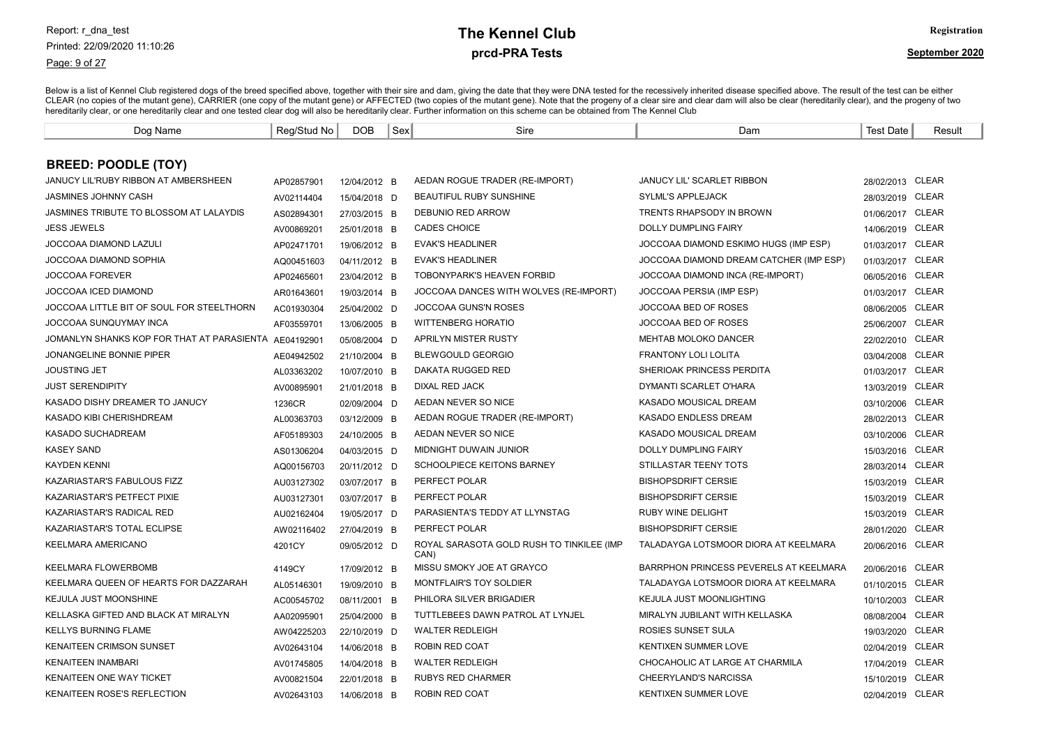Page: 9 of 27

# prcd-PRA Tests **The Kennel Club** Registration

| Dog Name                                   | Reg/Stud No | <b>DOB</b>   | Sex | Sire                                              | Dam                                     | <b>Test Date</b> | Result       |
|--------------------------------------------|-------------|--------------|-----|---------------------------------------------------|-----------------------------------------|------------------|--------------|
|                                            |             |              |     |                                                   |                                         |                  |              |
| <b>BREED: POODLE (TOY)</b>                 |             |              |     |                                                   |                                         |                  |              |
| JANUCY LIL'RUBY RIBBON AT AMBERSHEEN       | AP02857901  | 12/04/2012 B |     | AEDAN ROGUE TRADER (RE-IMPORT)                    | <b>JANUCY LIL' SCARLET RIBBON</b>       | 28/02/2013 CLEAR |              |
| <b>JASMINES JOHNNY CASH</b>                | AV02114404  | 15/04/2018 D |     | <b>BEAUTIFUL RUBY SUNSHINE</b>                    | <b>SYLML'S APPLEJACK</b>                | 28/03/2019 CLEAR |              |
| JASMINES TRIBUTE TO BLOSSOM AT LALAYDIS    | AS02894301  | 27/03/2015 B |     | DEBUNIO RED ARROW                                 | TRENTS RHAPSODY IN BROWN                | 01/06/2017 CLEAR |              |
| <b>JESS JEWELS</b>                         | AV00869201  | 25/01/2018 B |     | <b>CADES CHOICE</b>                               | <b>DOLLY DUMPLING FAIRY</b>             | 14/06/2019 CLEAR |              |
| JOCCOAA DIAMOND LAZULI                     | AP02471701  | 19/06/2012 B |     | <b>EVAK'S HEADLINER</b>                           | JOCCOAA DIAMOND ESKIMO HUGS (IMP ESP)   | 01/03/2017 CLEAR |              |
| JOCCOAA DIAMOND SOPHIA                     | AQ00451603  | 04/11/2012 B |     | <b>EVAK'S HEADLINER</b>                           | JOCCOAA DIAMOND DREAM CATCHER (IMP ESP) | 01/03/2017 CLEAR |              |
| <b>JOCCOAA FOREVER</b>                     | AP02465601  | 23/04/2012 B |     | <b>TOBONYPARK'S HEAVEN FORBID</b>                 | JOCCOAA DIAMOND INCA (RE-IMPORT)        | 06/05/2016 CLEAR |              |
| JOCCOAA ICED DIAMOND                       | AR01643601  | 19/03/2014 B |     | JOCCOAA DANCES WITH WOLVES (RE-IMPORT)            | JOCCOAA PERSIA (IMP ESP)                | 01/03/2017 CLEAR |              |
| JOCCOAA LITTLE BIT OF SOUL FOR STEELTHORN  | AC01930304  | 25/04/2002 D |     | <b>JOCCOAA GUNS'N ROSES</b>                       | JOCCOAA BED OF ROSES                    | 08/06/2005       | CLEAR        |
| JOCCOAA SUNQUYMAY INCA                     | AF03559701  | 13/06/2005 B |     | <b>WITTENBERG HORATIO</b>                         | JOCCOAA BED OF ROSES                    | 25/06/2007 CLEAR |              |
| JOMANLYN SHANKS KOP FOR THAT AT PARASIENTA | AE04192901  | 05/08/2004 D |     | APRILYN MISTER RUSTY                              | MEHTAB MOLOKO DANCER                    | 22/02/2010       | CLEAR        |
| JONANGELINE BONNIE PIPER                   | AE04942502  | 21/10/2004 B |     | <b>BLEWGOULD GEORGIO</b>                          | <b>FRANTONY LOLI LOLITA</b>             | 03/04/2008 CLEAR |              |
| <b>JOUSTING JET</b>                        | AL03363202  | 10/07/2010 B |     | DAKATA RUGGED RED                                 | SHERIOAK PRINCESS PERDITA               | 01/03/2017 CLEAR |              |
| <b>JUST SERENDIPITY</b>                    | AV00895901  | 21/01/2018 B |     | DIXAL RED JACK                                    | DYMANTI SCARLET O'HARA                  | 13/03/2019 CLEAR |              |
| KASADO DISHY DREAMER TO JANUCY             | 1236CR      | 02/09/2004 D |     | AEDAN NEVER SO NICE                               | KASADO MOUSICAL DREAM                   | 03/10/2006 CLEAR |              |
| KASADO KIBI CHERISHDREAM                   | AL00363703  | 03/12/2009 B |     | AEDAN ROGUE TRADER (RE-IMPORT)                    | KASADO ENDLESS DREAM                    | 28/02/2013 CLEAR |              |
| KASADO SUCHADREAM                          | AF05189303  | 24/10/2005 B |     | AEDAN NEVER SO NICE                               | KASADO MOUSICAL DREAM                   | 03/10/2006 CLEAR |              |
| <b>KASEY SAND</b>                          | AS01306204  | 04/03/2015 D |     | MIDNIGHT DUWAIN JUNIOR                            | <b>DOLLY DUMPLING FAIRY</b>             | 15/03/2016 CLEAR |              |
| <b>KAYDEN KENNI</b>                        | AQ00156703  | 20/11/2012 D |     | <b>SCHOOLPIECE KEITONS BARNEY</b>                 | <b>STILLASTAR TEENY TOTS</b>            | 28/03/2014 CLEAR |              |
| KAZARIASTAR'S FABULOUS FIZZ                | AU03127302  | 03/07/2017 B |     | PERFECT POLAR                                     | <b>BISHOPSDRIFT CERSIE</b>              | 15/03/2019 CLEAR |              |
| KAZARIASTAR'S PETFECT PIXIE                | AU03127301  | 03/07/2017 B |     | PERFECT POLAR                                     | <b>BISHOPSDRIFT CERSIE</b>              | 15/03/2019 CLEAR |              |
| KAZARIASTAR'S RADICAL RED                  | AU02162404  | 19/05/2017 D |     | PARASIENTA'S TEDDY AT LLYNSTAG                    | <b>RUBY WINE DELIGHT</b>                | 15/03/2019 CLEAR |              |
| KAZARIASTAR'S TOTAL ECLIPSE                | AW02116402  | 27/04/2019 B |     | PERFECT POLAR                                     | <b>BISHOPSDRIFT CERSIE</b>              | 28/01/2020       | <b>CLEAR</b> |
| KEELMARA AMERICANO                         | 4201CY      | 09/05/2012 D |     | ROYAL SARASOTA GOLD RUSH TO TINKILEE (IMP<br>CAN) | TALADAYGA LOTSMOOR DIORA AT KEELMARA    | 20/06/2016       | <b>CLEAR</b> |
| KEELMARA FLOWERBOMB                        | 4149CY      | 17/09/2012 B |     | MISSU SMOKY JOE AT GRAYCO                         | BARRPHON PRINCESS PEVERELS AT KEELMARA  | 20/06/2016       | CLEAR        |
| KEELMARA QUEEN OF HEARTS FOR DAZZARAH      | AL05146301  | 19/09/2010 B |     | MONTFLAIR'S TOY SOLDIER                           | TALADAYGA LOTSMOOR DIORA AT KEELMARA    | 01/10/2015 CLEAR |              |
| KEJULA JUST MOONSHINE                      | AC00545702  | 08/11/2001 B |     | PHILORA SILVER BRIGADIER                          | KEJULA JUST MOONLIGHTING                | 10/10/2003 CLEAR |              |
| KELLASKA GIFTED AND BLACK AT MIRALYN       | AA02095901  | 25/04/2000 B |     | TUTTLEBEES DAWN PATROL AT LYNJEL                  | MIRALYN JUBILANT WITH KELLASKA          | 08/08/2004 CLEAR |              |
| <b>KELLYS BURNING FLAME</b>                | AW04225203  | 22/10/2019 D |     | <b>WALTER REDLEIGH</b>                            | ROSIES SUNSET SULA                      | 19/03/2020 CLEAR |              |
| <b>KENAITEEN CRIMSON SUNSET</b>            | AV02643104  | 14/06/2018 B |     | ROBIN RED COAT                                    | <b>KENTIXEN SUMMER LOVE</b>             | 02/04/2019 CLEAR |              |
| <b>KENAITEEN INAMBARI</b>                  | AV01745805  | 14/04/2018 B |     | <b>WALTER REDLEIGH</b>                            | CHOCAHOLIC AT LARGE AT CHARMILA         | 17/04/2019 CLEAR |              |
| KENAITEEN ONE WAY TICKET                   | AV00821504  | 22/01/2018 B |     | <b>RUBYS RED CHARMER</b>                          | CHEERYLAND'S NARCISSA                   | 15/10/2019       | CLEAR        |
| <b>KENAITEEN ROSE'S REFLECTION</b>         | AV02643103  | 14/06/2018 B |     | ROBIN RED COAT                                    | <b>KENTIXEN SUMMER LOVE</b>             | 02/04/2019 CLEAR |              |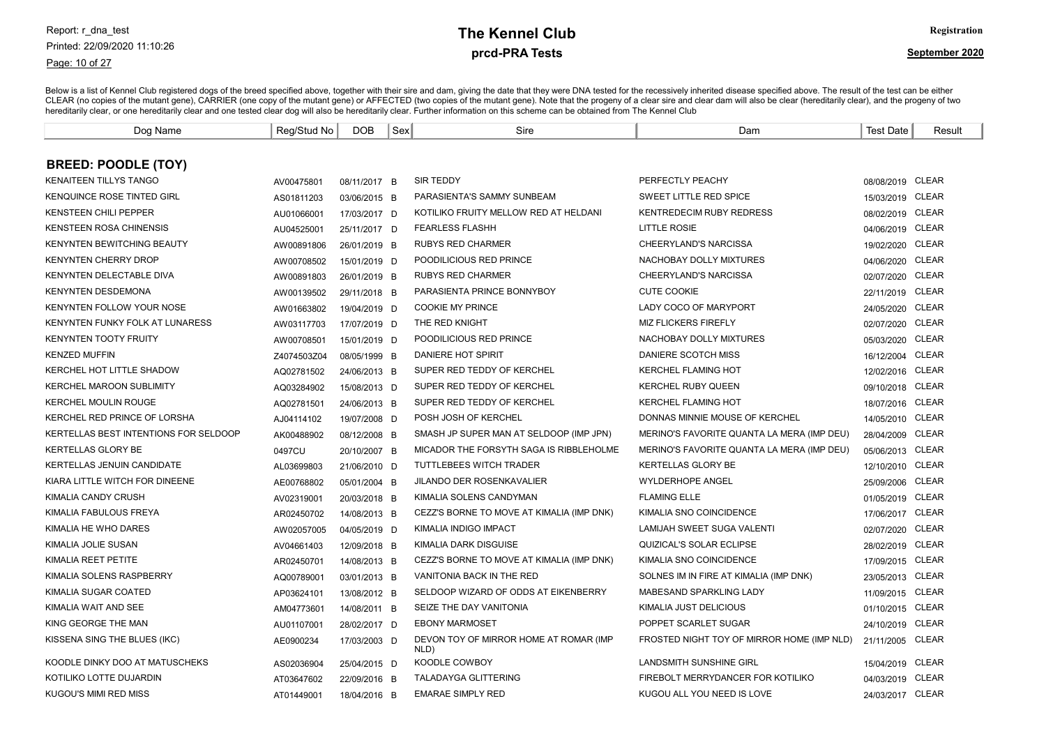Page: 10 of 27

# prcd-PRA Tests **The Kennel Club** Registration

| Dog Name                              | Reg/Stud No | <b>DOB</b>   | Sex | Sire                                           | Dam                                        | <b>Test Date</b> | Result       |
|---------------------------------------|-------------|--------------|-----|------------------------------------------------|--------------------------------------------|------------------|--------------|
|                                       |             |              |     |                                                |                                            |                  |              |
| <b>BREED: POODLE (TOY)</b>            |             |              |     |                                                |                                            |                  |              |
| <b>KENAITEEN TILLYS TANGO</b>         | AV00475801  | 08/11/2017 B |     | <b>SIR TEDDY</b>                               | PERFECTLY PEACHY                           | 08/08/2019 CLEAR |              |
| <b>KENQUINCE ROSE TINTED GIRL</b>     | AS01811203  | 03/06/2015 B |     | PARASIENTA'S SAMMY SUNBEAM                     | SWEET LITTLE RED SPICE                     | 15/03/2019 CLEAR |              |
| <b>KENSTEEN CHILI PEPPER</b>          | AU01066001  | 17/03/2017 D |     | KOTILIKO FRUITY MELLOW RED AT HELDANI          | <b>KENTREDECIM RUBY REDRESS</b>            | 08/02/2019 CLEAR |              |
| <b>KENSTEEN ROSA CHINENSIS</b>        | AU04525001  | 25/11/2017 D |     | <b>FEARLESS FLASHH</b>                         | <b>LITTLE ROSIE</b>                        | 04/06/2019 CLEAR |              |
| <b>KENYNTEN BEWITCHING BEAUTY</b>     | AW00891806  | 26/01/2019 B |     | <b>RUBYS RED CHARMER</b>                       | CHEERYLAND'S NARCISSA                      | 19/02/2020 CLEAR |              |
| <b>KENYNTEN CHERRY DROP</b>           | AW00708502  | 15/01/2019 D |     | POODILICIOUS RED PRINCE                        | NACHOBAY DOLLY MIXTURES                    | 04/06/2020 CLEAR |              |
| KENYNTEN DELECTABLE DIVA              | AW00891803  | 26/01/2019 B |     | <b>RUBYS RED CHARMER</b>                       | CHEERYLAND'S NARCISSA                      | 02/07/2020 CLEAR |              |
| <b>KENYNTEN DESDEMONA</b>             | AW00139502  | 29/11/2018 B |     | PARASIENTA PRINCE BONNYBOY                     | <b>CUTE COOKIE</b>                         | 22/11/2019 CLEAR |              |
| <b>KENYNTEN FOLLOW YOUR NOSE</b>      | AW01663802  | 19/04/2019 D |     | <b>COOKIE MY PRINCE</b>                        | LADY COCO OF MARYPORT                      | 24/05/2020       | <b>CLEAR</b> |
| KENYNTEN FUNKY FOLK AT LUNARESS       | AW03117703  | 17/07/2019 D |     | THE RED KNIGHT                                 | <b>MIZ FLICKERS FIREFLY</b>                | 02/07/2020       | <b>CLEAR</b> |
| <b>KENYNTEN TOOTY FRUITY</b>          | AW00708501  | 15/01/2019 D |     | POODILICIOUS RED PRINCE                        | NACHOBAY DOLLY MIXTURES                    | 05/03/2020       | <b>CLEAR</b> |
| <b>KENZED MUFFIN</b>                  | Z4074503Z04 | 08/05/1999 B |     | DANIERE HOT SPIRIT                             | DANIERE SCOTCH MISS                        | 16/12/2004 CLEAR |              |
| KERCHEL HOT LITTLE SHADOW             | AQ02781502  | 24/06/2013 B |     | SUPER RED TEDDY OF KERCHEL                     | <b>KERCHEL FLAMING HOT</b>                 | 12/02/2016 CLEAR |              |
| <b>KERCHEL MAROON SUBLIMITY</b>       | AQ03284902  | 15/08/2013 D |     | SUPER RED TEDDY OF KERCHEL                     | <b>KERCHEL RUBY QUEEN</b>                  | 09/10/2018 CLEAR |              |
| <b>KERCHEL MOULIN ROUGE</b>           | AQ02781501  | 24/06/2013 B |     | SUPER RED TEDDY OF KERCHEL                     | <b>KERCHEL FLAMING HOT</b>                 | 18/07/2016 CLEAR |              |
| KERCHEL RED PRINCE OF LORSHA          | AJ04114102  | 19/07/2008 D |     | POSH JOSH OF KERCHEL                           | DONNAS MINNIE MOUSE OF KERCHEL             | 14/05/2010 CLEAR |              |
| KERTELLAS BEST INTENTIONS FOR SELDOOP | AK00488902  | 08/12/2008 B |     | SMASH JP SUPER MAN AT SELDOOP (IMP JPN)        | MERINO'S FAVORITE QUANTA LA MERA (IMP DEU) | 28/04/2009 CLEAR |              |
| <b>KERTELLAS GLORY BE</b>             | 0497CU      | 20/10/2007 B |     | MICADOR THE FORSYTH SAGA IS RIBBLEHOLME        | MERINO'S FAVORITE QUANTA LA MERA (IMP DEU) | 05/06/2013 CLEAR |              |
| <b>KERTELLAS JENUIN CANDIDATE</b>     | AL03699803  | 21/06/2010 D |     | TUTTLEBEES WITCH TRADER                        | <b>KERTELLAS GLORY BE</b>                  | 12/10/2010 CLEAR |              |
| KIARA LITTLE WITCH FOR DINEENE        | AE00768802  | 05/01/2004 B |     | <b>JILANDO DER ROSENKAVALIER</b>               | <b>WYLDERHOPE ANGEL</b>                    | 25/09/2006 CLEAR |              |
| KIMALIA CANDY CRUSH                   | AV02319001  | 20/03/2018 B |     | KIMALIA SOLENS CANDYMAN                        | <b>FLAMING ELLE</b>                        | 01/05/2019 CLEAR |              |
| KIMALIA FABULOUS FREYA                | AR02450702  | 14/08/2013 B |     | CEZZ'S BORNE TO MOVE AT KIMALIA (IMP DNK)      | KIMALIA SNO COINCIDENCE                    | 17/06/2017 CLEAR |              |
| KIMALIA HE WHO DARES                  | AW02057005  | 04/05/2019 D |     | KIMALIA INDIGO IMPACT                          | LAMIJAH SWEET SUGA VALENTI                 | 02/07/2020       | CLEAR        |
| KIMALIA JOLIE SUSAN                   | AV04661403  | 12/09/2018 B |     | KIMALIA DARK DISGUISE                          | <b>QUIZICAL'S SOLAR ECLIPSE</b>            | 28/02/2019 CLEAR |              |
| KIMALIA REET PETITE                   | AR02450701  | 14/08/2013 B |     | CEZZ'S BORNE TO MOVE AT KIMALIA (IMP DNK)      | KIMALIA SNO COINCIDENCE                    | 17/09/2015 CLEAR |              |
| KIMALIA SOLENS RASPBERRY              | AQ00789001  | 03/01/2013 B |     | <b>VANITONIA BACK IN THE RED</b>               | SOLNES IM IN FIRE AT KIMALIA (IMP DNK)     | 23/05/2013 CLEAR |              |
| KIMALIA SUGAR COATED                  | AP03624101  | 13/08/2012 B |     | SELDOOP WIZARD OF ODDS AT EIKENBERRY           | MABESAND SPARKLING LADY                    | 11/09/2015 CLEAR |              |
| KIMALIA WAIT AND SEE                  | AM04773601  | 14/08/2011 B |     | SEIZE THE DAY VANITONIA                        | KIMALIA JUST DELICIOUS                     | 01/10/2015 CLEAR |              |
| KING GEORGE THE MAN                   | AU01107001  | 28/02/2017 D |     | <b>EBONY MARMOSET</b>                          | POPPET SCARLET SUGAR                       | 24/10/2019 CLEAR |              |
| KISSENA SING THE BLUES (IKC)          | AE0900234   | 17/03/2003 D |     | DEVON TOY OF MIRROR HOME AT ROMAR (IMP<br>NLD) | FROSTED NIGHT TOY OF MIRROR HOME (IMP NLD) | 21/11/2005 CLEAR |              |
| KOODLE DINKY DOO AT MATUSCHEKS        | AS02036904  | 25/04/2015 D |     | KOODLE COWBOY                                  | <b>LANDSMITH SUNSHINE GIRL</b>             | 15/04/2019 CLEAR |              |
| KOTILIKO LOTTE DUJARDIN               | AT03647602  | 22/09/2016 B |     | <b>TALADAYGA GLITTERING</b>                    | FIREBOLT MERRYDANCER FOR KOTILIKO          | 04/03/2019 CLEAR |              |
| KUGOU'S MIMI RED MISS                 | AT01449001  | 18/04/2016 B |     | <b>EMARAE SIMPLY RED</b>                       | KUGOU ALL YOU NEED IS LOVE                 | 24/03/2017 CLEAR |              |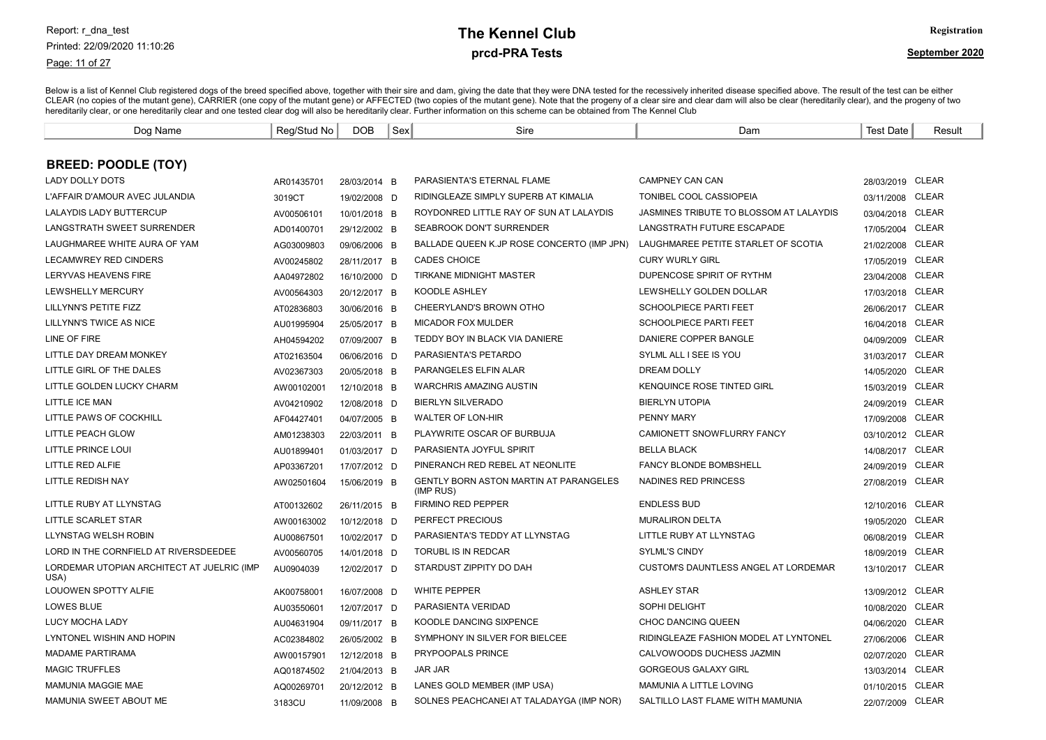Page: 11 of 27

# prcd-PRA Tests **The Kennel Club** Registration

| Dog Name                                           | Reg/Stud No | <b>DOB</b>   | Sex | Sire                                                       | Dam                                     | <b>Test Date</b> | Result       |
|----------------------------------------------------|-------------|--------------|-----|------------------------------------------------------------|-----------------------------------------|------------------|--------------|
|                                                    |             |              |     |                                                            |                                         |                  |              |
| <b>BREED: POODLE (TOY)</b>                         |             |              |     |                                                            |                                         |                  |              |
| <b>LADY DOLLY DOTS</b>                             | AR01435701  | 28/03/2014 B |     | PARASIENTA'S ETERNAL FLAME                                 | CAMPNEY CAN CAN                         | 28/03/2019 CLEAR |              |
| L'AFFAIR D'AMOUR AVEC JULANDIA                     | 3019CT      | 19/02/2008 D |     | RIDINGLEAZE SIMPLY SUPERB AT KIMALIA                       | TONIBEL COOL CASSIOPEIA                 | 03/11/2008 CLEAR |              |
| LALAYDIS LADY BUTTERCUP                            | AV00506101  | 10/01/2018 B |     | ROYDONRED LITTLE RAY OF SUN AT LALAYDIS                    | JASMINES TRIBUTE TO BLOSSOM AT LALAYDIS | 03/04/2018 CLEAR |              |
| LANGSTRATH SWEET SURRENDER                         | AD01400701  | 29/12/2002 B |     | SEABROOK DON'T SURRENDER                                   | LANGSTRATH FUTURE ESCAPADE              | 17/05/2004 CLEAR |              |
| LAUGHMAREE WHITE AURA OF YAM                       | AG03009803  | 09/06/2006 B |     | BALLADE QUEEN K.JP ROSE CONCERTO (IMP JPN)                 | LAUGHMAREE PETITE STARLET OF SCOTIA     | 21/02/2008 CLEAR |              |
| <b>LECAMWREY RED CINDERS</b>                       | AV00245802  | 28/11/2017 B |     | <b>CADES CHOICE</b>                                        | <b>CURY WURLY GIRL</b>                  | 17/05/2019 CLEAR |              |
| <b>LERYVAS HEAVENS FIRE</b>                        | AA04972802  | 16/10/2000 D |     | <b>TIRKANE MIDNIGHT MASTER</b>                             | DUPENCOSE SPIRIT OF RYTHM               | 23/04/2008 CLEAR |              |
| <b>LEWSHELLY MERCURY</b>                           | AV00564303  | 20/12/2017 B |     | <b>KOODLE ASHLEY</b>                                       | LEWSHELLY GOLDEN DOLLAR                 | 17/03/2018 CLEAR |              |
| LILLYNN'S PETITE FIZZ                              | AT02836803  | 30/06/2016 B |     | CHEERYLAND'S BROWN OTHO                                    | <b>SCHOOLPIECE PARTI FEET</b>           | 26/06/2017 CLEAR |              |
| LILLYNN'S TWICE AS NICE                            | AU01995904  | 25/05/2017 B |     | <b>MICADOR FOX MULDER</b>                                  | <b>SCHOOLPIECE PARTI FEET</b>           | 16/04/2018 CLEAR |              |
| LINE OF FIRE                                       | AH04594202  | 07/09/2007 B |     | TEDDY BOY IN BLACK VIA DANIERE                             | DANIERE COPPER BANGLE                   | 04/09/2009 CLEAR |              |
| LITTLE DAY DREAM MONKEY                            | AT02163504  | 06/06/2016 D |     | PARASIENTA'S PETARDO                                       | SYLML ALL I SEE IS YOU                  | 31/03/2017 CLEAR |              |
| LITTLE GIRL OF THE DALES                           | AV02367303  | 20/05/2018 B |     | PARANGELES ELFIN ALAR                                      | <b>DREAM DOLLY</b>                      | 14/05/2020 CLEAR |              |
| LITTLE GOLDEN LUCKY CHARM                          | AW00102001  | 12/10/2018 B |     | <b>WARCHRIS AMAZING AUSTIN</b>                             | <b>KENQUINCE ROSE TINTED GIRL</b>       | 15/03/2019 CLEAR |              |
| LITTLE ICE MAN                                     | AV04210902  | 12/08/2018 D |     | <b>BIERLYN SILVERADO</b>                                   | <b>BIERLYN UTOPIA</b>                   | 24/09/2019 CLEAR |              |
| LITTLE PAWS OF COCKHILL                            | AF04427401  | 04/07/2005 B |     | <b>WALTER OF LON-HIR</b>                                   | <b>PENNY MARY</b>                       | 17/09/2008       | <b>CLEAR</b> |
| LITTLE PEACH GLOW                                  | AM01238303  | 22/03/2011 B |     | PLAYWRITE OSCAR OF BURBUJA                                 | <b>CAMIONETT SNOWFLURRY FANCY</b>       | 03/10/2012 CLEAR |              |
| <b>LITTLE PRINCE LOUI</b>                          | AU01899401  | 01/03/2017 D |     | PARASIENTA JOYFUL SPIRIT                                   | <b>BELLA BLACK</b>                      | 14/08/2017 CLEAR |              |
| LITTLE RED ALFIE                                   | AP03367201  | 17/07/2012 D |     | PINERANCH RED REBEL AT NEONLITE                            | <b>FANCY BLONDE BOMBSHELL</b>           | 24/09/2019 CLEAR |              |
| LITTLE REDISH NAY                                  | AW02501604  | 15/06/2019 B |     | <b>GENTLY BORN ASTON MARTIN AT PARANGELES</b><br>(IMP RUS) | NADINES RED PRINCESS                    | 27/08/2019 CLEAR |              |
| LITTLE RUBY AT LLYNSTAG                            | AT00132602  | 26/11/2015 B |     | <b>FIRMINO RED PEPPER</b>                                  | <b>ENDLESS BUD</b>                      | 12/10/2016 CLEAR |              |
| LITTLE SCARLET STAR                                | AW00163002  | 10/12/2018 D |     | PERFECT PRECIOUS                                           | <b>MURALIRON DELTA</b>                  | 19/05/2020 CLEAR |              |
| LLYNSTAG WELSH ROBIN                               | AU00867501  | 10/02/2017 D |     | PARASIENTA'S TEDDY AT LLYNSTAG                             | LITTLE RUBY AT LLYNSTAG                 | 06/08/2019 CLEAR |              |
| LORD IN THE CORNFIELD AT RIVERSDEEDEE              | AV00560705  | 14/01/2018 D |     | <b>TORUBL IS IN REDCAR</b>                                 | <b>SYLML'S CINDY</b>                    | 18/09/2019 CLEAR |              |
| LORDEMAR UTOPIAN ARCHITECT AT JUELRIC (IMP<br>USA) | AU0904039   | 12/02/2017 D |     | STARDUST ZIPPITY DO DAH                                    | CUSTOM'S DAUNTLESS ANGEL AT LORDEMAR    | 13/10/2017 CLEAR |              |
| LOUOWEN SPOTTY ALFIE                               | AK00758001  | 16/07/2008 D |     | <b>WHITE PEPPER</b>                                        | <b>ASHLEY STAR</b>                      | 13/09/2012 CLEAR |              |
| <b>LOWES BLUE</b>                                  | AU03550601  | 12/07/2017 D |     | PARASIENTA VERIDAD                                         | SOPHI DELIGHT                           | 10/08/2020 CLEAR |              |
| <b>LUCY MOCHA LADY</b>                             | AU04631904  | 09/11/2017 B |     | KOODLE DANCING SIXPENCE                                    | <b>CHOC DANCING QUEEN</b>               | 04/06/2020       | <b>CLEAR</b> |
| LYNTONEL WISHIN AND HOPIN                          | AC02384802  | 26/05/2002 B |     | SYMPHONY IN SILVER FOR BIELCEE                             | RIDINGLEAZE FASHION MODEL AT LYNTONEL   | 27/06/2006       | CLEAR        |
| <b>MADAME PARTIRAMA</b>                            | AW00157901  | 12/12/2018 B |     | PRYPOOPALS PRINCE                                          | CALVOWOODS DUCHESS JAZMIN               | 02/07/2020       | CLEAR        |
| <b>MAGIC TRUFFLES</b>                              | AQ01874502  | 21/04/2013 B |     | <b>JAR JAR</b>                                             | <b>GORGEOUS GALAXY GIRL</b>             | 13/03/2014 CLEAR |              |
| <b>MAMUNIA MAGGIE MAE</b>                          | AQ00269701  | 20/12/2012 B |     | LANES GOLD MEMBER (IMP USA)                                | MAMUNIA A LITTLE LOVING                 | 01/10/2015 CLEAR |              |
| MAMUNIA SWEET ABOUT ME                             | 3183CU      | 11/09/2008 B |     | SOLNES PEACHCANEI AT TALADAYGA (IMP NOR)                   | SALTILLO LAST FLAME WITH MAMUNIA        | 22/07/2009 CLEAR |              |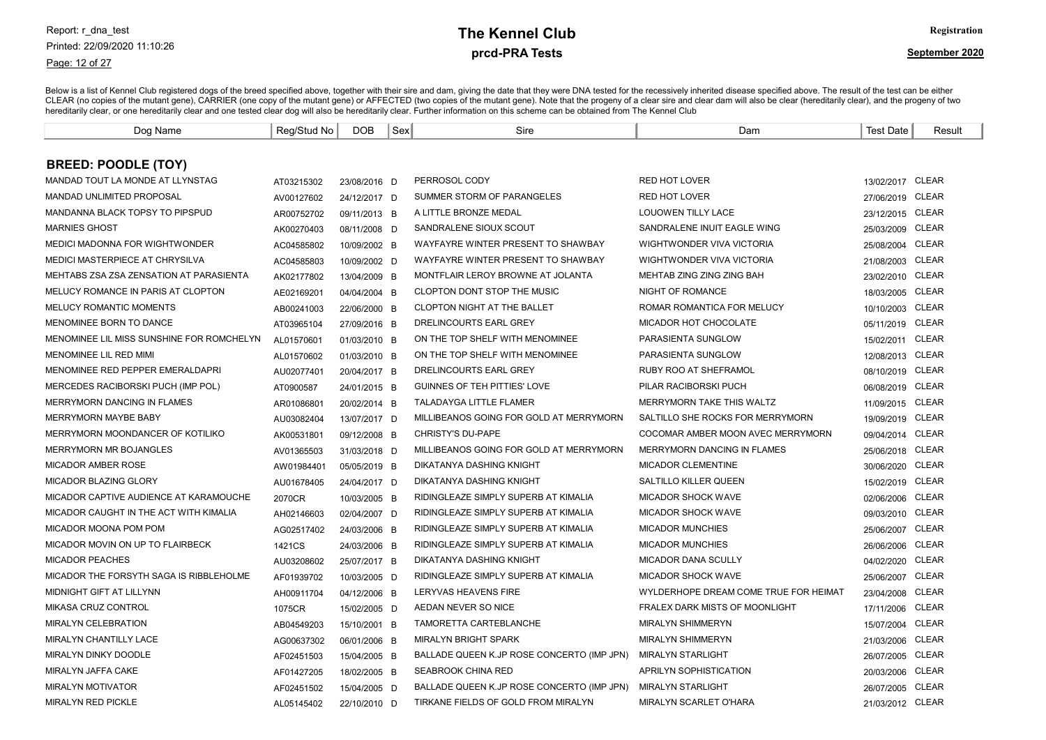Page: 12 of 27

### prcd-PRA Tests **The Kennel Club** Registration

| Dog Name                                  | Reg/Stud No | DOB          | Sex | Sire                                       | Dam                                   | <b>Test Date</b> | Result       |
|-------------------------------------------|-------------|--------------|-----|--------------------------------------------|---------------------------------------|------------------|--------------|
|                                           |             |              |     |                                            |                                       |                  |              |
| <b>BREED: POODLE (TOY)</b>                |             |              |     |                                            |                                       |                  |              |
| MANDAD TOUT LA MONDE AT LLYNSTAG          | AT03215302  | 23/08/2016 D |     | PERROSOL CODY                              | <b>RED HOT LOVER</b>                  | 13/02/2017 CLEAR |              |
| MANDAD UNLIMITED PROPOSAL                 | AV00127602  | 24/12/2017 D |     | SUMMER STORM OF PARANGELES                 | <b>RED HOT LOVER</b>                  | 27/06/2019 CLEAR |              |
| MANDANNA BLACK TOPSY TO PIPSPUD           | AR00752702  | 09/11/2013 B |     | A LITTLE BRONZE MEDAL                      | <b>LOUOWEN TILLY LACE</b>             | 23/12/2015 CLEAR |              |
| <b>MARNIES GHOST</b>                      | AK00270403  | 08/11/2008 D |     | SANDRALENE SIOUX SCOUT                     | SANDRALENE INUIT EAGLE WING           | 25/03/2009 CLEAR |              |
| <b>MEDICI MADONNA FOR WIGHTWONDER</b>     | AC04585802  | 10/09/2002 B |     | WAYFAYRE WINTER PRESENT TO SHAWBAY         | WIGHTWONDER VIVA VICTORIA             | 25/08/2004       | CLEAR        |
| MEDICI MASTERPIECE AT CHRYSILVA           | AC04585803  | 10/09/2002 D |     | WAYFAYRE WINTER PRESENT TO SHAWBAY         | WIGHTWONDER VIVA VICTORIA             | 21/08/2003 CLEAR |              |
| MEHTABS ZSA ZSA ZENSATION AT PARASIENTA   | AK02177802  | 13/04/2009 B |     | MONTFLAIR LEROY BROWNE AT JOLANTA          | MEHTAB ZING ZING ZING BAH             | 23/02/2010       | <b>CLEAR</b> |
| MELUCY ROMANCE IN PARIS AT CLOPTON        | AE02169201  | 04/04/2004 B |     | CLOPTON DONT STOP THE MUSIC                | NIGHT OF ROMANCE                      | 18/03/2005       | <b>CLEAR</b> |
| MELUCY ROMANTIC MOMENTS                   | AB00241003  | 22/06/2000 B |     | CLOPTON NIGHT AT THE BALLET                | ROMAR ROMANTICA FOR MELUCY            | 10/10/2003       | <b>CLEAR</b> |
| MENOMINEE BORN TO DANCE                   | AT03965104  | 27/09/2016 B |     | DRELINCOURTS EARL GREY                     | MICADOR HOT CHOCOLATE                 | 05/11/2019       | CLEAR        |
| MENOMINEE LIL MISS SUNSHINE FOR ROMCHELYN | AL01570601  | 01/03/2010 B |     | ON THE TOP SHELF WITH MENOMINEE            | PARASIENTA SUNGLOW                    | 15/02/2011       | <b>CLEAR</b> |
| MENOMINEE LIL RED MIMI                    | AL01570602  | 01/03/2010 B |     | ON THE TOP SHELF WITH MENOMINEE            | PARASIENTA SUNGLOW                    | 12/08/2013 CLEAR |              |
| MENOMINEE RED PEPPER EMERALDAPRI          | AU02077401  | 20/04/2017 B |     | DRELINCOURTS EARL GREY                     | <b>RUBY ROO AT SHEFRAMOL</b>          | 08/10/2019       | CLEAR        |
| MERCEDES RACIBORSKI PUCH (IMP POL)        | AT0900587   | 24/01/2015 B |     | <b>GUINNES OF TEH PITTIES' LOVE</b>        | PILAR RACIBORSKI PUCH                 | 06/08/2019       | <b>CLEAR</b> |
| MERRYMORN DANCING IN FLAMES               | AR01086801  | 20/02/2014 B |     | <b>TALADAYGA LITTLE FLAMER</b>             | MERRYMORN TAKE THIS WALTZ             | 11/09/2015       | CLEAR        |
| MERRYMORN MAYBE BABY                      | AU03082404  | 13/07/2017 D |     | MILLIBEANOS GOING FOR GOLD AT MERRYMORN    | SALTILLO SHE ROCKS FOR MERRYMORN      | 19/09/2019       | <b>CLEAR</b> |
| MERRYMORN MOONDANCER OF KOTILIKO          | AK00531801  | 09/12/2008 B |     | <b>CHRISTY'S DU-PAPE</b>                   | COCOMAR AMBER MOON AVEC MERRYMORN     | 09/04/2014       | <b>CLEAR</b> |
| <b>MERRYMORN MR BOJANGLES</b>             | AV01365503  | 31/03/2018 D |     | MILLIBEANOS GOING FOR GOLD AT MERRYMORN    | <b>MERRYMORN DANCING IN FLAMES</b>    | 25/06/2018       | CLEAR        |
| MICADOR AMBER ROSE                        | AW01984401  | 05/05/2019 B |     | DIKATANYA DASHING KNIGHT                   | MICADOR CLEMENTINE                    | 30/06/2020       | <b>CLEAR</b> |
| MICADOR BLAZING GLORY                     | AU01678405  | 24/04/2017 D |     | DIKATANYA DASHING KNIGHT                   | SALTILLO KILLER QUEEN                 | 15/02/2019       | <b>CLEAR</b> |
| MICADOR CAPTIVE AUDIENCE AT KARAMOUCHE    | 2070CR      | 10/03/2005 B |     | RIDINGLEAZE SIMPLY SUPERB AT KIMALIA       | <b>MICADOR SHOCK WAVE</b>             | 02/06/2006       | <b>CLEAR</b> |
| MICADOR CAUGHT IN THE ACT WITH KIMALIA    | AH02146603  | 02/04/2007 D |     | RIDINGLEAZE SIMPLY SUPERB AT KIMALIA       | <b>MICADOR SHOCK WAVE</b>             | 09/03/2010       | <b>CLEAR</b> |
| MICADOR MOONA POM POM                     | AG02517402  | 24/03/2006 B |     | RIDINGLEAZE SIMPLY SUPERB AT KIMALIA       | <b>MICADOR MUNCHIES</b>               | 25/06/2007       | CLEAR        |
| MICADOR MOVIN ON UP TO FLAIRBECK          | 1421CS      | 24/03/2006 B |     | RIDINGLEAZE SIMPLY SUPERB AT KIMALIA       | <b>MICADOR MUNCHIES</b>               | 26/06/2006       | <b>CLEAR</b> |
| <b>MICADOR PEACHES</b>                    | AU03208602  | 25/07/2017 B |     | DIKATANYA DASHING KNIGHT                   | MICADOR DANA SCULLY                   | 04/02/2020       | CLEAR        |
| MICADOR THE FORSYTH SAGA IS RIBBLEHOLME   | AF01939702  | 10/03/2005 D |     | RIDINGLEAZE SIMPLY SUPERB AT KIMALIA       | MICADOR SHOCK WAVE                    | 25/06/2007       | CLEAR        |
| MIDNIGHT GIFT AT LILLYNN                  | AH00911704  | 04/12/2006 B |     | <b>LERYVAS HEAVENS FIRE</b>                | WYLDERHOPE DREAM COME TRUE FOR HEIMAT | 23/04/2008       | <b>CLEAR</b> |
| <b>MIKASA CRUZ CONTROL</b>                | 1075CR      | 15/02/2005 D |     | AEDAN NEVER SO NICE                        | FRALEX DARK MISTS OF MOONLIGHT        | 17/11/2006       | <b>CLEAR</b> |
| <b>MIRALYN CELEBRATION</b>                | AB04549203  | 15/10/2001 B |     | TAMORETTA CARTEBLANCHE                     | <b>MIRALYN SHIMMERYN</b>              | 15/07/2004       | <b>CLEAR</b> |
| MIRALYN CHANTILLY LACE                    | AG00637302  | 06/01/2006 B |     | <b>MIRALYN BRIGHT SPARK</b>                | <b>MIRALYN SHIMMERYN</b>              | 21/03/2006       | CLEAR        |
| <b>MIRALYN DINKY DOODLE</b>               | AF02451503  | 15/04/2005 B |     | BALLADE QUEEN K.JP ROSE CONCERTO (IMP JPN) | <b>MIRALYN STARLIGHT</b>              | 26/07/2005       | CLEAR        |
| MIRALYN JAFFA CAKE                        | AF01427205  | 18/02/2005 B |     | <b>SEABROOK CHINA RED</b>                  | APRILYN SOPHISTICATION                | 20/03/2006       | CLEAR        |
| <b>MIRALYN MOTIVATOR</b>                  | AF02451502  | 15/04/2005 D |     | BALLADE QUEEN K.JP ROSE CONCERTO (IMP JPN) | <b>MIRALYN STARLIGHT</b>              | 26/07/2005       | CLEAR        |
| <b>MIRALYN RED PICKLE</b>                 | AL05145402  | 22/10/2010 D |     | TIRKANE FIELDS OF GOLD FROM MIRALYN        | <b>MIRALYN SCARLET O'HARA</b>         | 21/03/2012 CLEAR |              |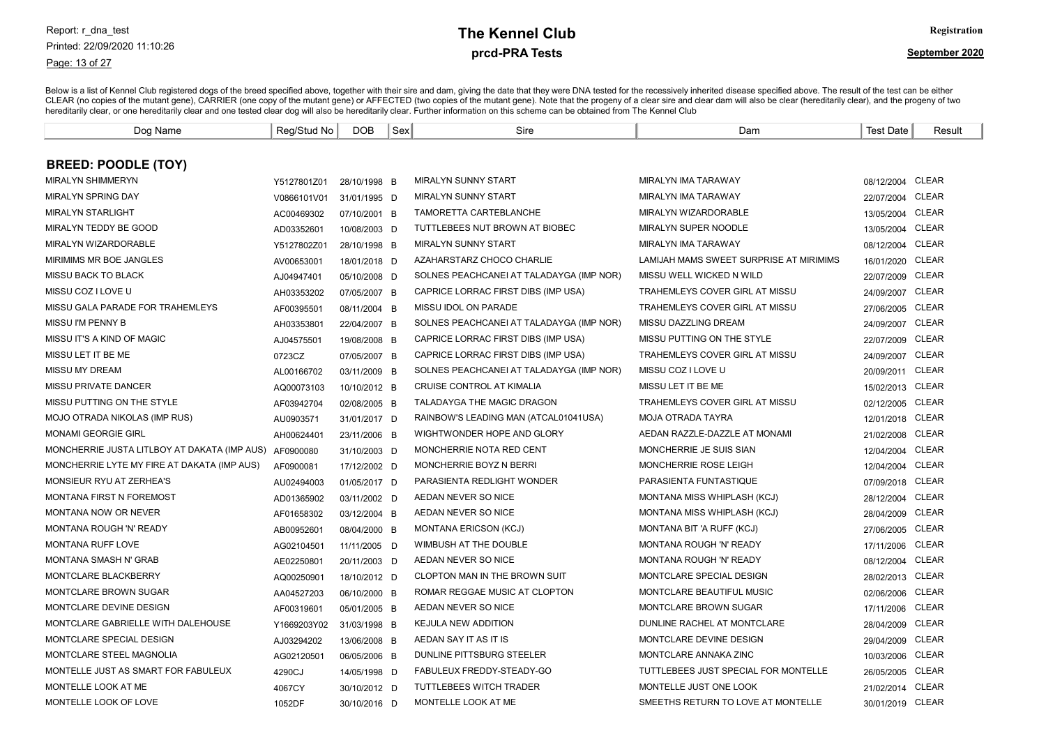#### Page: 13 of 27

# prcd-PRA Tests **The Kennel Club** Registration

| Dog Name                                               | Reg/Stud No | <b>DOB</b>   | Sex | Sire                                     | Dam                                     | <b>Test Date</b> | Result       |
|--------------------------------------------------------|-------------|--------------|-----|------------------------------------------|-----------------------------------------|------------------|--------------|
|                                                        |             |              |     |                                          |                                         |                  |              |
| <b>BREED: POODLE (TOY)</b>                             |             |              |     |                                          |                                         |                  |              |
| <b>MIRALYN SHIMMERYN</b>                               | Y5127801Z01 | 28/10/1998 B |     | MIRALYN SUNNY START                      | MIRALYN IMA TARAWAY                     | 08/12/2004 CLEAR |              |
| <b>MIRALYN SPRING DAY</b>                              | V0866101V01 | 31/01/1995 D |     | <b>MIRALYN SUNNY START</b>               | MIRALYN IMA TARAWAY                     | 22/07/2004 CLEAR |              |
| <b>MIRALYN STARLIGHT</b>                               | AC00469302  | 07/10/2001 B |     | <b>TAMORETTA CARTEBLANCHE</b>            | MIRALYN WIZARDORABLE                    | 13/05/2004 CLEAR |              |
| MIRALYN TEDDY BE GOOD                                  | AD03352601  | 10/08/2003 D |     | TUTTLEBEES NUT BROWN AT BIOBEC           | MIRALYN SUPER NOODLE                    | 13/05/2004 CLEAR |              |
| MIRALYN WIZARDORABLE                                   | Y5127802Z01 | 28/10/1998 B |     | <b>MIRALYN SUNNY START</b>               | MIRALYN IMA TARAWAY                     | 08/12/2004 CLEAR |              |
| <b>MIRIMIMS MR BOE JANGLES</b>                         | AV00653001  | 18/01/2018 D |     | AZAHARSTARZ CHOCO CHARLIE                | LAMIJAH MAMS SWEET SURPRISE AT MIRIMIMS | 16/01/2020 CLEAR |              |
| <b>MISSU BACK TO BLACK</b>                             | AJ04947401  | 05/10/2008 D |     | SOLNES PEACHCANEI AT TALADAYGA (IMP NOR) | MISSU WELL WICKED N WILD                | 22/07/2009 CLEAR |              |
| MISSU COZ I LOVE U                                     | AH03353202  | 07/05/2007 B |     | CAPRICE LORRAC FIRST DIBS (IMP USA)      | TRAHEMLEYS COVER GIRL AT MISSU          | 24/09/2007 CLEAR |              |
| MISSU GALA PARADE FOR TRAHEMLEYS                       | AF00395501  | 08/11/2004 B |     | MISSU IDOL ON PARADE                     | TRAHEMLEYS COVER GIRL AT MISSU          | 27/06/2005 CLEAR |              |
| MISSU I'M PENNY B                                      | AH03353801  | 22/04/2007 B |     | SOLNES PEACHCANEI AT TALADAYGA (IMP NOR) | MISSU DAZZLING DREAM                    | 24/09/2007 CLEAR |              |
| MISSU IT'S A KIND OF MAGIC                             | AJ04575501  | 19/08/2008 B |     | CAPRICE LORRAC FIRST DIBS (IMP USA)      | MISSU PUTTING ON THE STYLE              | 22/07/2009 CLEAR |              |
| MISSU LET IT BE ME                                     | 0723CZ      | 07/05/2007 B |     | CAPRICE LORRAC FIRST DIBS (IMP USA)      | TRAHEMLEYS COVER GIRL AT MISSU          | 24/09/2007 CLEAR |              |
| <b>MISSU MY DREAM</b>                                  | AL00166702  | 03/11/2009 B |     | SOLNES PEACHCANEI AT TALADAYGA (IMP NOR) | MISSU COZ I LOVE U                      | 20/09/2011 CLEAR |              |
| MISSU PRIVATE DANCER                                   | AQ00073103  | 10/10/2012 B |     | <b>CRUISE CONTROL AT KIMALIA</b>         | MISSU LET IT BE ME                      | 15/02/2013 CLEAR |              |
| MISSU PUTTING ON THE STYLE                             | AF03942704  | 02/08/2005 B |     | <b>TALADAYGA THE MAGIC DRAGON</b>        | TRAHEMLEYS COVER GIRL AT MISSU          | 02/12/2005 CLEAR |              |
| MOJO OTRADA NIKOLAS (IMP RUS)                          | AU0903571   | 31/01/2017 D |     | RAINBOW'S LEADING MAN (ATCAL01041USA)    | <b>MOJA OTRADA TAYRA</b>                | 12/01/2018 CLEAR |              |
| <b>MONAMI GEORGIE GIRL</b>                             | AH00624401  | 23/11/2006 B |     | WIGHTWONDER HOPE AND GLORY               | AEDAN RAZZLE-DAZZLE AT MONAMI           | 21/02/2008 CLEAR |              |
| MONCHERRIE JUSTA LITLBOY AT DAKATA (IMP AUS) AF0900080 |             | 31/10/2003 D |     | MONCHERRIE NOTA RED CENT                 | MONCHERRIE JE SUIS SIAN                 | 12/04/2004 CLEAR |              |
| MONCHERRIE LYTE MY FIRE AT DAKATA (IMP AUS)            | AF0900081   | 17/12/2002 D |     | MONCHERRIE BOYZ N BERRI                  | MONCHERRIE ROSE LEIGH                   | 12/04/2004 CLEAR |              |
| MONSIEUR RYU AT ZERHEA'S                               | AU02494003  | 01/05/2017 D |     | PARASIENTA REDLIGHT WONDER               | PARASIENTA FUNTASTIQUE                  | 07/09/2018 CLEAR |              |
| MONTANA FIRST N FOREMOST                               | AD01365902  | 03/11/2002 D |     | AEDAN NEVER SO NICE                      | MONTANA MISS WHIPLASH (KCJ)             | 28/12/2004       | CLEAR        |
| <b>MONTANA NOW OR NEVER</b>                            | AF01658302  | 03/12/2004 B |     | AEDAN NEVER SO NICE                      | MONTANA MISS WHIPLASH (KCJ)             | 28/04/2009       | <b>CLEAR</b> |
| MONTANA ROUGH 'N' READY                                | AB00952601  | 08/04/2000 B |     | MONTANA ERICSON (KCJ)                    | MONTANA BIT 'A RUFF (KCJ)               | 27/06/2005 CLEAR |              |
| MONTANA RUFF LOVE                                      | AG02104501  | 11/11/2005 D |     | WIMBUSH AT THE DOUBLE                    | MONTANA ROUGH 'N' READY                 | 17/11/2006       | <b>CLEAR</b> |
| MONTANA SMASH N' GRAB                                  | AE02250801  | 20/11/2003 D |     | AEDAN NEVER SO NICE                      | MONTANA ROUGH 'N' READY                 | 08/12/2004 CLEAR |              |
| MONTCLARE BLACKBERRY                                   | AQ00250901  | 18/10/2012 D |     | CLOPTON MAN IN THE BROWN SUIT            | MONTCLARE SPECIAL DESIGN                | 28/02/2013 CLEAR |              |
| MONTCLARE BROWN SUGAR                                  | AA04527203  | 06/10/2000 B |     | ROMAR REGGAE MUSIC AT CLOPTON            | MONTCLARE BEAUTIFUL MUSIC               | 02/06/2006       | CLEAR        |
| MONTCLARE DEVINE DESIGN                                | AF00319601  | 05/01/2005 B |     | AEDAN NEVER SO NICE                      | <b>MONTCLARE BROWN SUGAR</b>            | 17/11/2006       | CLEAR        |
| MONTCLARE GABRIELLE WITH DALEHOUSE                     | Y1669203Y02 | 31/03/1998 B |     | <b>KEJULA NEW ADDITION</b>               | DUNLINE RACHEL AT MONTCLARE             | 28/04/2009 CLEAR |              |
| MONTCLARE SPECIAL DESIGN                               | AJ03294202  | 13/06/2008 B |     | AEDAN SAY IT AS IT IS                    | MONTCLARE DEVINE DESIGN                 | 29/04/2009 CLEAR |              |
| MONTCLARE STEEL MAGNOLIA                               | AG02120501  | 06/05/2006 B |     | DUNLINE PITTSBURG STEELER                | MONTCLARE ANNAKA ZINC                   | 10/03/2006 CLEAR |              |
| MONTELLE JUST AS SMART FOR FABULEUX                    | 4290CJ      | 14/05/1998 D |     | FABULEUX FREDDY-STEADY-GO                | TUTTLEBEES JUST SPECIAL FOR MONTELLE    | 26/05/2005 CLEAR |              |
| MONTELLE LOOK AT ME                                    | 4067CY      | 30/10/2012 D |     | TUTTLEBEES WITCH TRADER                  | MONTELLE JUST ONE LOOK                  | 21/02/2014 CLEAR |              |
| MONTELLE LOOK OF LOVE                                  | 1052DF      | 30/10/2016 D |     | MONTELLE LOOK AT ME                      | SMEETHS RETURN TO LOVE AT MONTELLE      | 30/01/2019 CLEAR |              |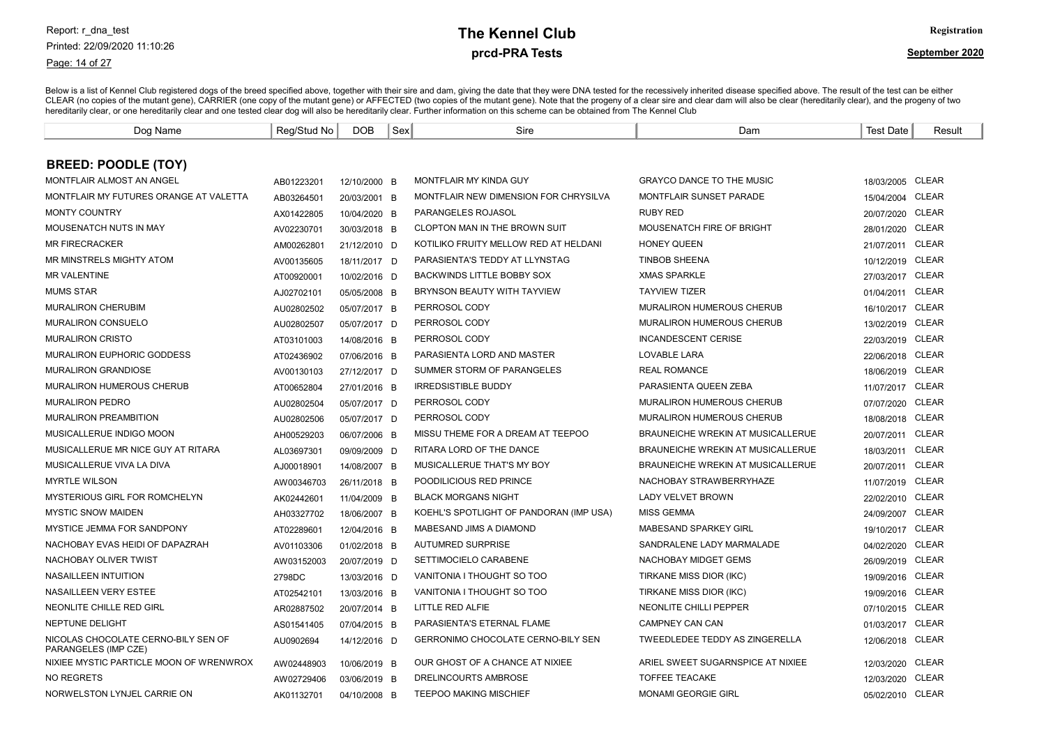Page: 14 of 27

# prcd-PRA Tests **The Kennel Club** Registration

| Dog Name                                                    | Reg/Stud No | <b>DOB</b>   | Sex | Sire                                      | Dam                                      | <b>Test Date</b> | Result       |
|-------------------------------------------------------------|-------------|--------------|-----|-------------------------------------------|------------------------------------------|------------------|--------------|
|                                                             |             |              |     |                                           |                                          |                  |              |
| <b>BREED: POODLE (TOY)</b>                                  |             |              |     |                                           |                                          |                  |              |
| MONTFLAIR ALMOST AN ANGEL                                   | AB01223201  | 12/10/2000 B |     | <b>MONTFLAIR MY KINDA GUY</b>             | <b>GRAYCO DANCE TO THE MUSIC</b>         | 18/03/2005 CLEAR |              |
| MONTFLAIR MY FUTURES ORANGE AT VALETTA                      | AB03264501  | 20/03/2001 B |     | MONTFLAIR NEW DIMENSION FOR CHRYSILVA     | <b>MONTFLAIR SUNSET PARADE</b>           | 15/04/2004 CLEAR |              |
| <b>MONTY COUNTRY</b>                                        | AX01422805  | 10/04/2020 B |     | <b>PARANGELES ROJASOL</b>                 | <b>RUBY RED</b>                          | 20/07/2020       | <b>CLEAR</b> |
| MOUSENATCH NUTS IN MAY                                      | AV02230701  | 30/03/2018 B |     | <b>CLOPTON MAN IN THE BROWN SUIT</b>      | MOUSENATCH FIRE OF BRIGHT                | 28/01/2020       | <b>CLEAR</b> |
| <b>MR FIRECRACKER</b>                                       | AM00262801  | 21/12/2010 D |     | KOTILIKO FRUITY MELLOW RED AT HELDANI     | <b>HONEY QUEEN</b>                       | 21/07/2011       | CLEAR        |
| MR MINSTRELS MIGHTY ATOM                                    | AV00135605  | 18/11/2017 D |     | PARASIENTA'S TEDDY AT LLYNSTAG            | <b>TINBOB SHEENA</b>                     | 10/12/2019 CLEAR |              |
| <b>MR VALENTINE</b>                                         | AT00920001  | 10/02/2016 D |     | <b>BACKWINDS LITTLE BOBBY SOX</b>         | <b>XMAS SPARKLE</b>                      | 27/03/2017 CLEAR |              |
| <b>MUMS STAR</b>                                            | AJ02702101  | 05/05/2008 B |     | BRYNSON BEAUTY WITH TAYVIEW               | <b>TAYVIEW TIZER</b>                     | 01/04/2011       | <b>CLEAR</b> |
| <b>MURALIRON CHERUBIM</b>                                   | AU02802502  | 05/07/2017 B |     | PERROSOL CODY                             | <b>MURALIRON HUMEROUS CHERUB</b>         | 16/10/2017 CLEAR |              |
| <b>MURALIRON CONSUELO</b>                                   | AU02802507  | 05/07/2017 D |     | PERROSOL CODY                             | <b>MURALIRON HUMEROUS CHERUB</b>         | 13/02/2019 CLEAR |              |
| <b>MURALIRON CRISTO</b>                                     | AT03101003  | 14/08/2016 B |     | PERROSOL CODY                             | <b>INCANDESCENT CERISE</b>               | 22/03/2019 CLEAR |              |
| MURALIRON EUPHORIC GODDESS                                  | AT02436902  | 07/06/2016 B |     | PARASIENTA LORD AND MASTER                | <b>LOVABLE LARA</b>                      | 22/06/2018 CLEAR |              |
| <b>MURALIRON GRANDIOSE</b>                                  | AV00130103  | 27/12/2017 D |     | SUMMER STORM OF PARANGELES                | <b>REAL ROMANCE</b>                      | 18/06/2019 CLEAR |              |
| <b>MURALIRON HUMEROUS CHERUB</b>                            | AT00652804  | 27/01/2016 B |     | <b>IRREDSISTIBLE BUDDY</b>                | PARASIENTA QUEEN ZEBA                    | 11/07/2017       | <b>CLEAR</b> |
| <b>MURALIRON PEDRO</b>                                      | AU02802504  | 05/07/2017 D |     | PERROSOL CODY                             | MURALIRON HUMEROUS CHERUB                | 07/07/2020       | <b>CLEAR</b> |
| <b>MURALIRON PREAMBITION</b>                                | AU02802506  | 05/07/2017 D |     | PERROSOL CODY                             | MURALIRON HUMEROUS CHERUB                | 18/08/2018 CLEAR |              |
| MUSICALLERUE INDIGO MOON                                    | AH00529203  | 06/07/2006 B |     | MISSU THEME FOR A DREAM AT TEEPOO         | BRAUNEICHE WREKIN AT MUSICALLERUE        | 20/07/2011       | <b>CLEAR</b> |
| MUSICALLERUE MR NICE GUY AT RITARA                          | AL03697301  | 09/09/2009 D |     | RITARA LORD OF THE DANCE                  | BRAUNEICHE WREKIN AT MUSICALLERUE        | 18/03/2011       | CLEAR        |
| MUSICALLERUE VIVA LA DIVA                                   | AJ00018901  | 14/08/2007 B |     | MUSICALLERUE THAT'S MY BOY                | <b>BRAUNEICHE WREKIN AT MUSICALLERUE</b> | 20/07/2011       | CLEAR        |
| <b>MYRTLE WILSON</b>                                        | AW00346703  | 26/11/2018 B |     | POODILICIOUS RED PRINCE                   | NACHOBAY STRAWBERRYHAZE                  | 11/07/2019       | <b>CLEAR</b> |
| MYSTERIOUS GIRL FOR ROMCHELYN                               | AK02442601  | 11/04/2009 B |     | <b>BLACK MORGANS NIGHT</b>                | <b>LADY VELVET BROWN</b>                 | 22/02/2010 CLEAR |              |
| <b>MYSTIC SNOW MAIDEN</b>                                   | AH03327702  | 18/06/2007 B |     | KOEHL'S SPOTLIGHT OF PANDORAN (IMP USA)   | <b>MISS GEMMA</b>                        | 24/09/2007 CLEAR |              |
| MYSTICE JEMMA FOR SANDPONY                                  | AT02289601  | 12/04/2016 B |     | MABESAND JIMS A DIAMOND                   | <b>MABESAND SPARKEY GIRL</b>             | 19/10/2017 CLEAR |              |
| NACHOBAY EVAS HEIDI OF DAPAZRAH                             | AV01103306  | 01/02/2018 B |     | <b>AUTUMRED SURPRISE</b>                  | SANDRALENE LADY MARMALADE                | 04/02/2020       | CLEAR        |
| NACHOBAY OLIVER TWIST                                       | AW03152003  | 20/07/2019 D |     | SETTIMOCIELO CARABENE                     | NACHOBAY MIDGET GEMS                     | 26/09/2019       | CLEAR        |
| NASAILLEEN INTUITION                                        | 2798DC      | 13/03/2016 D |     | VANITONIA I THOUGHT SO TOO                | TIRKANE MISS DIOR (IKC)                  | 19/09/2016 CLEAR |              |
| NASAILLEEN VERY ESTEE                                       | AT02542101  | 13/03/2016 B |     | VANITONIA I THOUGHT SO TOO                | TIRKANE MISS DIOR (IKC)                  | 19/09/2016 CLEAR |              |
| NEONLITE CHILLE RED GIRL                                    | AR02887502  | 20/07/2014 B |     | LITTLE RED ALFIE                          | NEONLITE CHILLI PEPPER                   | 07/10/2015 CLEAR |              |
| NEPTUNE DELIGHT                                             | AS01541405  | 07/04/2015 B |     | PARASIENTA'S ETERNAL FLAME                | CAMPNEY CAN CAN                          | 01/03/2017 CLEAR |              |
| NICOLAS CHOCOLATE CERNO-BILY SEN OF<br>PARANGELES (IMP CZE) | AU0902694   | 14/12/2016 D |     | <b>GERRONIMO CHOCOLATE CERNO-BILY SEN</b> | TWEEDLEDEE TEDDY AS ZINGERELLA           | 12/06/2018 CLEAR |              |
| NIXIEE MYSTIC PARTICLE MOON OF WRENWROX                     | AW02448903  | 10/06/2019 B |     | OUR GHOST OF A CHANCE AT NIXIEE           | ARIEL SWEET SUGARNSPICE AT NIXIEE        | 12/03/2020       | <b>CLEAR</b> |
| <b>NO REGRETS</b>                                           | AW02729406  | 03/06/2019 B |     | DRELINCOURTS AMBROSE                      | <b>TOFFEE TEACAKE</b>                    | 12/03/2020       | CLEAR        |
| NORWELSTON LYNJEL CARRIE ON                                 | AK01132701  | 04/10/2008 B |     | <b>TEEPOO MAKING MISCHIEF</b>             | <b>MONAMI GEORGIE GIRL</b>               | 05/02/2010 CLEAR |              |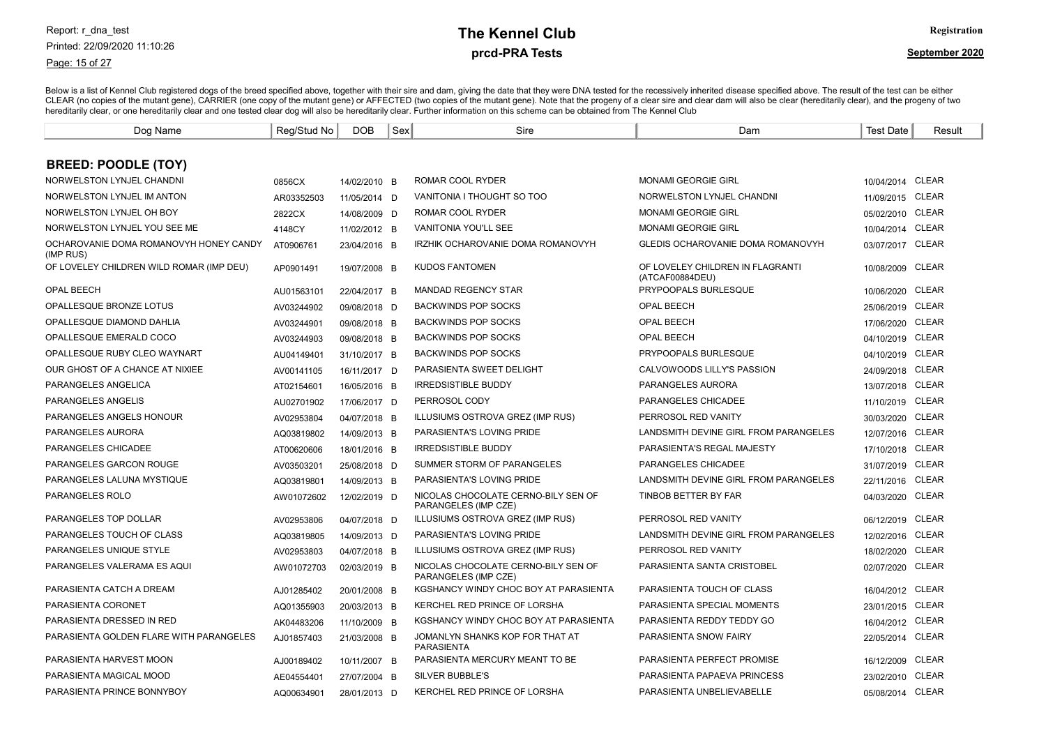#### Page: 15 of 27

# prcd-PRA Tests **The Kennel Club** Registration

| Dog Name                                            | Reg/Stud No | <b>DOB</b>   | Sex | Sire                                                        | Dam                                                 | <b>Test Date</b> | Result       |
|-----------------------------------------------------|-------------|--------------|-----|-------------------------------------------------------------|-----------------------------------------------------|------------------|--------------|
|                                                     |             |              |     |                                                             |                                                     |                  |              |
| <b>BREED: POODLE (TOY)</b>                          |             |              |     |                                                             |                                                     |                  |              |
| NORWELSTON LYNJEL CHANDNI                           | 0856CX      | 14/02/2010 B |     | ROMAR COOL RYDER                                            | <b>MONAMI GEORGIE GIRL</b>                          | 10/04/2014 CLEAR |              |
| NORWELSTON LYNJEL IM ANTON                          | AR03352503  | 11/05/2014 D |     | VANITONIA I THOUGHT SO TOO                                  | NORWELSTON LYNJEL CHANDNI                           | 11/09/2015 CLEAR |              |
| NORWELSTON LYNJEL OH BOY                            | 2822CX      | 14/08/2009 D |     | ROMAR COOL RYDER                                            | <b>MONAMI GEORGIE GIRL</b>                          | 05/02/2010 CLEAR |              |
| NORWELSTON LYNJEL YOU SEE ME                        | 4148CY      | 11/02/2012 B |     | <b>VANITONIA YOU'LL SEE</b>                                 | <b>MONAMI GEORGIE GIRL</b>                          | 10/04/2014 CLEAR |              |
| OCHAROVANIE DOMA ROMANOVYH HONEY CANDY<br>(IMP RUS) | AT0906761   | 23/04/2016 B |     | IRZHIK OCHAROVANIE DOMA ROMANOVYH                           | GLEDIS OCHAROVANIE DOMA ROMANOVYH                   | 03/07/2017       | CLEAR        |
| OF LOVELEY CHILDREN WILD ROMAR (IMP DEU)            | AP0901491   | 19/07/2008 B |     | KUDOS FANTOMEN                                              | OF LOVELEY CHILDREN IN FLAGRANTI<br>(ATCAF00884DEU) | 10/08/2009       | CLEAR        |
| <b>OPAL BEECH</b>                                   | AU01563101  | 22/04/2017 B |     | <b>MANDAD REGENCY STAR</b>                                  | PRYPOOPALS BURLESQUE                                | 10/06/2020       | <b>CLEAR</b> |
| OPALLESQUE BRONZE LOTUS                             | AV03244902  | 09/08/2018 D |     | <b>BACKWINDS POP SOCKS</b>                                  | <b>OPAL BEECH</b>                                   | 25/06/2019       | <b>CLEAR</b> |
| OPALLESQUE DIAMOND DAHLIA                           | AV03244901  | 09/08/2018 B |     | <b>BACKWINDS POP SOCKS</b>                                  | OPAL BEECH                                          | 17/06/2020       | <b>CLEAR</b> |
| OPALLESQUE EMERALD COCO                             | AV03244903  | 09/08/2018 B |     | <b>BACKWINDS POP SOCKS</b>                                  | <b>OPAL BEECH</b>                                   | 04/10/2019       | <b>CLEAR</b> |
| OPALLESQUE RUBY CLEO WAYNART                        | AU04149401  | 31/10/2017 B |     | <b>BACKWINDS POP SOCKS</b>                                  | PRYPOOPALS BURLESQUE                                | 04/10/2019 CLEAR |              |
| OUR GHOST OF A CHANCE AT NIXIEE                     | AV00141105  | 16/11/2017 D |     | PARASIENTA SWEET DELIGHT                                    | CALVOWOODS LILLY'S PASSION                          | 24/09/2018 CLEAR |              |
| PARANGELES ANGELICA                                 | AT02154601  | 16/05/2016 B |     | <b>IRREDSISTIBLE BUDDY</b>                                  | PARANGELES AURORA                                   | 13/07/2018       | <b>CLEAR</b> |
| PARANGELES ANGELIS                                  | AU02701902  | 17/06/2017 D |     | PERROSOL CODY                                               | PARANGELES CHICADEE                                 | 11/10/2019       | <b>CLEAR</b> |
| PARANGELES ANGELS HONOUR                            | AV02953804  | 04/07/2018 B |     | ILLUSIUMS OSTROVA GREZ (IMP RUS)                            | PERROSOL RED VANITY                                 | 30/03/2020       | <b>CLEAR</b> |
| PARANGELES AURORA                                   | AQ03819802  | 14/09/2013 B |     | PARASIENTA'S LOVING PRIDE                                   | LANDSMITH DEVINE GIRL FROM PARANGELES               | 12/07/2016       | <b>CLEAR</b> |
| PARANGELES CHICADEE                                 | AT00620606  | 18/01/2016 B |     | <b>IRREDSISTIBLE BUDDY</b>                                  | PARASIENTA'S REGAL MAJESTY                          | 17/10/2018 CLEAR |              |
| PARANGELES GARCON ROUGE                             | AV03503201  | 25/08/2018 D |     | SUMMER STORM OF PARANGELES                                  | PARANGELES CHICADEE                                 | 31/07/2019 CLEAR |              |
| PARANGELES LALUNA MYSTIQUE                          | AQ03819801  | 14/09/2013 B |     | PARASIENTA'S LOVING PRIDE                                   | LANDSMITH DEVINE GIRL FROM PARANGELES               | 22/11/2016 CLEAR |              |
| PARANGELES ROLO                                     | AW01072602  | 12/02/2019 D |     | NICOLAS CHOCOLATE CERNO-BILY SEN OF<br>PARANGELES (IMP CZE) | TINBOB BETTER BY FAR                                | 04/03/2020 CLEAR |              |
| PARANGELES TOP DOLLAR                               | AV02953806  | 04/07/2018 D |     | ILLUSIUMS OSTROVA GREZ (IMP RUS)                            | PERROSOL RED VANITY                                 | 06/12/2019 CLEAR |              |
| PARANGELES TOUCH OF CLASS                           | AQ03819805  | 14/09/2013 D |     | PARASIENTA'S LOVING PRIDE                                   | LANDSMITH DEVINE GIRL FROM PARANGELES               | 12/02/2016 CLEAR |              |
| PARANGELES UNIQUE STYLE                             | AV02953803  | 04/07/2018 B |     | ILLUSIUMS OSTROVA GREZ (IMP RUS)                            | PERROSOL RED VANITY                                 | 18/02/2020       | <b>CLEAR</b> |
| PARANGELES VALERAMA ES AQUI                         | AW01072703  | 02/03/2019 B |     | NICOLAS CHOCOLATE CERNO-BILY SEN OF<br>PARANGELES (IMP CZE) | PARASIENTA SANTA CRISTOBEL                          | 02/07/2020       | <b>CLEAR</b> |
| PARASIENTA CATCH A DREAM                            | AJ01285402  | 20/01/2008 B |     | KGSHANCY WINDY CHOC BOY AT PARASIENTA                       | PARASIENTA TOUCH OF CLASS                           | 16/04/2012       | CLEAR        |
| PARASIENTA CORONET                                  | AQ01355903  | 20/03/2013 B |     | KERCHEL RED PRINCE OF LORSHA                                | PARASIENTA SPECIAL MOMENTS                          | 23/01/2015 CLEAR |              |
| PARASIENTA DRESSED IN RED                           | AK04483206  | 11/10/2009 B |     | KGSHANCY WINDY CHOC BOY AT PARASIENTA                       | PARASIENTA REDDY TEDDY GO                           | 16/04/2012 CLEAR |              |
| PARASIENTA GOLDEN FLARE WITH PARANGELES             | AJ01857403  | 21/03/2008 B |     | JOMANLYN SHANKS KOP FOR THAT AT<br>PARASIENTA               | PARASIENTA SNOW FAIRY                               | 22/05/2014 CLEAR |              |
| PARASIENTA HARVEST MOON                             | AJ00189402  | 10/11/2007 B |     | PARASIENTA MERCURY MEANT TO BE                              | PARASIENTA PERFECT PROMISE                          | 16/12/2009       | <b>CLEAR</b> |
| PARASIENTA MAGICAL MOOD                             | AE04554401  | 27/07/2004 B |     | SILVER BUBBLE'S                                             | PARASIENTA PAPAEVA PRINCESS                         | 23/02/2010       | <b>CLEAR</b> |
| PARASIENTA PRINCE BONNYBOY                          | AQ00634901  | 28/01/2013 D |     | KERCHEL RED PRINCE OF LORSHA                                | PARASIENTA UNBELIEVABELLE                           | 05/08/2014 CLEAR |              |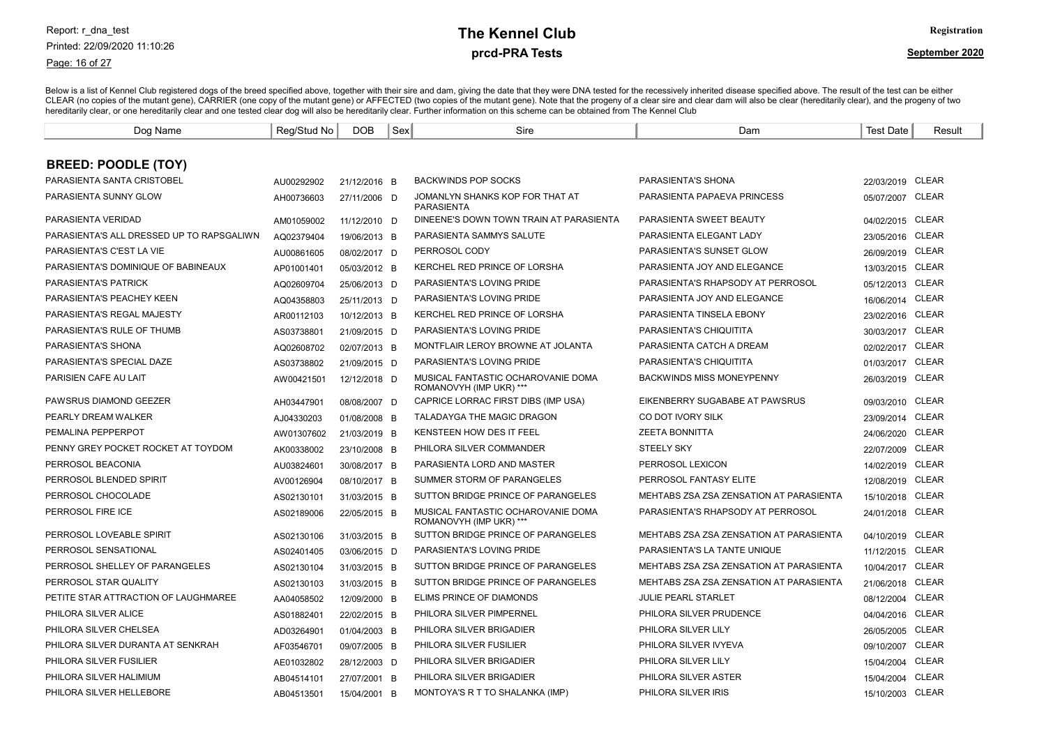Page: 16 of 27

# prcd-PRA Tests **The Kennel Club** Registration

| Dog Name                                  | Reg/Stud No | <b>DOB</b>   | Sex | Sire                                                          | Dam                                     | Test Date        | Result       |
|-------------------------------------------|-------------|--------------|-----|---------------------------------------------------------------|-----------------------------------------|------------------|--------------|
|                                           |             |              |     |                                                               |                                         |                  |              |
| <b>BREED: POODLE (TOY)</b>                |             |              |     |                                                               |                                         |                  |              |
| PARASIENTA SANTA CRISTOBEL                | AU00292902  | 21/12/2016 B |     | <b>BACKWINDS POP SOCKS</b>                                    | PARASIENTA'S SHONA                      | 22/03/2019 CLEAR |              |
| PARASIENTA SUNNY GLOW                     | AH00736603  | 27/11/2006 D |     | JOMANLYN SHANKS KOP FOR THAT AT<br><b>PARASIENTA</b>          | PARASIENTA PAPAEVA PRINCESS             | 05/07/2007       | CLEAR        |
| PARASIENTA VERIDAD                        | AM01059002  | 11/12/2010 D |     | DINEENE'S DOWN TOWN TRAIN AT PARASIENTA                       | PARASIENTA SWEET BEAUTY                 | 04/02/2015 CLEAR |              |
| PARASIENTA'S ALL DRESSED UP TO RAPSGALIWN | AQ02379404  | 19/06/2013 B |     | PARASIENTA SAMMYS SALUTE                                      | PARASIENTA ELEGANT LADY                 | 23/05/2016       | <b>CLEAR</b> |
| PARASIENTA'S C'EST LA VIE                 | AU00861605  | 08/02/2017 D |     | PERROSOL CODY                                                 | PARASIENTA'S SUNSET GLOW                | 26/09/2019       | <b>CLEAR</b> |
| PARASIENTA'S DOMINIQUE OF BABINEAUX       | AP01001401  | 05/03/2012 B |     | KERCHEL RED PRINCE OF LORSHA                                  | PARASIENTA JOY AND ELEGANCE             | 13/03/2015 CLEAR |              |
| <b>PARASIENTA'S PATRICK</b>               | AQ02609704  | 25/06/2013 D |     | PARASIENTA'S LOVING PRIDE                                     | PARASIENTA'S RHAPSODY AT PERROSOL       | 05/12/2013 CLEAR |              |
| PARASIENTA'S PEACHEY KEEN                 | AQ04358803  | 25/11/2013 D |     | PARASIENTA'S LOVING PRIDE                                     | PARASIENTA JOY AND ELEGANCE             | 16/06/2014 CLEAR |              |
| PARASIENTA'S REGAL MAJESTY                | AR00112103  | 10/12/2013 B |     | KERCHEL RED PRINCE OF LORSHA                                  | PARASIENTA TINSELA EBONY                | 23/02/2016 CLEAR |              |
| PARASIENTA'S RULE OF THUMB                | AS03738801  | 21/09/2015 D |     | PARASIENTA'S LOVING PRIDE                                     | PARASIENTA'S CHIQUITITA                 | 30/03/2017 CLEAR |              |
| PARASIENTA'S SHONA                        | AQ02608702  | 02/07/2013 B |     | MONTFLAIR LEROY BROWNE AT JOLANTA                             | PARASIENTA CATCH A DREAM                | 02/02/2017 CLEAR |              |
| PARASIENTA'S SPECIAL DAZE                 | AS03738802  | 21/09/2015 D |     | PARASIENTA'S LOVING PRIDE                                     | PARASIENTA'S CHIQUITITA                 | 01/03/2017 CLEAR |              |
| PARISIEN CAFE AU LAIT                     | AW00421501  | 12/12/2018 D |     | MUSICAL FANTASTIC OCHAROVANIE DOMA<br>ROMANOVYH (IMP UKR) *** | <b>BACKWINDS MISS MONEYPENNY</b>        | 26/03/2019 CLEAR |              |
| PAWSRUS DIAMOND GEEZER                    | AH03447901  | 08/08/2007 D |     | CAPRICE LORRAC FIRST DIBS (IMP USA)                           | EIKENBERRY SUGABABE AT PAWSRUS          | 09/03/2010       | <b>CLEAR</b> |
| PEARLY DREAM WALKER                       | AJ04330203  | 01/08/2008 B |     | <b>TALADAYGA THE MAGIC DRAGON</b>                             | CO DOT IVORY SILK                       | 23/09/2014       | CLEAR        |
| PEMALINA PEPPERPOT                        | AW01307602  | 21/03/2019 B |     | KENSTEEN HOW DES IT FEEL                                      | <b>ZEETA BONNITTA</b>                   | 24/06/2020       | <b>CLEAR</b> |
| PENNY GREY POCKET ROCKET AT TOYDOM        | AK00338002  | 23/10/2008 B |     | PHILORA SILVER COMMANDER                                      | <b>STEELY SKY</b>                       | 22/07/2009       | <b>CLEAR</b> |
| PERROSOL BEACONIA                         | AU03824601  | 30/08/2017 B |     | PARASIENTA LORD AND MASTER                                    | PERROSOL LEXICON                        | 14/02/2019 CLEAR |              |
| PERROSOL BLENDED SPIRIT                   | AV00126904  | 08/10/2017 B |     | SUMMER STORM OF PARANGELES                                    | PERROSOL FANTASY ELITE                  | 12/08/2019 CLEAR |              |
| PERROSOL CHOCOLADE                        | AS02130101  | 31/03/2015 B |     | SUTTON BRIDGE PRINCE OF PARANGELES                            | MEHTABS ZSA ZSA ZENSATION AT PARASIENTA | 15/10/2018 CLEAR |              |
| PERROSOL FIRE ICE                         | AS02189006  | 22/05/2015 B |     | MUSICAL FANTASTIC OCHAROVANIE DOMA<br>ROMANOVYH (IMP UKR) *** | PARASIENTA'S RHAPSODY AT PERROSOL       | 24/01/2018 CLEAR |              |
| PERROSOL LOVEABLE SPIRIT                  | AS02130106  | 31/03/2015 B |     | SUTTON BRIDGE PRINCE OF PARANGELES                            | MEHTABS ZSA ZSA ZENSATION AT PARASIENTA | 04/10/2019 CLEAR |              |
| PERROSOL SENSATIONAL                      | AS02401405  | 03/06/2015 D |     | PARASIENTA'S LOVING PRIDE                                     | PARASIENTA'S LA TANTE UNIQUE            | 11/12/2015       | CLEAR        |
| PERROSOL SHELLEY OF PARANGELES            | AS02130104  | 31/03/2015 B |     | SUTTON BRIDGE PRINCE OF PARANGELES                            | MEHTABS ZSA ZSA ZENSATION AT PARASIENTA | 10/04/2017       | <b>CLEAR</b> |
| PERROSOL STAR QUALITY                     | AS02130103  | 31/03/2015 B |     | SUTTON BRIDGE PRINCE OF PARANGELES                            | MEHTABS ZSA ZSA ZENSATION AT PARASIENTA | 21/06/2018       | <b>CLEAR</b> |
| PETITE STAR ATTRACTION OF LAUGHMAREE      | AA04058502  | 12/09/2000 B |     | ELIMS PRINCE OF DIAMONDS                                      | <b>JULIE PEARL STARLET</b>              | 08/12/2004       | <b>CLEAR</b> |
| PHILORA SILVER ALICE                      | AS01882401  | 22/02/2015 B |     | PHILORA SILVER PIMPERNEL                                      | PHILORA SILVER PRUDENCE                 | 04/04/2016       | <b>CLEAR</b> |
| PHILORA SILVER CHELSEA                    | AD03264901  | 01/04/2003 B |     | PHILORA SILVER BRIGADIER                                      | PHILORA SILVER LILY                     | 26/05/2005 CLEAR |              |
| PHILORA SILVER DURANTA AT SENKRAH         | AF03546701  | 09/07/2005 B |     | PHILORA SILVER FUSILIER                                       | PHILORA SILVER IVYEVA                   | 09/10/2007       | CLEAR        |
| PHILORA SILVER FUSILIER                   | AE01032802  | 28/12/2003 D |     | PHILORA SILVER BRIGADIER                                      | PHILORA SILVER LILY                     | 15/04/2004 CLEAR |              |
| PHILORA SILVER HALIMIUM                   | AB04514101  | 27/07/2001 B |     | PHILORA SILVER BRIGADIER                                      | PHILORA SILVER ASTER                    | 15/04/2004       | CLEAR        |
| PHILORA SILVER HELLEBORE                  | AB04513501  | 15/04/2001 B |     | MONTOYA'S R T TO SHALANKA (IMP)                               | PHILORA SILVER IRIS                     | 15/10/2003 CLEAR |              |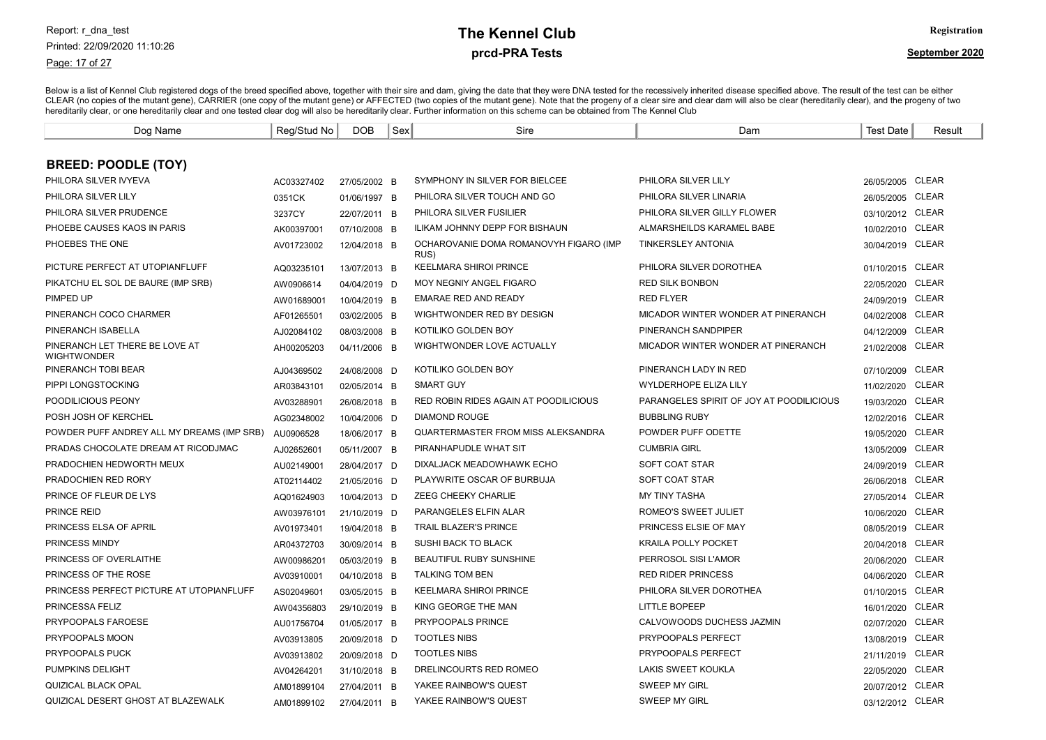#### Page: 17 of 27

# prcd-PRA Tests **The Kennel Club** Registration

| Dog Name                                             | Reg/Stud No | <b>DOB</b>   | Sex | Sire                                           | Dam                                      | <b>Test Date</b> | Result       |
|------------------------------------------------------|-------------|--------------|-----|------------------------------------------------|------------------------------------------|------------------|--------------|
|                                                      |             |              |     |                                                |                                          |                  |              |
| <b>BREED: POODLE (TOY)</b>                           |             |              |     |                                                |                                          |                  |              |
| PHILORA SILVER IVYEVA                                | AC03327402  | 27/05/2002 B |     | SYMPHONY IN SILVER FOR BIELCEE                 | PHILORA SILVER LILY                      | 26/05/2005 CLEAR |              |
| PHILORA SILVER LILY                                  | 0351CK      | 01/06/1997 B |     | PHILORA SILVER TOUCH AND GO                    | PHILORA SILVER LINARIA                   | 26/05/2005       | <b>CLEAR</b> |
| PHILORA SILVER PRUDENCE                              | 3237CY      | 22/07/2011 B |     | PHILORA SILVER FUSILIER                        | PHILORA SILVER GILLY FLOWER              | 03/10/2012 CLEAR |              |
| PHOEBE CAUSES KAOS IN PARIS                          | AK00397001  | 07/10/2008 B |     | <b>ILIKAM JOHNNY DEPP FOR BISHAUN</b>          | ALMARSHEILDS KARAMEL BABE                | 10/02/2010 CLEAR |              |
| PHOEBES THE ONE                                      | AV01723002  | 12/04/2018 B |     | OCHAROVANIE DOMA ROMANOVYH FIGARO (IMP<br>RUS) | <b>TINKERSLEY ANTONIA</b>                | 30/04/2019 CLEAR |              |
| PICTURE PERFECT AT UTOPIANFLUFF                      | AQ03235101  | 13/07/2013 B |     | <b>KEELMARA SHIROI PRINCE</b>                  | PHILORA SILVER DOROTHEA                  | 01/10/2015       | CLEAR        |
| PIKATCHU EL SOL DE BAURE (IMP SRB)                   | AW0906614   | 04/04/2019 D |     | MOY NEGNIY ANGEL FIGARO                        | <b>RED SILK BONBON</b>                   | 22/05/2020       | CLEAR        |
| PIMPED UP                                            | AW01689001  | 10/04/2019 B |     | <b>EMARAE RED AND READY</b>                    | <b>RED FLYER</b>                         | 24/09/2019       | <b>CLEAR</b> |
| PINERANCH COCO CHARMER                               | AF01265501  | 03/02/2005 B |     | WIGHTWONDER RED BY DESIGN                      | MICADOR WINTER WONDER AT PINERANCH       | 04/02/2008       | <b>CLEAR</b> |
| PINERANCH ISABELLA                                   | AJ02084102  | 08/03/2008 B |     | KOTILIKO GOLDEN BOY                            | PINERANCH SANDPIPER                      | 04/12/2009       | <b>CLEAR</b> |
| PINERANCH LET THERE BE LOVE AT<br><b>WIGHTWONDER</b> | AH00205203  | 04/11/2006 B |     | WIGHTWONDER LOVE ACTUALLY                      | MICADOR WINTER WONDER AT PINERANCH       | 21/02/2008       | CLEAR        |
| PINERANCH TOBI BEAR                                  | AJ04369502  | 24/08/2008 D |     | KOTILIKO GOLDEN BOY                            | PINERANCH LADY IN RED                    | 07/10/2009       | <b>CLEAR</b> |
| PIPPI LONGSTOCKING                                   | AR03843101  | 02/05/2014 B |     | <b>SMART GUY</b>                               | <b>WYLDERHOPE ELIZA LILY</b>             | 11/02/2020       | <b>CLEAR</b> |
| POODILICIOUS PEONY                                   | AV03288901  | 26/08/2018 B |     | RED ROBIN RIDES AGAIN AT POODILICIOUS          | PARANGELES SPIRIT OF JOY AT POODILICIOUS | 19/03/2020       | CLEAR        |
| POSH JOSH OF KERCHEL                                 | AG02348002  | 10/04/2006 D |     | <b>DIAMOND ROUGE</b>                           | <b>BUBBLING RUBY</b>                     | 12/02/2016       | <b>CLEAR</b> |
| POWDER PUFF ANDREY ALL MY DREAMS (IMP SRB)           | AU0906528   | 18/06/2017 B |     | QUARTERMASTER FROM MISS ALEKSANDRA             | POWDER PUFF ODETTE                       | 19/05/2020       | CLEAR        |
| PRADAS CHOCOLATE DREAM AT RICODJMAC                  | AJ02652601  | 05/11/2007 B |     | PIRANHAPUDLE WHAT SIT                          | <b>CUMBRIA GIRL</b>                      | 13/05/2009       | <b>CLEAR</b> |
| PRADOCHIEN HEDWORTH MEUX                             | AU02149001  | 28/04/2017 D |     | DIXALJACK MEADOWHAWK ECHO                      | SOFT COAT STAR                           | 24/09/2019       | CLEAR        |
| PRADOCHIEN RED RORY                                  | AT02114402  | 21/05/2016 D |     | PLAYWRITE OSCAR OF BURBUJA                     | SOFT COAT STAR                           | 26/06/2018       | <b>CLEAR</b> |
| PRINCE OF FLEUR DE LYS                               | AQ01624903  | 10/04/2013 D |     | ZEEG CHEEKY CHARLIE                            | <b>MY TINY TASHA</b>                     | 27/05/2014       | CLEAR        |
| <b>PRINCE REID</b>                                   | AW03976101  | 21/10/2019 D |     | PARANGELES ELFIN ALAR                          | ROMEO'S SWEET JULIET                     | 10/06/2020       | CLEAR        |
| PRINCESS ELSA OF APRIL                               | AV01973401  | 19/04/2018 B |     | TRAIL BLAZER'S PRINCE                          | PRINCESS ELSIE OF MAY                    | 08/05/2019       | <b>CLEAR</b> |
| PRINCESS MINDY                                       | AR04372703  | 30/09/2014 B |     | SUSHI BACK TO BLACK                            | <b>KRAILA POLLY POCKET</b>               | 20/04/2018       | <b>CLEAR</b> |
| PRINCESS OF OVERLAITHE                               | AW00986201  | 05/03/2019 B |     | BEAUTIFUL RUBY SUNSHINE                        | PERROSOL SISI L'AMOR                     | 20/06/2020       | <b>CLEAR</b> |
| PRINCESS OF THE ROSE                                 | AV03910001  | 04/10/2018 B |     | <b>TALKING TOM BEN</b>                         | <b>RED RIDER PRINCESS</b>                | 04/06/2020       | <b>CLEAR</b> |
| PRINCESS PERFECT PICTURE AT UTOPIANFLUFF             | AS02049601  | 03/05/2015 B |     | <b>KEELMARA SHIROI PRINCE</b>                  | PHILORA SILVER DOROTHEA                  | 01/10/2015       | <b>CLEAR</b> |
| <b>PRINCESSA FELIZ</b>                               | AW04356803  | 29/10/2019 B |     | KING GEORGE THE MAN                            | <b>LITTLE BOPEEP</b>                     | 16/01/2020       | <b>CLEAR</b> |
| PRYPOOPALS FAROESE                                   | AU01756704  | 01/05/2017 B |     | PRYPOOPALS PRINCE                              | CALVOWOODS DUCHESS JAZMIN                | 02/07/2020       | <b>CLEAR</b> |
| PRYPOOPALS MOON                                      | AV03913805  | 20/09/2018 D |     | <b>TOOTLES NIBS</b>                            | <b>PRYPOOPALS PERFECT</b>                | 13/08/2019       | CLEAR        |
| PRYPOOPALS PUCK                                      | AV03913802  | 20/09/2018 D |     | <b>TOOTLES NIBS</b>                            | <b>PRYPOOPALS PERFECT</b>                | 21/11/2019       | CLEAR        |
| PUMPKINS DELIGHT                                     | AV04264201  | 31/10/2018 B |     | DRELINCOURTS RED ROMEO                         | LAKIS SWEET KOUKLA                       | 22/05/2020       | CLEAR        |
| <b>QUIZICAL BLACK OPAL</b>                           | AM01899104  | 27/04/2011 B |     | YAKEE RAINBOW'S QUEST                          | <b>SWEEP MY GIRL</b>                     | 20/07/2012 CLEAR |              |
| QUIZICAL DESERT GHOST AT BLAZEWALK                   | AM01899102  | 27/04/2011 B |     | YAKEE RAINBOW'S QUEST                          | <b>SWEEP MY GIRL</b>                     | 03/12/2012 CLEAR |              |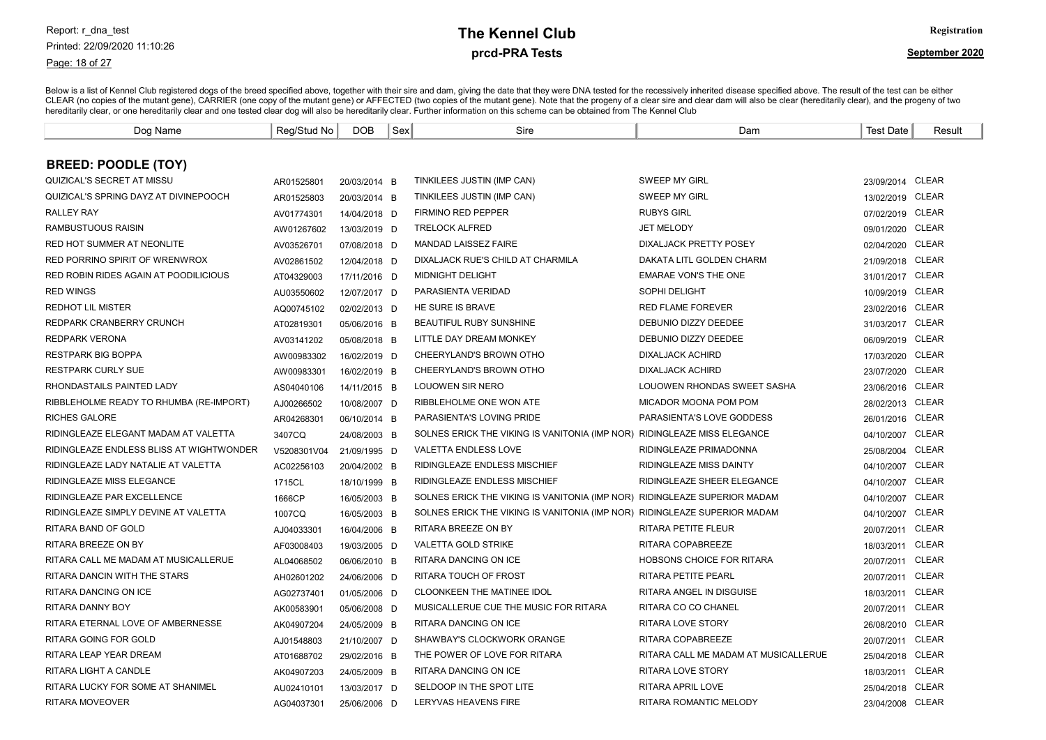#### Page: 18 of 27

# prcd-PRA Tests **The Kennel Club** Registration

| Dog Name                                 | Reg/Stud No | <b>DOB</b>   | Sex | Sire                                                                      | Dam                                  | <b>Test Date</b> | Result       |
|------------------------------------------|-------------|--------------|-----|---------------------------------------------------------------------------|--------------------------------------|------------------|--------------|
|                                          |             |              |     |                                                                           |                                      |                  |              |
| <b>BREED: POODLE (TOY)</b>               |             |              |     |                                                                           |                                      |                  |              |
| QUIZICAL'S SECRET AT MISSU               | AR01525801  | 20/03/2014 B |     | TINKILEES JUSTIN (IMP CAN)                                                | <b>SWEEP MY GIRL</b>                 | 23/09/2014 CLEAR |              |
| QUIZICAL'S SPRING DAYZ AT DIVINEPOOCH    | AR01525803  | 20/03/2014 B |     | TINKILEES JUSTIN (IMP CAN)                                                | SWEEP MY GIRL                        | 13/02/2019 CLEAR |              |
| <b>RALLEY RAY</b>                        | AV01774301  | 14/04/2018 D |     | FIRMINO RED PEPPER                                                        | <b>RUBYS GIRL</b>                    | 07/02/2019 CLEAR |              |
| RAMBUSTUOUS RAISIN                       | AW01267602  | 13/03/2019 D |     | <b>TRELOCK ALFRED</b>                                                     | <b>JET MELODY</b>                    | 09/01/2020 CLEAR |              |
| RED HOT SUMMER AT NEONLITE               | AV03526701  | 07/08/2018 D |     | <b>MANDAD LAISSEZ FAIRE</b>                                               | DIXALJACK PRETTY POSEY               | 02/04/2020 CLEAR |              |
| RED PORRINO SPIRIT OF WRENWROX           | AV02861502  | 12/04/2018 D |     | DIXALJACK RUE'S CHILD AT CHARMILA                                         | DAKATA LITL GOLDEN CHARM             | 21/09/2018 CLEAR |              |
| RED ROBIN RIDES AGAIN AT POODILICIOUS    | AT04329003  | 17/11/2016 D |     | <b>MIDNIGHT DELIGHT</b>                                                   | <b>EMARAE VON'S THE ONE</b>          | 31/01/2017 CLEAR |              |
| <b>RED WINGS</b>                         | AU03550602  | 12/07/2017 D |     | PARASIENTA VERIDAD                                                        | SOPHI DELIGHT                        | 10/09/2019 CLEAR |              |
| <b>REDHOT LIL MISTER</b>                 | AQ00745102  | 02/02/2013 D |     | HE SURE IS BRAVE                                                          | <b>RED FLAME FOREVER</b>             | 23/02/2016 CLEAR |              |
| REDPARK CRANBERRY CRUNCH                 | AT02819301  | 05/06/2016 B |     | BEAUTIFUL RUBY SUNSHINE                                                   | DEBUNIO DIZZY DEEDEE                 | 31/03/2017 CLEAR |              |
| <b>REDPARK VERONA</b>                    | AV03141202  | 05/08/2018 B |     | LITTLE DAY DREAM MONKEY                                                   | DEBUNIO DIZZY DEEDEE                 | 06/09/2019 CLEAR |              |
| <b>RESTPARK BIG BOPPA</b>                | AW00983302  | 16/02/2019 D |     | CHEERYLAND'S BROWN OTHO                                                   | <b>DIXALJACK ACHIRD</b>              | 17/03/2020 CLEAR |              |
| <b>RESTPARK CURLY SUE</b>                | AW00983301  | 16/02/2019 B |     | CHEERYLAND'S BROWN OTHO                                                   | <b>DIXALJACK ACHIRD</b>              | 23/07/2020 CLEAR |              |
| RHONDASTAILS PAINTED LADY                | AS04040106  | 14/11/2015 B |     | LOUOWEN SIR NERO                                                          | LOUOWEN RHONDAS SWEET SASHA          | 23/06/2016 CLEAR |              |
| RIBBLEHOLME READY TO RHUMBA (RE-IMPORT)  | AJ00266502  | 10/08/2007 D |     | RIBBLEHOLME ONE WON ATE                                                   | MICADOR MOONA POM POM                | 28/02/2013 CLEAR |              |
| <b>RICHES GALORE</b>                     | AR04268301  | 06/10/2014 B |     | PARASIENTA'S LOVING PRIDE                                                 | PARASIENTA'S LOVE GODDESS            | 26/01/2016 CLEAR |              |
| RIDINGLEAZE ELEGANT MADAM AT VALETTA     | 3407CQ      | 24/08/2003 B |     | SOLNES ERICK THE VIKING IS VANITONIA (IMP NOR) RIDINGLEAZE MISS ELEGANCE  |                                      | 04/10/2007       | <b>CLEAR</b> |
| RIDINGLEAZE ENDLESS BLISS AT WIGHTWONDER | V5208301V04 | 21/09/1995 D |     | <b>VALETTA ENDLESS LOVE</b>                                               | RIDINGLEAZE PRIMADONNA               | 25/08/2004       | <b>CLEAR</b> |
| RIDINGLEAZE LADY NATALIE AT VALETTA      | AC02256103  | 20/04/2002 B |     | RIDINGLEAZE ENDLESS MISCHIEF                                              | <b>RIDINGLEAZE MISS DAINTY</b>       | 04/10/2007       | <b>CLEAR</b> |
| RIDINGLEAZE MISS ELEGANCE                | 1715CL      | 18/10/1999 B |     | <b>RIDINGLEAZE ENDLESS MISCHIEF</b>                                       | RIDINGLEAZE SHEER ELEGANCE           | 04/10/2007       | <b>CLEAR</b> |
| RIDINGLEAZE PAR EXCELLENCE               | 1666CP      | 16/05/2003 B |     | SOLNES ERICK THE VIKING IS VANITONIA (IMP NOR) RIDINGLEAZE SUPERIOR MADAM |                                      | 04/10/2007       | <b>CLEAR</b> |
| RIDINGLEAZE SIMPLY DEVINE AT VALETTA     | 1007CQ      | 16/05/2003 B |     | SOLNES ERICK THE VIKING IS VANITONIA (IMP NOR) RIDINGLEAZE SUPERIOR MADAM |                                      | 04/10/2007       | <b>CLEAR</b> |
| RITARA BAND OF GOLD                      | AJ04033301  | 16/04/2006 B |     | RITARA BREEZE ON BY                                                       | RITARA PETITE FLEUR                  | 20/07/2011       | <b>CLEAR</b> |
| RITARA BREEZE ON BY                      | AF03008403  | 19/03/2005 D |     | <b>VALETTA GOLD STRIKE</b>                                                | RITARA COPABREEZE                    | 18/03/2011       | <b>CLEAR</b> |
| RITARA CALL ME MADAM AT MUSICALLERUE     | AL04068502  | 06/06/2010 B |     | RITARA DANCING ON ICE                                                     | <b>HOBSONS CHOICE FOR RITARA</b>     | 20/07/2011       | <b>CLEAR</b> |
| RITARA DANCIN WITH THE STARS             | AH02601202  | 24/06/2006 D |     | RITARA TOUCH OF FROST                                                     | RITARA PETITE PEARL                  | 20/07/2011       | <b>CLEAR</b> |
| RITARA DANCING ON ICE                    | AG02737401  | 01/05/2006 D |     | <b>CLOONKEEN THE MATINEE IDOL</b>                                         | RITARA ANGEL IN DISGUISE             | 18/03/2011       | <b>CLEAR</b> |
| RITARA DANNY BOY                         | AK00583901  | 05/06/2008 D |     | MUSICALLERUE CUE THE MUSIC FOR RITARA                                     | RITARA CO CO CHANEL                  | 20/07/2011       | <b>CLEAR</b> |
| RITARA ETERNAL LOVE OF AMBERNESSE        | AK04907204  | 24/05/2009 B |     | RITARA DANCING ON ICE                                                     | <b>RITARA LOVE STORY</b>             | 26/08/2010       | <b>CLEAR</b> |
| RITARA GOING FOR GOLD                    | AJ01548803  | 21/10/2007 D |     | SHAWBAY'S CLOCKWORK ORANGE                                                | RITARA COPABREEZE                    | 20/07/2011       | <b>CLEAR</b> |
| RITARA LEAP YEAR DREAM                   | AT01688702  | 29/02/2016 B |     | THE POWER OF LOVE FOR RITARA                                              | RITARA CALL ME MADAM AT MUSICALLERUE | 25/04/2018 CLEAR |              |
| RITARA LIGHT A CANDLE                    | AK04907203  | 24/05/2009 B |     | RITARA DANCING ON ICE                                                     | RITARA LOVE STORY                    | 18/03/2011 CLEAR |              |
| RITARA LUCKY FOR SOME AT SHANIMEL        | AU02410101  | 13/03/2017 D |     | SELDOOP IN THE SPOT LITE                                                  | RITARA APRIL LOVE                    | 25/04/2018 CLEAR |              |
| <b>RITARA MOVEOVER</b>                   | AG04037301  | 25/06/2006 D |     | <b>LERYVAS HEAVENS FIRE</b>                                               | <b>RITARA ROMANTIC MELODY</b>        | 23/04/2008 CLEAR |              |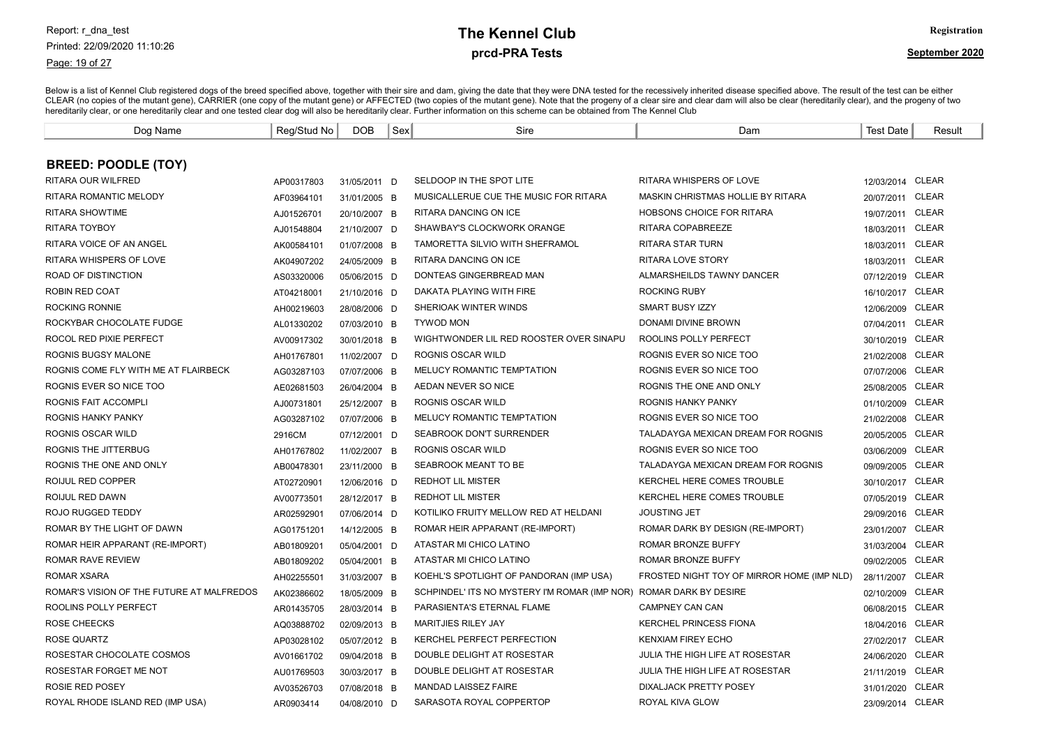#### Page: 19 of 27

# prcd-PRA Tests **The Kennel Club** Registration

| Dog Name                                  | Reg/Stud No | <b>DOB</b>   | Sex | Sire                                          | Dam                                        | <b>Test Date</b> | Result       |
|-------------------------------------------|-------------|--------------|-----|-----------------------------------------------|--------------------------------------------|------------------|--------------|
|                                           |             |              |     |                                               |                                            |                  |              |
| <b>BREED: POODLE (TOY)</b>                |             |              |     |                                               |                                            |                  |              |
| RITARA OUR WILFRED                        | AP00317803  | 31/05/2011 D |     | SELDOOP IN THE SPOT LITE                      | RITARA WHISPERS OF LOVE                    | 12/03/2014 CLEAR |              |
| <b>RITARA ROMANTIC MELODY</b>             | AF03964101  | 31/01/2005 B |     | MUSICALLERUE CUE THE MUSIC FOR RITARA         | MASKIN CHRISTMAS HOLLIE BY RITARA          | 20/07/2011 CLEAR |              |
| <b>RITARA SHOWTIME</b>                    | AJ01526701  | 20/10/2007 B |     | RITARA DANCING ON ICE                         | HOBSONS CHOICE FOR RITARA                  | 19/07/2011       | <b>CLEAR</b> |
| <b>RITARA TOYBOY</b>                      | AJ01548804  | 21/10/2007 D |     | SHAWBAY'S CLOCKWORK ORANGE                    | RITARA COPABREEZE                          | 18/03/2011       | <b>CLEAR</b> |
| RITARA VOICE OF AN ANGEL                  | AK00584101  | 01/07/2008 B |     | TAMORETTA SILVIO WITH SHEFRAMOL               | <b>RITARA STAR TURN</b>                    | 18/03/2011 CLEAR |              |
| RITARA WHISPERS OF LOVE                   | AK04907202  | 24/05/2009 B |     | RITARA DANCING ON ICE                         | <b>RITARA LOVE STORY</b>                   | 18/03/2011 CLEAR |              |
| <b>ROAD OF DISTINCTION</b>                | AS03320006  | 05/06/2015 D |     | DONTEAS GINGERBREAD MAN                       | ALMARSHEILDS TAWNY DANCER                  | 07/12/2019 CLEAR |              |
| ROBIN RED COAT                            | AT04218001  | 21/10/2016 D |     | DAKATA PLAYING WITH FIRE                      | <b>ROCKING RUBY</b>                        | 16/10/2017 CLEAR |              |
| <b>ROCKING RONNIE</b>                     | AH00219603  | 28/08/2006 D |     | SHERIOAK WINTER WINDS                         | <b>SMART BUSY IZZY</b>                     | 12/06/2009 CLEAR |              |
| ROCKYBAR CHOCOLATE FUDGE                  | AL01330202  | 07/03/2010 B |     | <b>TYWOD MON</b>                              | DONAMI DIVINE BROWN                        | 07/04/2011       | <b>CLEAR</b> |
| ROCOL RED PIXIE PERFECT                   | AV00917302  | 30/01/2018 B |     | WIGHTWONDER LIL RED ROOSTER OVER SINAPU       | ROOLINS POLLY PERFECT                      | 30/10/2019 CLEAR |              |
| ROGNIS BUGSY MALONE                       | AH01767801  | 11/02/2007 D |     | ROGNIS OSCAR WILD                             | ROGNIS EVER SO NICE TOO                    | 21/02/2008 CLEAR |              |
| ROGNIS COME FLY WITH ME AT FLAIRBECK      | AG03287103  | 07/07/2006 B |     | <b>MELUCY ROMANTIC TEMPTATION</b>             | ROGNIS EVER SO NICE TOO                    | 07/07/2006 CLEAR |              |
| ROGNIS EVER SO NICE TOO                   | AE02681503  | 26/04/2004 B |     | AEDAN NEVER SO NICE                           | ROGNIS THE ONE AND ONLY                    | 25/08/2005 CLEAR |              |
| ROGNIS FAIT ACCOMPLI                      | AJ00731801  | 25/12/2007 B |     | ROGNIS OSCAR WILD                             | ROGNIS HANKY PANKY                         | 01/10/2009       | <b>CLEAR</b> |
| <b>ROGNIS HANKY PANKY</b>                 | AG03287102  | 07/07/2006 B |     | <b>MELUCY ROMANTIC TEMPTATION</b>             | ROGNIS EVER SO NICE TOO                    | 21/02/2008       | <b>CLEAR</b> |
| ROGNIS OSCAR WILD                         | 2916CM      | 07/12/2001 D |     | SEABROOK DON'T SURRENDER                      | TALADAYGA MEXICAN DREAM FOR ROGNIS         | 20/05/2005       | <b>CLEAR</b> |
| ROGNIS THE JITTERBUG                      | AH01767802  | 11/02/2007 B |     | <b>ROGNIS OSCAR WILD</b>                      | ROGNIS EVER SO NICE TOO                    | 03/06/2009       | <b>CLEAR</b> |
| ROGNIS THE ONE AND ONLY                   | AB00478301  | 23/11/2000 B |     | SEABROOK MEANT TO BE                          | TALADAYGA MEXICAN DREAM FOR ROGNIS         | 09/09/2005 CLEAR |              |
| ROIJUL RED COPPER                         | AT02720901  | 12/06/2016 D |     | <b>REDHOT LIL MISTER</b>                      | KERCHEL HERE COMES TROUBLE                 | 30/10/2017 CLEAR |              |
| ROIJUL RED DAWN                           | AV00773501  | 28/12/2017 B |     | <b>REDHOT LIL MISTER</b>                      | KERCHEL HERE COMES TROUBLE                 | 07/05/2019 CLEAR |              |
| ROJO RUGGED TEDDY                         | AR02592901  | 07/06/2014 D |     | KOTILIKO FRUITY MELLOW RED AT HELDANI         | <b>JOUSTING JET</b>                        | 29/09/2016 CLEAR |              |
| ROMAR BY THE LIGHT OF DAWN                | AG01751201  | 14/12/2005 B |     | ROMAR HEIR APPARANT (RE-IMPORT)               | ROMAR DARK BY DESIGN (RE-IMPORT)           | 23/01/2007 CLEAR |              |
| ROMAR HEIR APPARANT (RE-IMPORT)           | AB01809201  | 05/04/2001 D |     | ATASTAR MI CHICO LATINO                       | ROMAR BRONZE BUFFY                         | 31/03/2004       | <b>CLEAR</b> |
| <b>ROMAR RAVE REVIEW</b>                  | AB01809202  | 05/04/2001 B |     | ATASTAR MI CHICO LATINO                       | ROMAR BRONZE BUFFY                         | 09/02/2005 CLEAR |              |
| ROMAR XSARA                               | AH02255501  | 31/03/2007 B |     | KOEHL'S SPOTLIGHT OF PANDORAN (IMP USA)       | FROSTED NIGHT TOY OF MIRROR HOME (IMP NLD) | 28/11/2007       | <b>CLEAR</b> |
| ROMAR'S VISION OF THE FUTURE AT MALFREDOS | AK02386602  | 18/05/2009 B |     | SCHPINDEL' ITS NO MYSTERY I'M ROMAR (IMP NOR) | ROMAR DARK BY DESIRE                       | 02/10/2009       | CLEAR        |
| ROOLINS POLLY PERFECT                     | AR01435705  | 28/03/2014 B |     | PARASIENTA'S ETERNAL FLAME                    | CAMPNEY CAN CAN                            | 06/08/2015 CLEAR |              |
| ROSE CHEECKS                              | AQ03888702  | 02/09/2013 B |     | <b>MARITJIES RILEY JAY</b>                    | <b>KERCHEL PRINCESS FIONA</b>              | 18/04/2016 CLEAR |              |
| ROSE QUARTZ                               | AP03028102  | 05/07/2012 B |     | <b>KERCHEL PERFECT PERFECTION</b>             | <b>KENXIAM FIREY ECHO</b>                  | 27/02/2017 CLEAR |              |
| ROSESTAR CHOCOLATE COSMOS                 | AV01661702  | 09/04/2018 B |     | DOUBLE DELIGHT AT ROSESTAR                    | JULIA THE HIGH LIFE AT ROSESTAR            | 24/06/2020 CLEAR |              |
| ROSESTAR FORGET ME NOT                    | AU01769503  | 30/03/2017 B |     | DOUBLE DELIGHT AT ROSESTAR                    | JULIA THE HIGH LIFE AT ROSESTAR            | 21/11/2019 CLEAR |              |
| <b>ROSIE RED POSEY</b>                    | AV03526703  | 07/08/2018 B |     | <b>MANDAD LAISSEZ FAIRE</b>                   | DIXALJACK PRETTY POSEY                     | 31/01/2020 CLEAR |              |
| ROYAL RHODE ISLAND RED (IMP USA)          | AR0903414   | 04/08/2010 D |     | SARASOTA ROYAL COPPERTOP                      | ROYAL KIVA GLOW                            | 23/09/2014 CLEAR |              |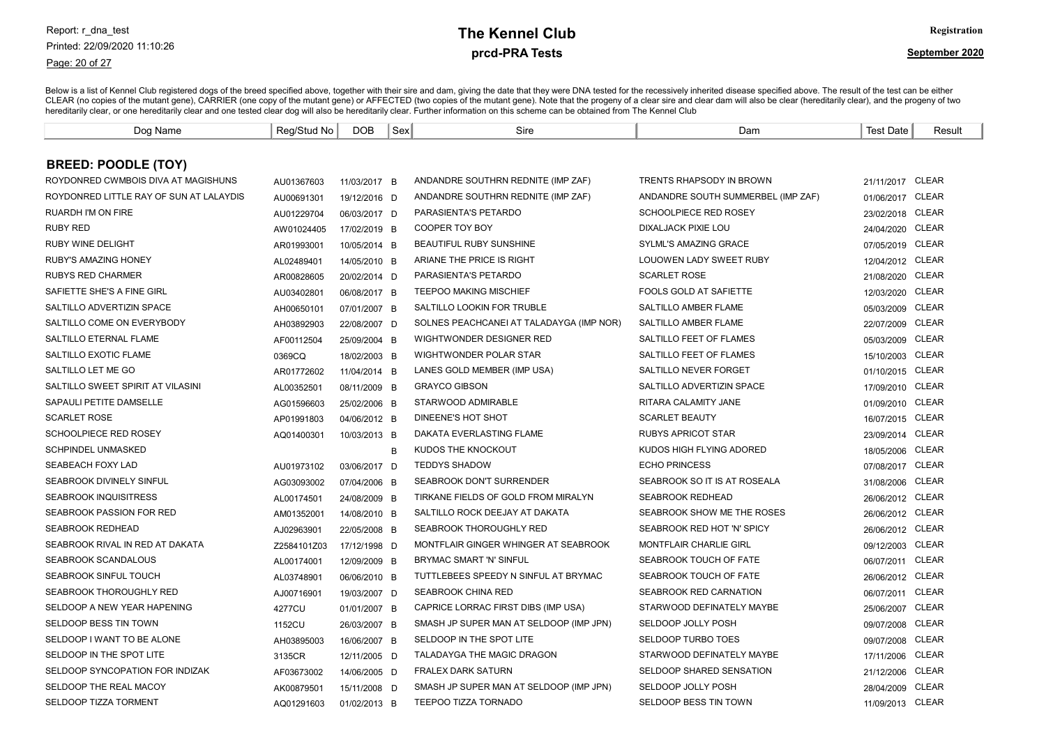#### Page: 20 of 27

# prcd-PRA Tests **The Kennel Club** Registration

| Dog Name                                | Reg/Stud No | <b>DOB</b>   | Sex | Sire                                     | Dam                                | Test Date        | Result       |
|-----------------------------------------|-------------|--------------|-----|------------------------------------------|------------------------------------|------------------|--------------|
|                                         |             |              |     |                                          |                                    |                  |              |
| <b>BREED: POODLE (TOY)</b>              |             |              |     |                                          |                                    |                  |              |
| ROYDONRED CWMBOIS DIVA AT MAGISHUNS     | AU01367603  | 11/03/2017 B |     | ANDANDRE SOUTHRN REDNITE (IMP ZAF)       | <b>TRENTS RHAPSODY IN BROWN</b>    | 21/11/2017 CLEAR |              |
| ROYDONRED LITTLE RAY OF SUN AT LALAYDIS | AU00691301  | 19/12/2016 D |     | ANDANDRE SOUTHRN REDNITE (IMP ZAF)       | ANDANDRE SOUTH SUMMERBEL (IMP ZAF) | 01/06/2017 CLEAR |              |
| <b>RUARDH I'M ON FIRE</b>               | AU01229704  | 06/03/2017 D |     | PARASIENTA'S PETARDO                     | SCHOOLPIECE RED ROSEY              | 23/02/2018 CLEAR |              |
| <b>RUBY RED</b>                         | AW01024405  | 17/02/2019 B |     | <b>COOPER TOY BOY</b>                    | DIXALJACK PIXIE LOU                | 24/04/2020 CLEAR |              |
| <b>RUBY WINE DELIGHT</b>                | AR01993001  | 10/05/2014 B |     | BEAUTIFUL RUBY SUNSHINE                  | <b>SYLML'S AMAZING GRACE</b>       | 07/05/2019 CLEAR |              |
| RUBY'S AMAZING HONEY                    | AL02489401  | 14/05/2010 B |     | ARIANE THE PRICE IS RIGHT                | LOUOWEN LADY SWEET RUBY            | 12/04/2012 CLEAR |              |
| <b>RUBYS RED CHARMER</b>                | AR00828605  | 20/02/2014 D |     | <b>PARASIENTA'S PETARDO</b>              | <b>SCARLET ROSE</b>                | 21/08/2020 CLEAR |              |
| SAFIETTE SHE'S A FINE GIRL              | AU03402801  | 06/08/2017 B |     | <b>TEEPOO MAKING MISCHIEF</b>            | <b>FOOLS GOLD AT SAFIETTE</b>      | 12/03/2020 CLEAR |              |
| SALTILLO ADVERTIZIN SPACE               | AH00650101  | 07/01/2007 B |     | SALTILLO LOOKIN FOR TRUBLE               | <b>SALTILLO AMBER FLAME</b>        | 05/03/2009       | <b>CLEAR</b> |
| SALTILLO COME ON EVERYBODY              | AH03892903  | 22/08/2007 D |     | SOLNES PEACHCANEI AT TALADAYGA (IMP NOR) | SALTILLO AMBER FLAME               | 22/07/2009       | <b>CLEAR</b> |
| SALTILLO ETERNAL FLAME                  | AF00112504  | 25/09/2004 B |     | WIGHTWONDER DESIGNER RED                 | SALTILLO FEET OF FLAMES            | 05/03/2009 CLEAR |              |
| SALTILLO EXOTIC FLAME                   | 0369CQ      | 18/02/2003 B |     | WIGHTWONDER POLAR STAR                   | SALTILLO FEET OF FLAMES            | 15/10/2003 CLEAR |              |
| SALTILLO LET ME GO                      | AR01772602  | 11/04/2014 B |     | LANES GOLD MEMBER (IMP USA)              | SALTILLO NEVER FORGET              | 01/10/2015 CLEAR |              |
| SALTILLO SWEET SPIRIT AT VILASINI       | AL00352501  | 08/11/2009 B |     | <b>GRAYCO GIBSON</b>                     | SALTILLO ADVERTIZIN SPACE          | 17/09/2010 CLEAR |              |
| SAPAULI PETITE DAMSELLE                 | AG01596603  | 25/02/2006 B |     | STARWOOD ADMIRABLE                       | RITARA CALAMITY JANE               | 01/09/2010 CLEAR |              |
| <b>SCARLET ROSE</b>                     | AP01991803  | 04/06/2012 B |     | DINEENE'S HOT SHOT                       | <b>SCARLET BEAUTY</b>              | 16/07/2015 CLEAR |              |
| SCHOOLPIECE RED ROSEY                   | AQ01400301  | 10/03/2013 B |     | DAKATA EVERLASTING FLAME                 | <b>RUBYS APRICOT STAR</b>          | 23/09/2014 CLEAR |              |
| <b>SCHPINDEL UNMASKED</b>               |             |              | B   | KUDOS THE KNOCKOUT                       | KUDOS HIGH FLYING ADORED           | 18/05/2006 CLEAR |              |
| SEABEACH FOXY LAD                       | AU01973102  | 03/06/2017 D |     | <b>TEDDYS SHADOW</b>                     | <b>ECHO PRINCESS</b>               | 07/08/2017 CLEAR |              |
| <b>SEABROOK DIVINELY SINFUL</b>         | AG03093002  | 07/04/2006 B |     | <b>SEABROOK DON'T SURRENDER</b>          | SEABROOK SO IT IS AT ROSEALA       | 31/08/2006 CLEAR |              |
| <b>SEABROOK INQUISITRESS</b>            | AL00174501  | 24/08/2009 B |     | TIRKANE FIELDS OF GOLD FROM MIRALYN      | <b>SEABROOK REDHEAD</b>            | 26/06/2012 CLEAR |              |
| SEABROOK PASSION FOR RED                | AM01352001  | 14/08/2010 B |     | SALTILLO ROCK DEEJAY AT DAKATA           | SEABROOK SHOW ME THE ROSES         | 26/06/2012 CLEAR |              |
| <b>SEABROOK REDHEAD</b>                 | AJ02963901  | 22/05/2008 B |     | SEABROOK THOROUGHLY RED                  | SEABROOK RED HOT 'N' SPICY         | 26/06/2012 CLEAR |              |
| SEABROOK RIVAL IN RED AT DAKATA         | Z2584101Z03 | 17/12/1998 D |     | MONTFLAIR GINGER WHINGER AT SEABROOK     | <b>MONTFLAIR CHARLIE GIRL</b>      | 09/12/2003       | <b>CLEAR</b> |
| SEABROOK SCANDALOUS                     | AL00174001  | 12/09/2009 B |     | BRYMAC SMART 'N' SINFUL                  | SEABROOK TOUCH OF FATE             | 06/07/2011       | <b>CLEAR</b> |
| <b>SEABROOK SINFUL TOUCH</b>            | AL03748901  | 06/06/2010 B |     | TUTTLEBEES SPEEDY N SINFUL AT BRYMAC     | SEABROOK TOUCH OF FATE             | 26/06/2012 CLEAR |              |
| SEABROOK THOROUGHLY RED                 | AJ00716901  | 19/03/2007 D |     | <b>SEABROOK CHINA RED</b>                | SEABROOK RED CARNATION             | 06/07/2011 CLEAR |              |
| SELDOOP A NEW YEAR HAPENING             | 4277CU      | 01/01/2007 B |     | CAPRICE LORRAC FIRST DIBS (IMP USA)      | STARWOOD DEFINATELY MAYBE          | 25/06/2007 CLEAR |              |
| SELDOOP BESS TIN TOWN                   | 1152CU      | 26/03/2007 B |     | SMASH JP SUPER MAN AT SELDOOP (IMP JPN)  | SELDOOP JOLLY POSH                 | 09/07/2008 CLEAR |              |
| SELDOOP I WANT TO BE ALONE              | AH03895003  | 16/06/2007 B |     | SELDOOP IN THE SPOT LITE                 | <b>SELDOOP TURBO TOES</b>          | 09/07/2008 CLEAR |              |
| SELDOOP IN THE SPOT LITE                | 3135CR      | 12/11/2005 D |     | TALADAYGA THE MAGIC DRAGON               | STARWOOD DEFINATELY MAYBE          | 17/11/2006       | CLEAR        |
| SELDOOP SYNCOPATION FOR INDIZAK         | AF03673002  | 14/06/2005 D |     | <b>FRALEX DARK SATURN</b>                | SELDOOP SHARED SENSATION           | 21/12/2006       | CLEAR        |
| SELDOOP THE REAL MACOY                  | AK00879501  | 15/11/2008 D |     | SMASH JP SUPER MAN AT SELDOOP (IMP JPN)  | SELDOOP JOLLY POSH                 | 28/04/2009 CLEAR |              |
| <b>SELDOOP TIZZA TORMENT</b>            | AQ01291603  | 01/02/2013 B |     | TEEPOO TIZZA TORNADO                     | SELDOOP BESS TIN TOWN              | 11/09/2013 CLEAR |              |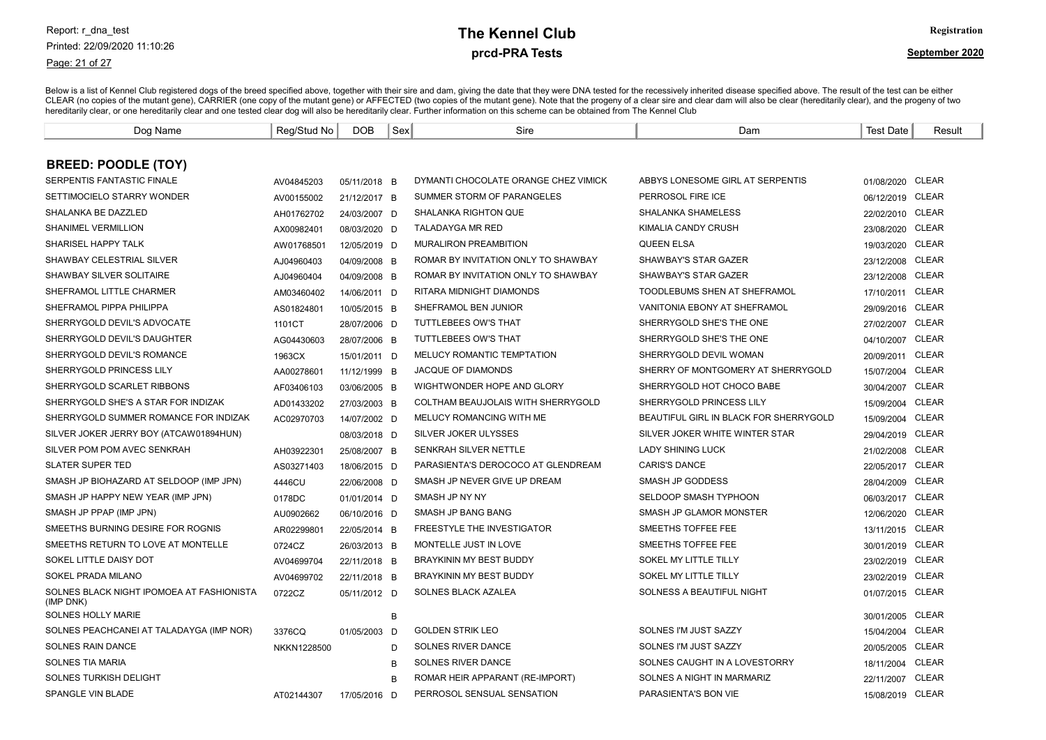Page: 21 of 27

# prcd-PRA Tests **The Kennel Club** Registration

| Dog Name                                               | Reg/Stud No | <b>DOB</b>   | Sex | Sire                                 | Dam                                    | <b>Test Date</b> | Result       |
|--------------------------------------------------------|-------------|--------------|-----|--------------------------------------|----------------------------------------|------------------|--------------|
|                                                        |             |              |     |                                      |                                        |                  |              |
| <b>BREED: POODLE (TOY)</b>                             |             |              |     |                                      |                                        |                  |              |
| SERPENTIS FANTASTIC FINALE                             | AV04845203  | 05/11/2018 B |     | DYMANTI CHOCOLATE ORANGE CHEZ VIMICK | ABBYS LONESOME GIRL AT SERPENTIS       | 01/08/2020 CLEAR |              |
| SETTIMOCIELO STARRY WONDER                             | AV00155002  | 21/12/2017 B |     | SUMMER STORM OF PARANGELES           | PERROSOL FIRE ICE                      | 06/12/2019 CLEAR |              |
| SHALANKA BE DAZZLED                                    | AH01762702  | 24/03/2007 D |     | SHALANKA RIGHTON QUE                 | <b>SHALANKA SHAMELESS</b>              | 22/02/2010 CLEAR |              |
| <b>SHANIMEL VERMILLION</b>                             | AX00982401  | 08/03/2020 D |     | <b>TALADAYGA MR RED</b>              | <b>KIMALIA CANDY CRUSH</b>             | 23/08/2020       | <b>CLEAR</b> |
| SHARISEL HAPPY TALK                                    | AW01768501  | 12/05/2019 D |     | <b>MURALIRON PREAMBITION</b>         | <b>QUEEN ELSA</b>                      | 19/03/2020       | <b>CLEAR</b> |
| <b>SHAWBAY CELESTRIAL SILVER</b>                       | AJ04960403  | 04/09/2008 B |     | ROMAR BY INVITATION ONLY TO SHAWBAY  | <b>SHAWBAY'S STAR GAZER</b>            | 23/12/2008       | CLEAR        |
| SHAWBAY SILVER SOLITAIRE                               | AJ04960404  | 04/09/2008 B |     | ROMAR BY INVITATION ONLY TO SHAWBAY  | SHAWBAY'S STAR GAZER                   | 23/12/2008       | CLEAR        |
| SHEFRAMOL LITTLE CHARMER                               | AM03460402  | 14/06/2011 D |     | RITARA MIDNIGHT DIAMONDS             | TOODLEBUMS SHEN AT SHEFRAMOL           | 17/10/2011       | <b>CLEAR</b> |
| SHEFRAMOL PIPPA PHILIPPA                               | AS01824801  | 10/05/2015 B |     | SHEFRAMOL BEN JUNIOR                 | VANITONIA EBONY AT SHEFRAMOL           | 29/09/2016       | CLEAR        |
| SHERRYGOLD DEVIL'S ADVOCATE                            | 1101CT      | 28/07/2006 D |     | TUTTLEBEES OW'S THAT                 | SHERRYGOLD SHE'S THE ONE               | 27/02/2007       | CLEAR        |
| SHERRYGOLD DEVIL'S DAUGHTER                            | AG04430603  | 28/07/2006 B |     | <b>TUTTLEBEES OW'S THAT</b>          | SHERRYGOLD SHE'S THE ONE               | 04/10/2007       | <b>CLEAR</b> |
| SHERRYGOLD DEVIL'S ROMANCE                             | 1963CX      | 15/01/2011 D |     | <b>MELUCY ROMANTIC TEMPTATION</b>    | SHERRYGOLD DEVIL WOMAN                 | 20/09/2011       | CLEAR        |
| SHERRYGOLD PRINCESS LILY                               | AA00278601  | 11/12/1999 B |     | <b>JACQUE OF DIAMONDS</b>            | SHERRY OF MONTGOMERY AT SHERRYGOLD     | 15/07/2004       | CLEAR        |
| SHERRYGOLD SCARLET RIBBONS                             | AF03406103  | 03/06/2005 B |     | WIGHTWONDER HOPE AND GLORY           | SHERRYGOLD HOT CHOCO BABE              | 30/04/2007       | CLEAR        |
| SHERRYGOLD SHE'S A STAR FOR INDIZAK                    | AD01433202  | 27/03/2003 B |     | COLTHAM BEAUJOLAIS WITH SHERRYGOLD   | SHERRYGOLD PRINCESS LILY               | 15/09/2004       | CLEAR        |
| SHERRYGOLD SUMMER ROMANCE FOR INDIZAK                  | AC02970703  | 14/07/2002 D |     | MELUCY ROMANCING WITH ME             | BEAUTIFUL GIRL IN BLACK FOR SHERRYGOLD | 15/09/2004       | CLEAR        |
| SILVER JOKER JERRY BOY (ATCAW01894HUN)                 |             | 08/03/2018 D |     | SILVER JOKER ULYSSES                 | SILVER JOKER WHITE WINTER STAR         | 29/04/2019       | <b>CLEAR</b> |
| SILVER POM POM AVEC SENKRAH                            | AH03922301  | 25/08/2007 B |     | SENKRAH SILVER NETTLE                | <b>LADY SHINING LUCK</b>               | 21/02/2008 CLEAR |              |
| <b>SLATER SUPER TED</b>                                | AS03271403  | 18/06/2015 D |     | PARASIENTA'S DEROCOCO AT GLENDREAM   | <b>CARIS'S DANCE</b>                   | 22/05/2017 CLEAR |              |
| SMASH JP BIOHAZARD AT SELDOOP (IMP JPN)                | 4446CU      | 22/06/2008 D |     | SMASH JP NEVER GIVE UP DREAM         | SMASH JP GODDESS                       | 28/04/2009 CLEAR |              |
| SMASH JP HAPPY NEW YEAR (IMP JPN)                      | 0178DC      | 01/01/2014 D |     | SMASH JP NY NY                       | SELDOOP SMASH TYPHOON                  | 06/03/2017 CLEAR |              |
| SMASH JP PPAP (IMP JPN)                                | AU0902662   | 06/10/2016 D |     | SMASH JP BANG BANG                   | SMASH JP GLAMOR MONSTER                | 12/06/2020       | <b>CLEAR</b> |
| SMEETHS BURNING DESIRE FOR ROGNIS                      | AR02299801  | 22/05/2014 B |     | <b>FREESTYLE THE INVESTIGATOR</b>    | SMEETHS TOFFEE FEE                     | 13/11/2015       | <b>CLEAR</b> |
| SMEETHS RETURN TO LOVE AT MONTELLE                     | 0724CZ      | 26/03/2013 B |     | MONTELLE JUST IN LOVE                | SMEETHS TOFFEE FEE                     | 30/01/2019 CLEAR |              |
| SOKEL LITTLE DAISY DOT                                 | AV04699704  | 22/11/2018 B |     | <b>BRAYKININ MY BEST BUDDY</b>       | SOKEL MY LITTLE TILLY                  | 23/02/2019 CLEAR |              |
| SOKEL PRADA MILANO                                     | AV04699702  | 22/11/2018 B |     | BRAYKININ MY BEST BUDDY              | SOKEL MY LITTLE TILLY                  | 23/02/2019 CLEAR |              |
| SOLNES BLACK NIGHT IPOMOEA AT FASHIONISTA<br>(IMP DNK) | 0722CZ      | 05/11/2012 D |     | SOLNES BLACK AZALEA                  | SOLNESS A BEAUTIFUL NIGHT              | 01/07/2015 CLEAR |              |
| <b>SOLNES HOLLY MARIE</b>                              |             |              | В   |                                      |                                        | 30/01/2005 CLEAR |              |
| SOLNES PEACHCANEI AT TALADAYGA (IMP NOR)               | 3376CQ      | 01/05/2003 D |     | <b>GOLDEN STRIK LEO</b>              | SOLNES I'M JUST SAZZY                  | 15/04/2004 CLEAR |              |
| <b>SOLNES RAIN DANCE</b>                               | NKKN1228500 |              | D   | SOLNES RIVER DANCE                   | SOLNES I'M JUST SAZZY                  | 20/05/2005 CLEAR |              |
| <b>SOLNES TIA MARIA</b>                                |             |              | B   | SOLNES RIVER DANCE                   | SOLNES CAUGHT IN A LOVESTORRY          | 18/11/2004       | CLEAR        |
| SOLNES TURKISH DELIGHT                                 |             |              | B   | ROMAR HEIR APPARANT (RE-IMPORT)      | SOLNES A NIGHT IN MARMARIZ             | 22/11/2007       | <b>CLEAR</b> |
| SPANGLE VIN BLADE                                      | AT02144307  | 17/05/2016 D |     | PERROSOL SENSUAL SENSATION           | PARASIENTA'S BON VIE                   | 15/08/2019 CLEAR |              |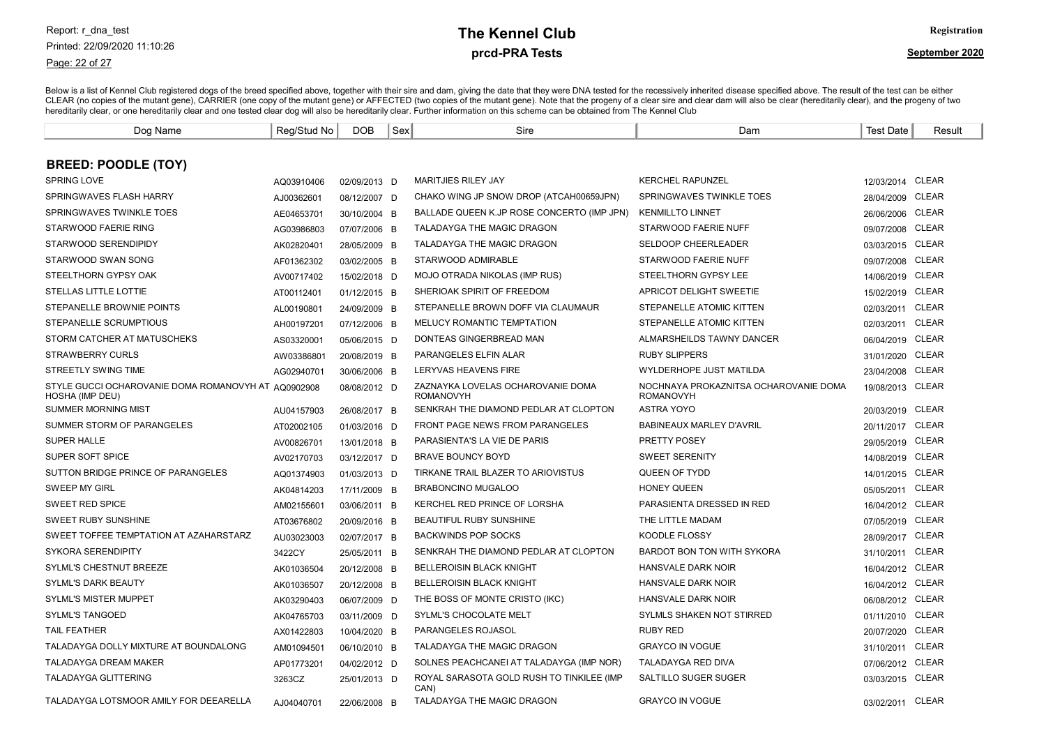#### Page: 22 of 27

# prcd-PRA Tests **The Kennel Club** Registration

| Dog Name                                                               | Reg/Stud No | <b>DOB</b>   | Sex | Sire                                                  | Dam                                                       | <b>Test Date</b> | Result       |
|------------------------------------------------------------------------|-------------|--------------|-----|-------------------------------------------------------|-----------------------------------------------------------|------------------|--------------|
|                                                                        |             |              |     |                                                       |                                                           |                  |              |
| <b>BREED: POODLE (TOY)</b>                                             |             |              |     |                                                       |                                                           |                  |              |
| SPRING LOVE                                                            | AQ03910406  | 02/09/2013 D |     | <b>MARITJIES RILEY JAY</b>                            | <b>KERCHEL RAPUNZEL</b>                                   | 12/03/2014 CLEAR |              |
| SPRINGWAVES FLASH HARRY                                                | AJ00362601  | 08/12/2007 D |     | CHAKO WING JP SNOW DROP (ATCAH00659JPN)               | SPRINGWAVES TWINKLE TOES                                  | 28/04/2009 CLEAR |              |
| SPRINGWAVES TWINKLE TOES                                               | AE04653701  | 30/10/2004 B |     | BALLADE QUEEN K.JP ROSE CONCERTO (IMP JPN)            | <b>KENMILLTO LINNET</b>                                   | 26/06/2006 CLEAR |              |
| STARWOOD FAERIE RING                                                   | AG03986803  | 07/07/2006 B |     | TALADAYGA THE MAGIC DRAGON                            | STARWOOD FAERIE NUFF                                      | 09/07/2008 CLEAR |              |
| STARWOOD SERENDIPIDY                                                   | AK02820401  | 28/05/2009 B |     | <b>TALADAYGA THE MAGIC DRAGON</b>                     | <b>SELDOOP CHEERLEADER</b>                                | 03/03/2015 CLEAR |              |
| STARWOOD SWAN SONG                                                     | AF01362302  | 03/02/2005 B |     | STARWOOD ADMIRABLE                                    | STARWOOD FAERIE NUFF                                      | 09/07/2008 CLEAR |              |
| STEELTHORN GYPSY OAK                                                   | AV00717402  | 15/02/2018 D |     | MOJO OTRADA NIKOLAS (IMP RUS)                         | STEELTHORN GYPSY LEE                                      | 14/06/2019 CLEAR |              |
| STELLAS LITTLE LOTTIE                                                  | AT00112401  | 01/12/2015 B |     | SHERIOAK SPIRIT OF FREEDOM                            | APRICOT DELIGHT SWEETIE                                   | 15/02/2019 CLEAR |              |
| STEPANELLE BROWNIE POINTS                                              | AL00190801  | 24/09/2009 B |     | STEPANELLE BROWN DOFF VIA CLAUMAUR                    | STEPANELLE ATOMIC KITTEN                                  | 02/03/2011 CLEAR |              |
| STEPANELLE SCRUMPTIOUS                                                 | AH00197201  | 07/12/2006 B |     | MELUCY ROMANTIC TEMPTATION                            | <b>STEPANELLE ATOMIC KITTEN</b>                           | 02/03/2011       | <b>CLEAR</b> |
| STORM CATCHER AT MATUSCHEKS                                            | AS03320001  | 05/06/2015 D |     | DONTEAS GINGERBREAD MAN                               | ALMARSHEILDS TAWNY DANCER                                 | 06/04/2019 CLEAR |              |
| <b>STRAWBERRY CURLS</b>                                                | AW03386801  | 20/08/2019 B |     | PARANGELES ELFIN ALAR                                 | <b>RUBY SLIPPERS</b>                                      | 31/01/2020       | <b>CLEAR</b> |
| STREETLY SWING TIME                                                    | AG02940701  | 30/06/2006 B |     | <b>LERYVAS HEAVENS FIRE</b>                           | WYLDERHOPE JUST MATILDA                                   | 23/04/2008       | <b>CLEAR</b> |
| STYLE GUCCI OCHAROVANIE DOMA ROMANOVYH AT AQ0902908<br>HOSHA (IMP DEU) |             | 08/08/2012 D |     | ZAZNAYKA LOVELAS OCHAROVANIE DOMA<br><b>ROMANOVYH</b> | NOCHNAYA PROKAZNITSA OCHAROVANIE DOMA<br><b>ROMANOVYH</b> | 19/08/2013 CLEAR |              |
| SUMMER MORNING MIST                                                    | AU04157903  | 26/08/2017 B |     | SENKRAH THE DIAMOND PEDLAR AT CLOPTON                 | <b>ASTRA YOYO</b>                                         | 20/03/2019 CLEAR |              |
| SUMMER STORM OF PARANGELES                                             | AT02002105  | 01/03/2016 D |     | <b>FRONT PAGE NEWS FROM PARANGELES</b>                | <b>BABINEAUX MARLEY D'AVRIL</b>                           | 20/11/2017       | CLEAR        |
| <b>SUPER HALLE</b>                                                     | AV00826701  | 13/01/2018 B |     | PARASIENTA'S LA VIE DE PARIS                          | PRETTY POSEY                                              | 29/05/2019       | <b>CLEAR</b> |
| SUPER SOFT SPICE                                                       | AV02170703  | 03/12/2017 D |     | <b>BRAVE BOUNCY BOYD</b>                              | <b>SWEET SERENITY</b>                                     | 14/08/2019       | <b>CLEAR</b> |
| SUTTON BRIDGE PRINCE OF PARANGELES                                     | AQ01374903  | 01/03/2013 D |     | TIRKANE TRAIL BLAZER TO ARIOVISTUS                    | QUEEN OF TYDD                                             | 14/01/2015       | <b>CLEAR</b> |
| <b>SWEEP MY GIRL</b>                                                   | AK04814203  | 17/11/2009 B |     | <b>BRABONCINO MUGALOO</b>                             | <b>HONEY QUEEN</b>                                        | 05/05/2011       | <b>CLEAR</b> |
| <b>SWEET RED SPICE</b>                                                 | AM02155601  | 03/06/2011 B |     | KERCHEL RED PRINCE OF LORSHA                          | PARASIENTA DRESSED IN RED                                 | 16/04/2012 CLEAR |              |
| <b>SWEET RUBY SUNSHINE</b>                                             | AT03676802  | 20/09/2016 B |     | BEAUTIFUL RUBY SUNSHINE                               | THE LITTLE MADAM                                          | 07/05/2019       | CLEAR        |
| SWEET TOFFEE TEMPTATION AT AZAHARSTARZ                                 | AU03023003  | 02/07/2017 B |     | <b>BACKWINDS POP SOCKS</b>                            | KOODLE FLOSSY                                             | 28/09/2017       | CLEAR        |
| SYKORA SERENDIPITY                                                     | 3422CY      | 25/05/2011 B |     | SENKRAH THE DIAMOND PEDLAR AT CLOPTON                 | <b>BARDOT BON TON WITH SYKORA</b>                         | 31/10/2011       | <b>CLEAR</b> |
| SYLML'S CHESTNUT BREEZE                                                | AK01036504  | 20/12/2008 B |     | <b>BELLEROISIN BLACK KNIGHT</b>                       | <b>HANSVALE DARK NOIR</b>                                 | 16/04/2012 CLEAR |              |
| <b>SYLML'S DARK BEAUTY</b>                                             | AK01036507  | 20/12/2008 B |     | <b>BELLEROISIN BLACK KNIGHT</b>                       | HANSVALE DARK NOIR                                        | 16/04/2012 CLEAR |              |
| <b>SYLML'S MISTER MUPPET</b>                                           | AK03290403  | 06/07/2009 D |     | THE BOSS OF MONTE CRISTO (IKC)                        | HANSVALE DARK NOIR                                        | 06/08/2012 CLEAR |              |
| <b>SYLML'S TANGOED</b>                                                 | AK04765703  | 03/11/2009 D |     | SYLML'S CHOCOLATE MELT                                | <b>SYLMLS SHAKEN NOT STIRRED</b>                          | 01/11/2010       | <b>CLEAR</b> |
| <b>TAIL FEATHER</b>                                                    | AX01422803  | 10/04/2020 B |     | <b>PARANGELES ROJASOL</b>                             | <b>RUBY RED</b>                                           | 20/07/2020       | <b>CLEAR</b> |
| TALADAYGA DOLLY MIXTURE AT BOUNDALONG                                  | AM01094501  | 06/10/2010 B |     | TALADAYGA THE MAGIC DRAGON                            | <b>GRAYCO IN VOGUE</b>                                    | 31/10/2011       | <b>CLEAR</b> |
| <b>TALADAYGA DREAM MAKER</b>                                           | AP01773201  | 04/02/2012 D |     | SOLNES PEACHCANEL AT TALADAYGA (IMP NOR)              | <b>TALADAYGA RED DIVA</b>                                 | 07/06/2012 CLEAR |              |
| <b>TALADAYGA GLITTERING</b>                                            | 3263CZ      | 25/01/2013 D |     | ROYAL SARASOTA GOLD RUSH TO TINKILEE (IMP<br>CAN)     | SALTILLO SUGER SUGER                                      | 03/03/2015 CLEAR |              |
| TALADAYGA LOTSMOOR AMILY FOR DEEARELLA                                 | AJ04040701  | 22/06/2008 B |     | <b>TALADAYGA THE MAGIC DRAGON</b>                     | <b>GRAYCO IN VOGUE</b>                                    | 03/02/2011 CLEAR |              |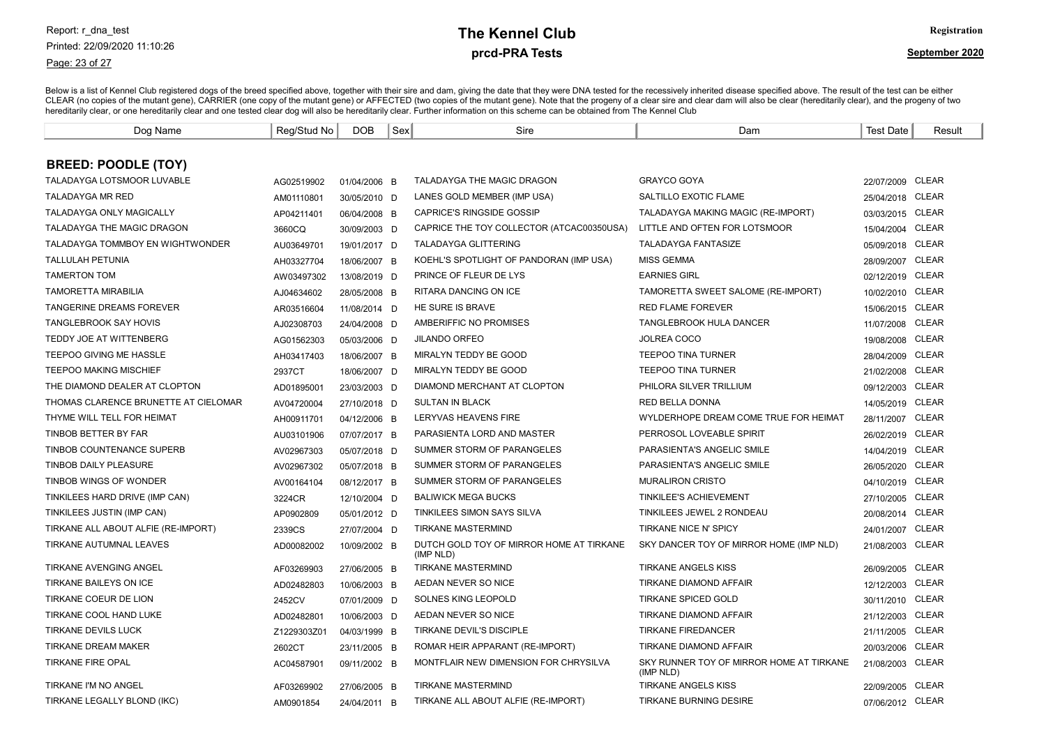#### Page: 23 of 27

# prcd-PRA Tests **The Kennel Club** Registration

| Dog Name                             | Reg/Stud No | DOB          | Sex | Sire                                                  | Dam                                                   | <b>Test Date</b> | Result       |
|--------------------------------------|-------------|--------------|-----|-------------------------------------------------------|-------------------------------------------------------|------------------|--------------|
|                                      |             |              |     |                                                       |                                                       |                  |              |
| <b>BREED: POODLE (TOY)</b>           |             |              |     |                                                       |                                                       |                  |              |
| <b>TALADAYGA LOTSMOOR LUVABLE</b>    | AG02519902  | 01/04/2006 B |     | TALADAYGA THE MAGIC DRAGON                            | <b>GRAYCO GOYA</b>                                    | 22/07/2009 CLEAR |              |
| <b>TALADAYGA MR RED</b>              | AM01110801  | 30/05/2010 D |     | LANES GOLD MEMBER (IMP USA)                           | SALTILLO EXOTIC FLAME                                 | 25/04/2018 CLEAR |              |
| <b>TALADAYGA ONLY MAGICALLY</b>      | AP04211401  | 06/04/2008 B |     | <b>CAPRICE'S RINGSIDE GOSSIP</b>                      | TALADAYGA MAKING MAGIC (RE-IMPORT)                    | 03/03/2015 CLEAR |              |
| TALADAYGA THE MAGIC DRAGON           | 3660CQ      | 30/09/2003 D |     | CAPRICE THE TOY COLLECTOR (ATCAC00350USA)             | LITTLE AND OFTEN FOR LOTSMOOR                         | 15/04/2004       | <b>CLEAR</b> |
| TALADAYGA TOMMBOY EN WIGHTWONDER     | AU03649701  | 19/01/2017 D |     | <b>TALADAYGA GLITTERING</b>                           | <b>TALADAYGA FANTASIZE</b>                            | 05/09/2018 CLEAR |              |
| <b>TALLULAH PETUNIA</b>              | AH03327704  | 18/06/2007 B |     | KOEHL'S SPOTLIGHT OF PANDORAN (IMP USA)               | <b>MISS GEMMA</b>                                     | 28/09/2007       | <b>CLEAR</b> |
| <b>TAMERTON TOM</b>                  | AW03497302  | 13/08/2019 D |     | PRINCE OF FLEUR DE LYS                                | <b>EARNIES GIRL</b>                                   | 02/12/2019 CLEAR |              |
| <b>TAMORETTA MIRABILIA</b>           | AJ04634602  | 28/05/2008 B |     | RITARA DANCING ON ICE                                 | TAMORETTA SWEET SALOME (RE-IMPORT)                    | 10/02/2010 CLEAR |              |
| <b>TANGERINE DREAMS FOREVER</b>      | AR03516604  | 11/08/2014 D |     | <b>HE SURE IS BRAVE</b>                               | <b>RED FLAME FOREVER</b>                              | 15/06/2015 CLEAR |              |
| <b>TANGLEBROOK SAY HOVIS</b>         | AJ02308703  | 24/04/2008 D |     | AMBERIFFIC NO PROMISES                                | TANGLEBROOK HULA DANCER                               | 11/07/2008       | <b>CLEAR</b> |
| <b>TEDDY JOE AT WITTENBERG</b>       | AG01562303  | 05/03/2006 D |     | <b>JILANDO ORFEO</b>                                  | <b>JOLREA COCO</b>                                    | 19/08/2008       | CLEAR        |
| TEEPOO GIVING ME HASSLE              | AH03417403  | 18/06/2007 B |     | MIRALYN TEDDY BE GOOD                                 | <b>TEEPOO TINA TURNER</b>                             | 28/04/2009 CLEAR |              |
| <b>TEEPOO MAKING MISCHIEF</b>        | 2937CT      | 18/06/2007 D |     | MIRALYN TEDDY BE GOOD                                 | <b>TEEPOO TINA TURNER</b>                             | 21/02/2008       | <b>CLEAR</b> |
| THE DIAMOND DEALER AT CLOPTON        | AD01895001  | 23/03/2003 D |     | DIAMOND MERCHANT AT CLOPTON                           | PHILORA SILVER TRILLIUM                               | 09/12/2003       | <b>CLEAR</b> |
| THOMAS CLARENCE BRUNETTE AT CIELOMAR | AV04720004  | 27/10/2018 D |     | <b>SULTAN IN BLACK</b>                                | <b>RED BELLA DONNA</b>                                | 14/05/2019       | <b>CLEAR</b> |
| THYME WILL TELL FOR HEIMAT           | AH00911701  | 04/12/2006 B |     | LERYVAS HEAVENS FIRE                                  | WYLDERHOPE DREAM COME TRUE FOR HEIMAT                 | 28/11/2007       | <b>CLEAR</b> |
| TINBOB BETTER BY FAR                 | AU03101906  | 07/07/2017 B |     | PARASIENTA LORD AND MASTER                            | PERROSOL LOVEABLE SPIRIT                              | 26/02/2019       | <b>CLEAR</b> |
| <b>TINBOB COUNTENANCE SUPERB</b>     | AV02967303  | 05/07/2018 D |     | SUMMER STORM OF PARANGELES                            | PARASIENTA'S ANGELIC SMILE                            | 14/04/2019       | <b>CLEAR</b> |
| TINBOB DAILY PLEASURE                | AV02967302  | 05/07/2018 B |     | SUMMER STORM OF PARANGELES                            | PARASIENTA'S ANGELIC SMILE                            | 26/05/2020       | <b>CLEAR</b> |
| TINBOB WINGS OF WONDER               | AV00164104  | 08/12/2017 B |     | SUMMER STORM OF PARANGELES                            | <b>MURALIRON CRISTO</b>                               | 04/10/2019       | <b>CLEAR</b> |
| TINKILEES HARD DRIVE (IMP CAN)       | 3224CR      | 12/10/2004 D |     | <b>BALIWICK MEGA BUCKS</b>                            | <b>TINKILEE'S ACHIEVEMENT</b>                         | 27/10/2005       | <b>CLEAR</b> |
| TINKILEES JUSTIN (IMP CAN)           | AP0902809   | 05/01/2012 D |     | TINKILEES SIMON SAYS SILVA                            | TINKILEES JEWEL 2 RONDEAU                             | 20/08/2014       | <b>CLEAR</b> |
| TIRKANE ALL ABOUT ALFIE (RE-IMPORT)  | 2339CS      | 27/07/2004 D |     | <b>TIRKANE MASTERMIND</b>                             | TIRKANE NICE N' SPICY                                 | 24/01/2007       | <b>CLEAR</b> |
| TIRKANE AUTUMNAL LEAVES              | AD00082002  | 10/09/2002 B |     | DUTCH GOLD TOY OF MIRROR HOME AT TIRKANE<br>(IMP NLD) | SKY DANCER TOY OF MIRROR HOME (IMP NLD)               | 21/08/2003       | <b>CLEAR</b> |
| <b>TIRKANE AVENGING ANGEL</b>        | AF03269903  | 27/06/2005 B |     | <b>TIRKANE MASTERMIND</b>                             | <b>TIRKANE ANGELS KISS</b>                            | 26/09/2005       | CLEAR        |
| TIRKANE BAILEYS ON ICE               | AD02482803  | 10/06/2003 B |     | AEDAN NEVER SO NICE                                   | TIRKANE DIAMOND AFFAIR                                | 12/12/2003       | <b>CLEAR</b> |
| TIRKANE COEUR DE LION                | 2452CV      | 07/01/2009 D |     | SOLNES KING LEOPOLD                                   | <b>TIRKANE SPICED GOLD</b>                            | 30/11/2010       | <b>CLEAR</b> |
| TIRKANE COOL HAND LUKE               | AD02482801  | 10/06/2003 D |     | AEDAN NEVER SO NICE                                   | <b>TIRKANE DIAMOND AFFAIR</b>                         | 21/12/2003       | <b>CLEAR</b> |
| <b>TIRKANE DEVILS LUCK</b>           | Z1229303Z01 | 04/03/1999 B |     | TIRKANE DEVIL'S DISCIPLE                              | <b>TIRKANE FIREDANCER</b>                             | 21/11/2005       | <b>CLEAR</b> |
| <b>TIRKANE DREAM MAKER</b>           | 2602CT      | 23/11/2005 B |     | ROMAR HEIR APPARANT (RE-IMPORT)                       | TIRKANE DIAMOND AFFAIR                                | 20/03/2006       | <b>CLEAR</b> |
| <b>TIRKANE FIRE OPAL</b>             | AC04587901  | 09/11/2002 B |     | MONTFLAIR NEW DIMENSION FOR CHRYSILVA                 | SKY RUNNER TOY OF MIRROR HOME AT TIRKANE<br>(IMP NLD) | 21/08/2003 CLEAR |              |
| TIRKANE I'M NO ANGEL                 | AF03269902  | 27/06/2005 B |     | <b>TIRKANE MASTERMIND</b>                             | <b>TIRKANE ANGELS KISS</b>                            | 22/09/2005       | CLEAR        |
| TIRKANE LEGALLY BLOND (IKC)          | AM0901854   | 24/04/2011 B |     | TIRKANE ALL ABOUT ALFIE (RE-IMPORT)                   | <b>TIRKANE BURNING DESIRE</b>                         | 07/06/2012 CLEAR |              |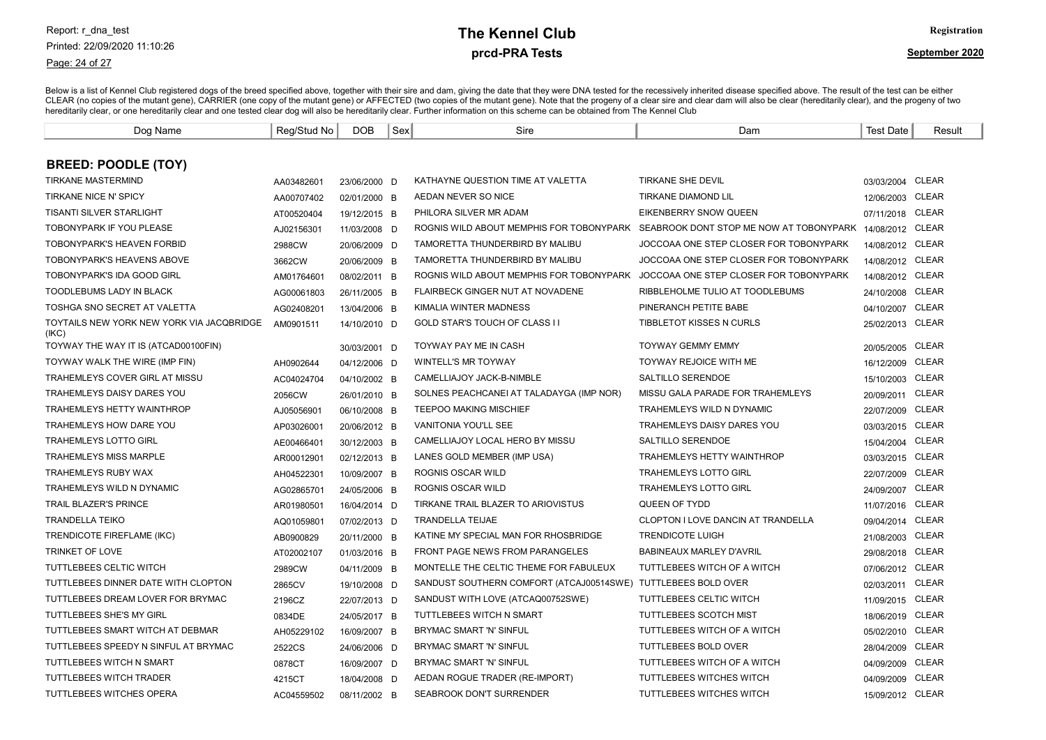#### Page: 24 of 27

# prcd-PRA Tests **The Kennel Club** Registration

| Dog Name                                           | Reg/Stud No | <b>DOB</b>   | Sex | Sire                                     | Dam                                                      | <b>Test Date</b> | Result       |
|----------------------------------------------------|-------------|--------------|-----|------------------------------------------|----------------------------------------------------------|------------------|--------------|
|                                                    |             |              |     |                                          |                                                          |                  |              |
| <b>BREED: POODLE (TOY)</b>                         |             |              |     |                                          |                                                          |                  |              |
| <b>TIRKANE MASTERMIND</b>                          | AA03482601  | 23/06/2000 D |     | KATHAYNE QUESTION TIME AT VALETTA        | <b>TIRKANE SHE DEVIL</b>                                 | 03/03/2004 CLEAR |              |
| <b>TIRKANE NICE N' SPICY</b>                       | AA00707402  | 02/01/2000 B |     | AEDAN NEVER SO NICE                      | <b>TIRKANE DIAMOND LIL</b>                               | 12/06/2003 CLEAR |              |
| TISANTI SILVER STARLIGHT                           | AT00520404  | 19/12/2015 B |     | PHILORA SILVER MR ADAM                   | EIKENBERRY SNOW QUEEN                                    | 07/11/2018 CLEAR |              |
| TOBONYPARK IF YOU PLEASE                           | AJ02156301  | 11/03/2008 D |     | ROGNIS WILD ABOUT MEMPHIS FOR TOBONYPARK | SEABROOK DONT STOP ME NOW AT TOBONYPARK 14/08/2012 CLEAR |                  |              |
| TOBONYPARK'S HEAVEN FORBID                         | 2988CW      | 20/06/2009 D |     | TAMORETTA THUNDERBIRD BY MALIBU          | JOCCOAA ONE STEP CLOSER FOR TOBONYPARK                   | 14/08/2012 CLEAR |              |
| <b>TOBONYPARK'S HEAVENS ABOVE</b>                  | 3662CW      | 20/06/2009 B |     | TAMORETTA THUNDERBIRD BY MALIBU          | JOCCOAA ONE STEP CLOSER FOR TOBONYPARK                   | 14/08/2012 CLEAR |              |
| TOBONYPARK'S IDA GOOD GIRL                         | AM01764601  | 08/02/2011 B |     | ROGNIS WILD ABOUT MEMPHIS FOR TOBONYPARK | JOCCOAA ONE STEP CLOSER FOR TOBONYPARK                   | 14/08/2012 CLEAR |              |
| TOODLEBUMS LADY IN BLACK                           | AG00061803  | 26/11/2005 B |     | FLAIRBECK GINGER NUT AT NOVADENE         | RIBBLEHOLME TULIO AT TOODLEBUMS                          | 24/10/2008       | <b>CLEAR</b> |
| TOSHGA SNO SECRET AT VALETTA                       | AG02408201  | 13/04/2006 B |     | KIMALIA WINTER MADNESS                   | PINERANCH PETITE BABE                                    | 04/10/2007       | <b>CLEAR</b> |
| TOYTAILS NEW YORK NEW YORK VIA JACQBRIDGE<br>(IKC) | AM0901511   | 14/10/2010 D |     | GOLD STAR'S TOUCH OF CLASS II            | TIBBLETOT KISSES N CURLS                                 | 25/02/2013       | <b>CLEAR</b> |
| TOYWAY THE WAY IT IS (ATCAD00100FIN)               |             | 30/03/2001 D |     | <b>TOYWAY PAY ME IN CASH</b>             | <b>TOYWAY GEMMY EMMY</b>                                 | 20/05/2005       | CLEAR        |
| TOYWAY WALK THE WIRE (IMP FIN)                     | AH0902644   | 04/12/2006 D |     | <b>WINTELL'S MR TOYWAY</b>               | <b>TOYWAY REJOICE WITH ME</b>                            | 16/12/2009       | <b>CLEAR</b> |
| TRAHEMLEYS COVER GIRL AT MISSU                     | AC04024704  | 04/10/2002 B |     | CAMELLIAJOY JACK-B-NIMBLE                | SALTILLO SERENDOE                                        | 15/10/2003 CLEAR |              |
| TRAHEMLEYS DAISY DARES YOU                         | 2056CW      | 26/01/2010 B |     | SOLNES PEACHCANEL AT TALADAYGA (IMP NOR) | MISSU GALA PARADE FOR TRAHEMLEYS                         | 20/09/2011       | <b>CLEAR</b> |
| TRAHEMLEYS HETTY WAINTHROP                         | AJ05056901  | 06/10/2008 B |     | <b>TEEPOO MAKING MISCHIEF</b>            | TRAHEMLEYS WILD N DYNAMIC                                | 22/07/2009       | <b>CLEAR</b> |
| TRAHEMLEYS HOW DARE YOU                            | AP03026001  | 20/06/2012 B |     | VANITONIA YOU'LL SEE                     | TRAHEMLEYS DAISY DARES YOU                               | 03/03/2015       | CLEAR        |
| <b>TRAHEMLEYS LOTTO GIRL</b>                       | AE00466401  | 30/12/2003 B |     | CAMELLIAJOY LOCAL HERO BY MISSU          | SALTILLO SERENDOE                                        | 15/04/2004       | CLEAR        |
| <b>TRAHEMLEYS MISS MARPLE</b>                      | AR00012901  | 02/12/2013 B |     | LANES GOLD MEMBER (IMP USA)              | TRAHEMLEYS HETTY WAINTHROP                               | 03/03/2015       | <b>CLEAR</b> |
| TRAHEMLEYS RUBY WAX                                | AH04522301  | 10/09/2007 B |     | ROGNIS OSCAR WILD                        | <b>TRAHEMLEYS LOTTO GIRL</b>                             | 22/07/2009       | <b>CLEAR</b> |
| TRAHEMLEYS WILD N DYNAMIC                          | AG02865701  | 24/05/2006 B |     | ROGNIS OSCAR WILD                        | <b>TRAHEMLEYS LOTTO GIRL</b>                             | 24/09/2007       | <b>CLEAR</b> |
| <b>TRAIL BLAZER'S PRINCE</b>                       | AR01980501  | 16/04/2014 D |     | TIRKANE TRAIL BLAZER TO ARIOVISTUS       | QUEEN OF TYDD                                            | 11/07/2016 CLEAR |              |
| <b>TRANDELLA TEIKO</b>                             | AQ01059801  | 07/02/2013 D |     | <b>TRANDELLA TEIJAE</b>                  | <b>CLOPTON I LOVE DANCIN AT TRANDELLA</b>                | 09/04/2014 CLEAR |              |
| TRENDICOTE FIREFLAME (IKC)                         | AB0900829   | 20/11/2000 B |     | KATINE MY SPECIAL MAN FOR RHOSBRIDGE     | <b>TRENDICOTE LUIGH</b>                                  | 21/08/2003 CLEAR |              |
| TRINKET OF LOVE                                    | AT02002107  | 01/03/2016 B |     | FRONT PAGE NEWS FROM PARANGELES          | BABINEAUX MARLEY D'AVRIL                                 | 29/08/2018 CLEAR |              |
| TUTTLEBEES CELTIC WITCH                            | 2989CW      | 04/11/2009 B |     | MONTELLE THE CELTIC THEME FOR FABULEUX   | TUTTLEBEES WITCH OF A WITCH                              | 07/06/2012 CLEAR |              |
| TUTTLEBEES DINNER DATE WITH CLOPTON                | 2865CV      | 19/10/2008 D |     | SANDUST SOUTHERN COMFORT (ATCAJ00514SWE) | TUTTLEBEES BOLD OVER                                     | 02/03/2011       | CLEAR        |
| TUTTLEBEES DREAM LOVER FOR BRYMAC                  | 2196CZ      | 22/07/2013 D |     | SANDUST WITH LOVE (ATCAQ00752SWE)        | TUTTLEBEES CELTIC WITCH                                  | 11/09/2015 CLEAR |              |
| TUTTLEBEES SHE'S MY GIRL                           | 0834DE      | 24/05/2017 B |     | TUTTLEBEES WITCH N SMART                 | TUTTLEBEES SCOTCH MIST                                   | 18/06/2019       | CLEAR        |
| TUTTLEBEES SMART WITCH AT DEBMAR                   | AH05229102  | 16/09/2007 B |     | BRYMAC SMART 'N' SINFUL                  | TUTTLEBEES WITCH OF A WITCH                              | 05/02/2010 CLEAR |              |
| TUTTLEBEES SPEEDY N SINFUL AT BRYMAC               | 2522CS      | 24/06/2006 D |     | BRYMAC SMART 'N' SINFUL                  | TUTTLEBEES BOLD OVER                                     | 28/04/2009 CLEAR |              |
| TUTTLEBEES WITCH N SMART                           | 0878CT      | 16/09/2007 D |     | BRYMAC SMART 'N' SINFUL                  | TUTTLEBEES WITCH OF A WITCH                              | 04/09/2009       | CLEAR        |
| TUTTLEBEES WITCH TRADER                            | 4215CT      | 18/04/2008 D |     | AEDAN ROGUE TRADER (RE-IMPORT)           | TUTTLEBEES WITCHES WITCH                                 | 04/09/2009       | <b>CLEAR</b> |
| TUTTLEBEES WITCHES OPERA                           | AC04559502  | 08/11/2002 B |     | SEABROOK DON'T SURRENDER                 | <b>TUTTLEBEES WITCHES WITCH</b>                          | 15/09/2012 CLEAR |              |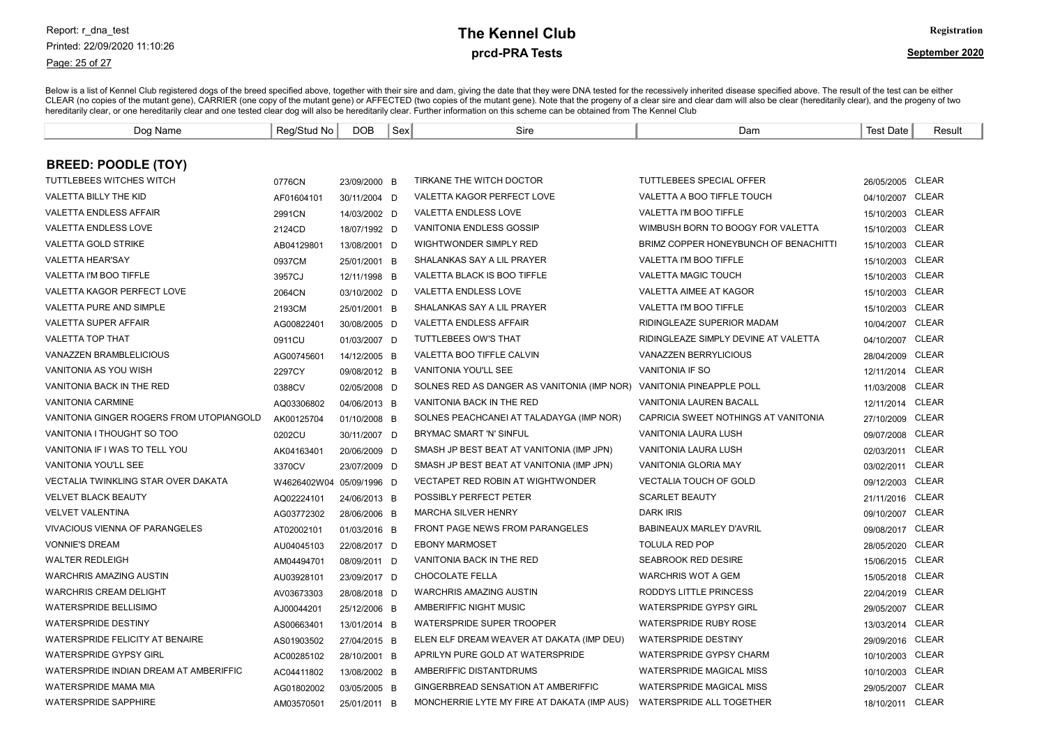#### Page: 25 of 27

# prcd-PRA Tests **The Kennel Club** Registration

| Dog Name                                   | Reg/Stud No              | DOB          | Sex | Sire                                        | Dam                                   | <b>Test Date</b> | Result       |
|--------------------------------------------|--------------------------|--------------|-----|---------------------------------------------|---------------------------------------|------------------|--------------|
|                                            |                          |              |     |                                             |                                       |                  |              |
| <b>BREED: POODLE (TOY)</b>                 |                          |              |     |                                             |                                       |                  |              |
| TUTTLEBEES WITCHES WITCH                   | 0776CN                   | 23/09/2000 B |     | TIRKANE THE WITCH DOCTOR                    | TUTTLEBEES SPECIAL OFFER              | 26/05/2005       | CLEAR        |
| <b>VALETTA BILLY THE KID</b>               | AF01604101               | 30/11/2004 D |     | VALETTA KAGOR PERFECT LOVE                  | <b>VALETTA A BOO TIFFLE TOUCH</b>     | 04/10/2007       | <b>CLEAR</b> |
| <b>VALETTA ENDLESS AFFAIR</b>              | 2991CN                   | 14/03/2002 D |     | <b>VALETTA ENDLESS LOVE</b>                 | <b>VALETTA I'M BOO TIFFLE</b>         | 15/10/2003 CLEAR |              |
| VALETTA ENDLESS LOVE                       | 2124CD                   | 18/07/1992 D |     | VANITONIA ENDLESS GOSSIP                    | WIMBUSH BORN TO BOOGY FOR VALETTA     | 15/10/2003 CLEAR |              |
| <b>VALETTA GOLD STRIKE</b>                 | AB04129801               | 13/08/2001 D |     | WIGHTWONDER SIMPLY RED                      | BRIMZ COPPER HONEYBUNCH OF BENACHITTI | 15/10/2003 CLEAR |              |
| VALETTA HEAR'SAY                           | 0937CM                   | 25/01/2001 B |     | SHALANKAS SAY A LIL PRAYER                  | VALETTA I'M BOO TIFFLE                | 15/10/2003       | <b>CLEAR</b> |
| VALETTA I'M BOO TIFFLE                     | 3957CJ                   | 12/11/1998 B |     | VALETTA BLACK IS BOO TIFFLE                 | <b>VALETTA MAGIC TOUCH</b>            | 15/10/2003       | <b>CLEAR</b> |
| <b>VALETTA KAGOR PERFECT LOVE</b>          | 2064CN                   | 03/10/2002 D |     | <b>VALETTA ENDLESS LOVE</b>                 | <b>VALETTA AIMEE AT KAGOR</b>         | 15/10/2003       | <b>CLEAR</b> |
| VALETTA PURE AND SIMPLE                    | 2193CM                   | 25/01/2001 B |     | SHALANKAS SAY A LIL PRAYER                  | VALETTA I'M BOO TIFFLE                | 15/10/2003       | <b>CLEAR</b> |
| <b>VALETTA SUPER AFFAIR</b>                | AG00822401               | 30/08/2005 D |     | <b>VALETTA ENDLESS AFFAIR</b>               | RIDINGLEAZE SUPERIOR MADAM            | 10/04/2007       | CLEAR        |
| <b>VALETTA TOP THAT</b>                    | 0911CU                   | 01/03/2007 D |     | <b>TUTTLEBEES OW'S THAT</b>                 | RIDINGLEAZE SIMPLY DEVINE AT VALETTA  | 04/10/2007       | <b>CLEAR</b> |
| <b>VANAZZEN BRAMBLELICIOUS</b>             | AG00745601               | 14/12/2005 B |     | VALETTA BOO TIFFLE CALVIN                   | <b>VANAZZEN BERRYLICIOUS</b>          | 28/04/2009 CLEAR |              |
| VANITONIA AS YOU WISH                      | 2297CY                   | 09/08/2012 B |     | <b>VANITONIA YOU'LL SEE</b>                 | <b>VANITONIA IF SO</b>                | 12/11/2014       | <b>CLEAR</b> |
| VANITONIA BACK IN THE RED                  | 0388CV                   | 02/05/2008 D |     | SOLNES RED AS DANGER AS VANITONIA (IMP NOR) | <b>VANITONIA PINEAPPLE POLL</b>       | 11/03/2008 CLEAR |              |
| <b>VANITONIA CARMINE</b>                   | AQ03306802               | 04/06/2013 B |     | VANITONIA BACK IN THE RED                   | VANITONIA LAUREN BACALL               | 12/11/2014       | <b>CLEAR</b> |
| VANITONIA GINGER ROGERS FROM UTOPIANGOLD   | AK00125704               | 01/10/2008 B |     | SOLNES PEACHCANEL AT TALADAYGA (IMP NOR)    | CAPRICIA SWEET NOTHINGS AT VANITONIA  | 27/10/2009       | <b>CLEAR</b> |
| VANITONIA I THOUGHT SO TOO                 | 0202CU                   | 30/11/2007 D |     | BRYMAC SMART 'N' SINFUL                     | VANITONIA LAURA LUSH                  | 09/07/2008       | <b>CLEAR</b> |
| VANITONIA IF I WAS TO TELL YOU             | AK04163401               | 20/06/2009 D |     | SMASH JP BEST BEAT AT VANITONIA (IMP JPN)   | VANITONIA LAURA LUSH                  | 02/03/2011       | <b>CLEAR</b> |
| <b>VANITONIA YOU'LL SEE</b>                | 3370CV                   | 23/07/2009 D |     | SMASH JP BEST BEAT AT VANITONIA (IMP JPN)   | <b>VANITONIA GLORIA MAY</b>           | 03/02/2011       | <b>CLEAR</b> |
| <b>VECTALIA TWINKLING STAR OVER DAKATA</b> | W4626402W04 05/09/1996 D |              |     | <b>VECTAPET RED ROBIN AT WIGHTWONDER</b>    | <b>VECTALIA TOUCH OF GOLD</b>         | 09/12/2003       | <b>CLEAR</b> |
| <b>VELVET BLACK BEAUTY</b>                 | AQ02224101               | 24/06/2013 B |     | POSSIBLY PERFECT PETER                      | <b>SCARLET BEAUTY</b>                 | 21/11/2016       | <b>CLEAR</b> |
| <b>VELVET VALENTINA</b>                    | AG03772302               | 28/06/2006 B |     | <b>MARCHA SILVER HENRY</b>                  | <b>DARK IRIS</b>                      | 09/10/2007       | <b>CLEAR</b> |
| <b>VIVACIOUS VIENNA OF PARANGELES</b>      | AT02002101               | 01/03/2016 B |     | <b>FRONT PAGE NEWS FROM PARANGELES</b>      | <b>BABINEAUX MARLEY D'AVRIL</b>       | 09/08/2017       | <b>CLEAR</b> |
| <b>VONNIE'S DREAM</b>                      | AU04045103               | 22/08/2017 D |     | <b>EBONY MARMOSET</b>                       | <b>TOLULA RED POP</b>                 | 28/05/2020       | <b>CLEAR</b> |
| <b>WALTER REDLEIGH</b>                     | AM04494701               | 08/09/2011 D |     | VANITONIA BACK IN THE RED                   | <b>SEABROOK RED DESIRE</b>            | 15/06/2015       | CLEAR        |
| <b>WARCHRIS AMAZING AUSTIN</b>             | AU03928101               | 23/09/2017 D |     | CHOCOLATE FELLA                             | <b>WARCHRIS WOT A GEM</b>             | 15/05/2018 CLEAR |              |
| <b>WARCHRIS CREAM DELIGHT</b>              | AV03673303               | 28/08/2018 D |     | <b>WARCHRIS AMAZING AUSTIN</b>              | RODDYS LITTLE PRINCESS                | 22/04/2019       | <b>CLEAR</b> |
| <b>WATERSPRIDE BELLISIMO</b>               | AJ00044201               | 25/12/2006 B |     | AMBERIFFIC NIGHT MUSIC                      | <b>WATERSPRIDE GYPSY GIRL</b>         | 29/05/2007       | <b>CLEAR</b> |
| <b>WATERSPRIDE DESTINY</b>                 | AS00663401               | 13/01/2014 B |     | WATERSPRIDE SUPER TROOPER                   | <b>WATERSPRIDE RUBY ROSE</b>          | 13/03/2014       | CLEAR        |
| WATERSPRIDE FELICITY AT BENAIRE            | AS01903502               | 27/04/2015 B |     | ELEN ELF DREAM WEAVER AT DAKATA (IMP DEU)   | <b>WATERSPRIDE DESTINY</b>            | 29/09/2016       | <b>CLEAR</b> |
| <b>WATERSPRIDE GYPSY GIRL</b>              | AC00285102               | 28/10/2001 B |     | APRILYN PURE GOLD AT WATERSPRIDE            | <b>WATERSPRIDE GYPSY CHARM</b>        | 10/10/2003 CLEAR |              |
| WATERSPRIDE INDIAN DREAM AT AMBERIFFIC     | AC04411802               | 13/08/2002 B |     | AMBERIFFIC DISTANTDRUMS                     | WATERSPRIDE MAGICAL MISS              | 10/10/2003 CLEAR |              |
| WATERSPRIDE MAMA MIA                       | AG01802002               | 03/05/2005 B |     | GINGERBREAD SENSATION AT AMBERIFFIC         | <b>WATERSPRIDE MAGICAL MISS</b>       | 29/05/2007 CLEAR |              |
| <b>WATERSPRIDE SAPPHIRE</b>                | AM03570501               | 25/01/2011 B |     | MONCHERRIE LYTE MY FIRE AT DAKATA (IMP AUS) | WATERSPRIDE ALL TOGETHER              | 18/10/2011 CLEAR |              |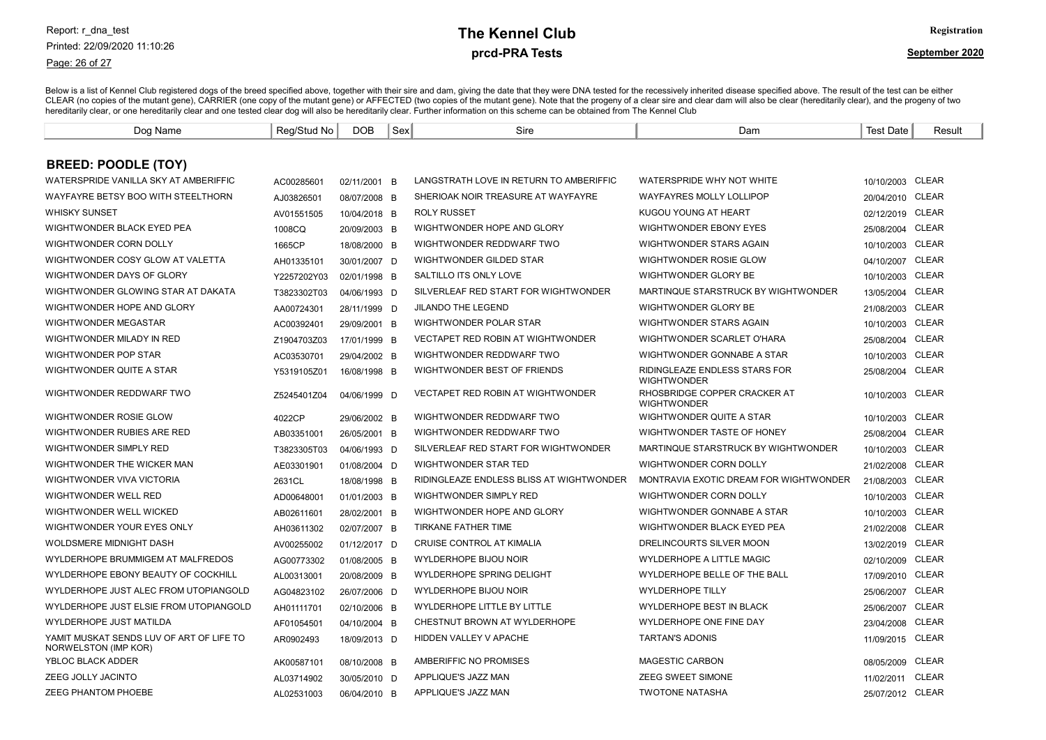Page: 26 of 27

# prcd-PRA Tests **The Kennel Club** Registration

| Dog Name                                                         | Reg/Stud No | <b>DOB</b>   | Sex | Sire                                     | Dam                                                        | Test Date        | Result       |
|------------------------------------------------------------------|-------------|--------------|-----|------------------------------------------|------------------------------------------------------------|------------------|--------------|
|                                                                  |             |              |     |                                          |                                                            |                  |              |
| <b>BREED: POODLE (TOY)</b>                                       |             |              |     |                                          |                                                            |                  |              |
| WATERSPRIDE VANILLA SKY AT AMBERIFFIC                            | AC00285601  | 02/11/2001 B |     | LANGSTRATH LOVE IN RETURN TO AMBERIFFIC  | WATERSPRIDE WHY NOT WHITE                                  | 10/10/2003 CLEAR |              |
| WAYFAYRE BETSY BOO WITH STEELTHORN                               | AJ03826501  | 08/07/2008 B |     | SHERIOAK NOIR TREASURE AT WAYFAYRE       | <b>WAYFAYRES MOLLY LOLLIPOP</b>                            | 20/04/2010 CLEAR |              |
| <b>WHISKY SUNSET</b>                                             | AV01551505  | 10/04/2018 B |     | <b>ROLY RUSSET</b>                       | KUGOU YOUNG AT HEART                                       | 02/12/2019 CLEAR |              |
| WIGHTWONDER BLACK EYED PEA                                       | 1008CQ      | 20/09/2003 B |     | WIGHTWONDER HOPE AND GLORY               | <b>WIGHTWONDER EBONY EYES</b>                              | 25/08/2004       | <b>CLEAR</b> |
| WIGHTWONDER CORN DOLLY                                           | 1665CP      | 18/08/2000 B |     | WIGHTWONDER REDDWARF TWO                 | WIGHTWONDER STARS AGAIN                                    | 10/10/2003       | <b>CLEAR</b> |
| WIGHTWONDER COSY GLOW AT VALETTA                                 | AH01335101  | 30/01/2007 D |     | WIGHTWONDER GILDED STAR                  | WIGHTWONDER ROSIE GLOW                                     | 04/10/2007       | <b>CLEAR</b> |
| WIGHTWONDER DAYS OF GLORY                                        | Y2257202Y03 | 02/01/1998 B |     | SALTILLO ITS ONLY LOVE                   | WIGHTWONDER GLORY BE                                       | 10/10/2003       | CLEAR        |
| WIGHTWONDER GLOWING STAR AT DAKATA                               | T3823302T03 | 04/06/1993 D |     | SILVERLEAF RED START FOR WIGHTWONDER     | MARTINQUE STARSTRUCK BY WIGHTWONDER                        | 13/05/2004       | <b>CLEAR</b> |
| WIGHTWONDER HOPE AND GLORY                                       | AA00724301  | 28/11/1999 D |     | <b>JILANDO THE LEGEND</b>                | WIGHTWONDER GLORY BE                                       | 21/08/2003       | <b>CLEAR</b> |
| <b>WIGHTWONDER MEGASTAR</b>                                      | AC00392401  | 29/09/2001 B |     | WIGHTWONDER POLAR STAR                   | WIGHTWONDER STARS AGAIN                                    | 10/10/2003       | <b>CLEAR</b> |
| WIGHTWONDER MILADY IN RED                                        | Z1904703Z03 | 17/01/1999 B |     | <b>VECTAPET RED ROBIN AT WIGHTWONDER</b> | WIGHTWONDER SCARLET O'HARA                                 | 25/08/2004       | <b>CLEAR</b> |
| WIGHTWONDER POP STAR                                             | AC03530701  | 29/04/2002 B |     | WIGHTWONDER REDDWARF TWO                 | WIGHTWONDER GONNABE A STAR                                 | 10/10/2003 CLEAR |              |
| WIGHTWONDER QUITE A STAR                                         | Y5319105Z01 | 16/08/1998 B |     | WIGHTWONDER BEST OF FRIENDS              | <b>RIDINGLEAZE ENDLESS STARS FOR</b><br><b>WIGHTWONDER</b> | 25/08/2004       | <b>CLEAR</b> |
| WIGHTWONDER REDDWARF TWO                                         | Z5245401Z04 | 04/06/1999 D |     | <b>VECTAPET RED ROBIN AT WIGHTWONDER</b> | RHOSBRIDGE COPPER CRACKER AT<br><b>WIGHTWONDER</b>         | 10/10/2003 CLEAR |              |
| WIGHTWONDER ROSIE GLOW                                           | 4022CP      | 29/06/2002 B |     | WIGHTWONDER REDDWARF TWO                 | WIGHTWONDER QUITE A STAR                                   | 10/10/2003       | <b>CLEAR</b> |
| WIGHTWONDER RUBIES ARE RED                                       | AB03351001  | 26/05/2001 B |     | WIGHTWONDER REDDWARF TWO                 | WIGHTWONDER TASTE OF HONEY                                 | 25/08/2004       | <b>CLEAR</b> |
| WIGHTWONDER SIMPLY RED                                           | T3823305T03 | 04/06/1993 D |     | SILVERLEAF RED START FOR WIGHTWONDER     | MARTINQUE STARSTRUCK BY WIGHTWONDER                        | 10/10/2003       | <b>CLEAR</b> |
| WIGHTWONDER THE WICKER MAN                                       | AE03301901  | 01/08/2004 D |     | WIGHTWONDER STAR TED                     | WIGHTWONDER CORN DOLLY                                     | 21/02/2008       | <b>CLEAR</b> |
| WIGHTWONDER VIVA VICTORIA                                        | 2631CL      | 18/08/1998 B |     | RIDINGLEAZE ENDLESS BLISS AT WIGHTWONDER | MONTRAVIA EXOTIC DREAM FOR WIGHTWONDER                     | 21/08/2003       | <b>CLEAR</b> |
| WIGHTWONDER WELL RED                                             | AD00648001  | 01/01/2003 B |     | WIGHTWONDER SIMPLY RED                   | WIGHTWONDER CORN DOLLY                                     | 10/10/2003       | <b>CLEAR</b> |
| WIGHTWONDER WELL WICKED                                          | AB02611601  | 28/02/2001 B |     | WIGHTWONDER HOPE AND GLORY               | WIGHTWONDER GONNABE A STAR                                 | 10/10/2003       | CLEAR        |
| WIGHTWONDER YOUR EYES ONLY                                       | AH03611302  | 02/07/2007 B |     | TIRKANE FATHER TIME                      | WIGHTWONDER BLACK EYED PEA                                 | 21/02/2008 CLEAR |              |
| WOLDSMERE MIDNIGHT DASH                                          | AV00255002  | 01/12/2017 D |     | CRUISE CONTROL AT KIMALIA                | DRELINCOURTS SILVER MOON                                   | 13/02/2019 CLEAR |              |
| WYLDERHOPE BRUMMIGEM AT MALFREDOS                                | AG00773302  | 01/08/2005 B |     | WYLDERHOPE BIJOU NOIR                    | WYLDERHOPE A LITTLE MAGIC                                  | 02/10/2009       | <b>CLEAR</b> |
| WYLDERHOPE EBONY BEAUTY OF COCKHILL                              | AL00313001  | 20/08/2009 B |     | <b>WYLDERHOPE SPRING DELIGHT</b>         | WYLDERHOPE BELLE OF THE BALL                               | 17/09/2010       | <b>CLEAR</b> |
| WYLDERHOPE JUST ALEC FROM UTOPIANGOLD                            | AG04823102  | 26/07/2006 D |     | WYLDERHOPE BIJOU NOIR                    | <b>WYLDERHOPE TILLY</b>                                    | 25/06/2007       | <b>CLEAR</b> |
| WYLDERHOPE JUST ELSIE FROM UTOPIANGOLD                           | AH01111701  | 02/10/2006 B |     | WYLDERHOPE LITTLE BY LITTLE              | WYLDERHOPE BEST IN BLACK                                   | 25/06/2007       | <b>CLEAR</b> |
| WYLDERHOPE JUST MATILDA                                          | AF01054501  | 04/10/2004 B |     | CHESTNUT BROWN AT WYLDERHOPE             | WYLDERHOPE ONE FINE DAY                                    | 23/04/2008       | <b>CLEAR</b> |
| YAMIT MUSKAT SENDS LUV OF ART OF LIFE TO<br>NORWELSTON (IMP KOR) | AR0902493   | 18/09/2013 D |     | HIDDEN VALLEY V APACHE                   | <b>TARTAN'S ADONIS</b>                                     | 11/09/2015       | <b>CLEAR</b> |
| YBLOC BLACK ADDER                                                | AK00587101  | 08/10/2008 B |     | AMBERIFFIC NO PROMISES                   | <b>MAGESTIC CARBON</b>                                     | 08/05/2009       | <b>CLEAR</b> |
| ZEEG JOLLY JACINTO                                               | AL03714902  | 30/05/2010 D |     | APPLIQUE'S JAZZ MAN                      | <b>ZEEG SWEET SIMONE</b>                                   | 11/02/2011       | <b>CLEAR</b> |
| ZEEG PHANTOM PHOEBE                                              | AL02531003  | 06/04/2010 B |     | APPLIQUE'S JAZZ MAN                      | <b>TWOTONE NATASHA</b>                                     | 25/07/2012 CLEAR |              |